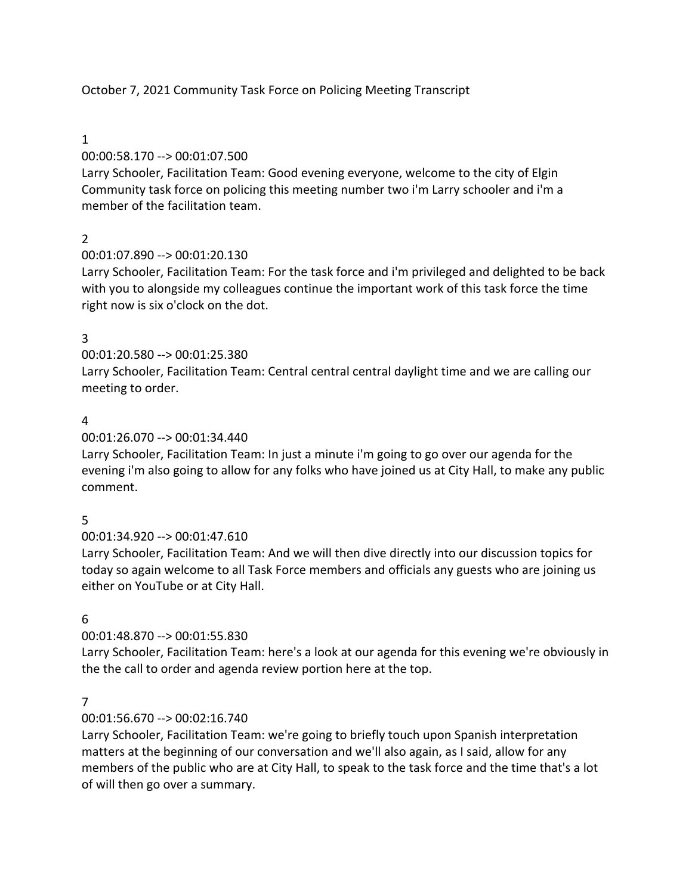# October 7, 2021 Community Task Force on Policing Meeting Transcript

### 1

## 00:00:58.170 --> 00:01:07.500

Larry Schooler, Facilitation Team: Good evening everyone, welcome to the city of Elgin Community task force on policing this meeting number two i'm Larry schooler and i'm a member of the facilitation team.

# $\mathfrak{D}$

# 00:01:07.890 --> 00:01:20.130

Larry Schooler, Facilitation Team: For the task force and i'm privileged and delighted to be back with you to alongside my colleagues continue the important work of this task force the time right now is six o'clock on the dot.

## 3

# 00:01:20.580 --> 00:01:25.380

Larry Schooler, Facilitation Team: Central central central daylight time and we are calling our meeting to order.

## 4

## 00:01:26.070 --> 00:01:34.440

Larry Schooler, Facilitation Team: In just a minute i'm going to go over our agenda for the evening i'm also going to allow for any folks who have joined us at City Hall, to make any public comment.

## 5

## 00:01:34.920 --> 00:01:47.610

Larry Schooler, Facilitation Team: And we will then dive directly into our discussion topics for today so again welcome to all Task Force members and officials any guests who are joining us either on YouTube or at City Hall.

## 6

# 00:01:48.870 --> 00:01:55.830

Larry Schooler, Facilitation Team: here's a look at our agenda for this evening we're obviously in the the call to order and agenda review portion here at the top.

## 7

## 00:01:56.670 --> 00:02:16.740

Larry Schooler, Facilitation Team: we're going to briefly touch upon Spanish interpretation matters at the beginning of our conversation and we'll also again, as I said, allow for any members of the public who are at City Hall, to speak to the task force and the time that's a lot of will then go over a summary.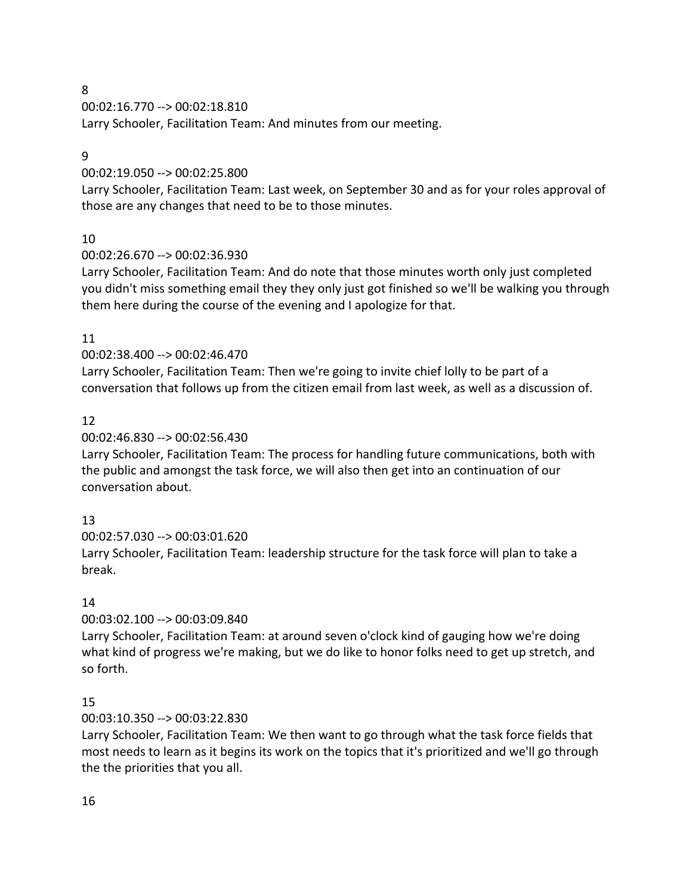00:02:16.770 --> 00:02:18.810

Larry Schooler, Facilitation Team: And minutes from our meeting.

### 9

## 00:02:19.050 --> 00:02:25.800

Larry Schooler, Facilitation Team: Last week, on September 30 and as for your roles approval of those are any changes that need to be to those minutes.

# 10

# 00:02:26.670 --> 00:02:36.930

Larry Schooler, Facilitation Team: And do note that those minutes worth only just completed you didn't miss something email they they only just got finished so we'll be walking you through them here during the course of the evening and I apologize for that.

# 11

# 00:02:38.400 --> 00:02:46.470

Larry Schooler, Facilitation Team: Then we're going to invite chief lolly to be part of a conversation that follows up from the citizen email from last week, as well as a discussion of.

# 12

# 00:02:46.830 --> 00:02:56.430

Larry Schooler, Facilitation Team: The process for handling future communications, both with the public and amongst the task force, we will also then get into an continuation of our conversation about.

# 13

00:02:57.030 --> 00:03:01.620

Larry Schooler, Facilitation Team: leadership structure for the task force will plan to take a break.

# 14

## 00:03:02.100 --> 00:03:09.840

Larry Schooler, Facilitation Team: at around seven o'clock kind of gauging how we're doing what kind of progress we're making, but we do like to honor folks need to get up stretch, and so forth.

## 15

## 00:03:10.350 --> 00:03:22.830

Larry Schooler, Facilitation Team: We then want to go through what the task force fields that most needs to learn as it begins its work on the topics that it's prioritized and we'll go through the the priorities that you all.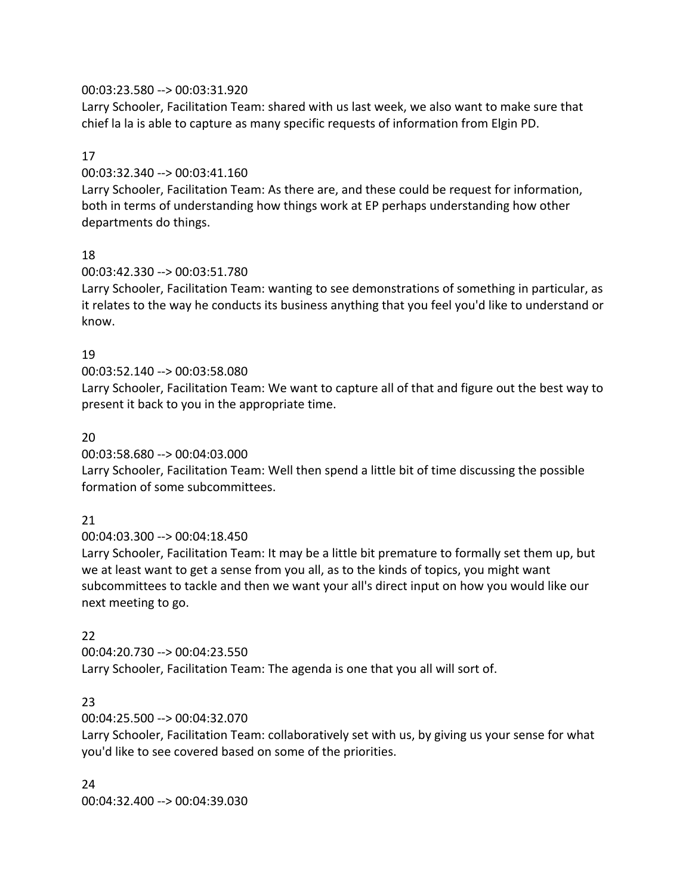### 00:03:23.580 --> 00:03:31.920

Larry Schooler, Facilitation Team: shared with us last week, we also want to make sure that chief la la is able to capture as many specific requests of information from Elgin PD.

### 17

00:03:32.340 --> 00:03:41.160

Larry Schooler, Facilitation Team: As there are, and these could be request for information, both in terms of understanding how things work at EP perhaps understanding how other departments do things.

### 18

00:03:42.330 --> 00:03:51.780

Larry Schooler, Facilitation Team: wanting to see demonstrations of something in particular, as it relates to the way he conducts its business anything that you feel you'd like to understand or know.

## 19

## 00:03:52.140 --> 00:03:58.080

Larry Schooler, Facilitation Team: We want to capture all of that and figure out the best way to present it back to you in the appropriate time.

### 20

00:03:58.680 --> 00:04:03.000

Larry Schooler, Facilitation Team: Well then spend a little bit of time discussing the possible formation of some subcommittees.

## 21

00:04:03.300 --> 00:04:18.450

Larry Schooler, Facilitation Team: It may be a little bit premature to formally set them up, but we at least want to get a sense from you all, as to the kinds of topics, you might want subcommittees to tackle and then we want your all's direct input on how you would like our next meeting to go.

## 22

00:04:20.730 --> 00:04:23.550 Larry Schooler, Facilitation Team: The agenda is one that you all will sort of.

## 23

00:04:25.500 --> 00:04:32.070

Larry Schooler, Facilitation Team: collaboratively set with us, by giving us your sense for what you'd like to see covered based on some of the priorities.

#### 24

00:04:32.400 --> 00:04:39.030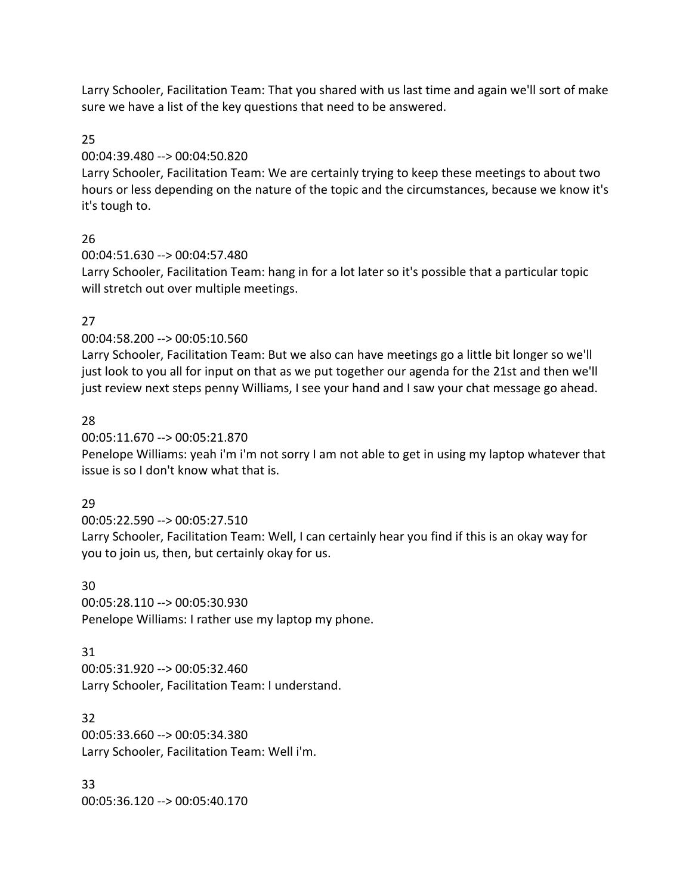Larry Schooler, Facilitation Team: That you shared with us last time and again we'll sort of make sure we have a list of the key questions that need to be answered.

25

## 00:04:39.480 --> 00:04:50.820

Larry Schooler, Facilitation Team: We are certainly trying to keep these meetings to about two hours or less depending on the nature of the topic and the circumstances, because we know it's it's tough to.

# 26

00:04:51.630 --> 00:04:57.480

Larry Schooler, Facilitation Team: hang in for a lot later so it's possible that a particular topic will stretch out over multiple meetings.

# 27

00:04:58.200 --> 00:05:10.560

Larry Schooler, Facilitation Team: But we also can have meetings go a little bit longer so we'll just look to you all for input on that as we put together our agenda for the 21st and then we'll just review next steps penny Williams, I see your hand and I saw your chat message go ahead.

# 28

00:05:11.670 --> 00:05:21.870

Penelope Williams: yeah i'm i'm not sorry I am not able to get in using my laptop whatever that issue is so I don't know what that is.

# 29

00:05:22.590 --> 00:05:27.510 Larry Schooler, Facilitation Team: Well, I can certainly hear you find if this is an okay way for you to join us, then, but certainly okay for us.

## 30

00:05:28.110 --> 00:05:30.930 Penelope Williams: I rather use my laptop my phone.

# 31

00:05:31.920 --> 00:05:32.460 Larry Schooler, Facilitation Team: I understand.

## 32

00:05:33.660 --> 00:05:34.380 Larry Schooler, Facilitation Team: Well i'm.

#### 33 00:05:36.120 --> 00:05:40.170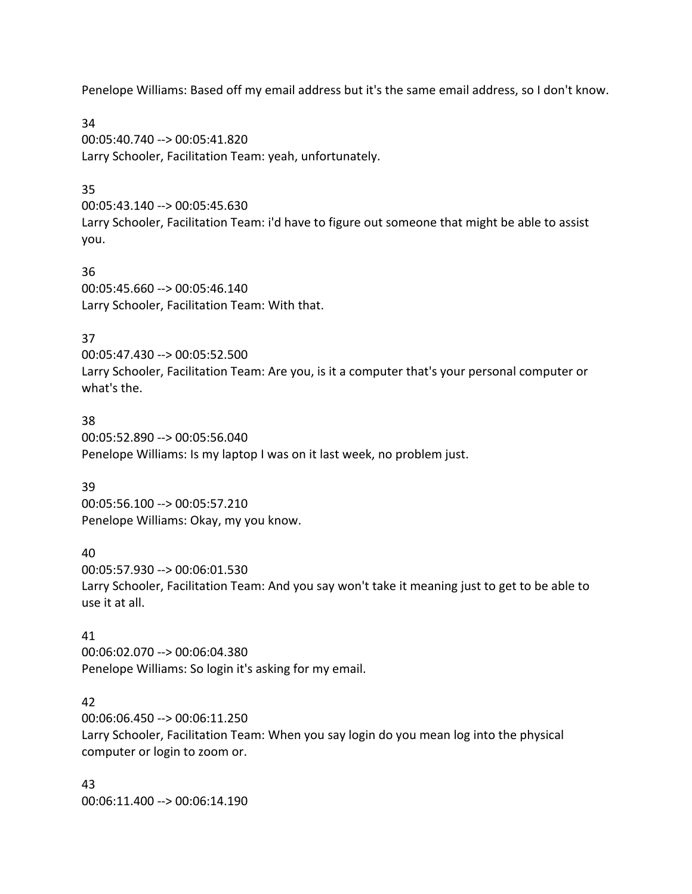Penelope Williams: Based off my email address but it's the same email address, so I don't know.

34 00:05:40.740 --> 00:05:41.820 Larry Schooler, Facilitation Team: yeah, unfortunately.

## 35

00:05:43.140 --> 00:05:45.630 Larry Schooler, Facilitation Team: i'd have to figure out someone that might be able to assist you.

36 00:05:45.660 --> 00:05:46.140 Larry Schooler, Facilitation Team: With that.

# 37

00:05:47.430 --> 00:05:52.500 Larry Schooler, Facilitation Team: Are you, is it a computer that's your personal computer or what's the.

### 38

00:05:52.890 --> 00:05:56.040 Penelope Williams: Is my laptop I was on it last week, no problem just.

## 39

00:05:56.100 --> 00:05:57.210 Penelope Williams: Okay, my you know.

## 40

00:05:57.930 --> 00:06:01.530 Larry Schooler, Facilitation Team: And you say won't take it meaning just to get to be able to use it at all.

# 41

00:06:02.070 --> 00:06:04.380 Penelope Williams: So login it's asking for my email.

# 42

00:06:06.450 --> 00:06:11.250 Larry Schooler, Facilitation Team: When you say login do you mean log into the physical computer or login to zoom or.

43 00:06:11.400 --> 00:06:14.190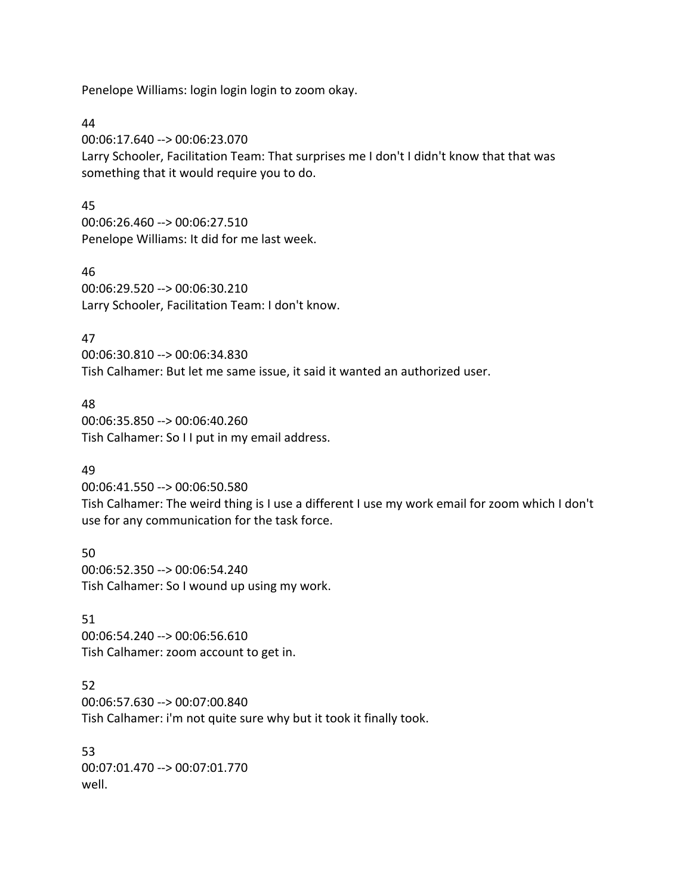Penelope Williams: login login login to zoom okay.

44

00:06:17.640 --> 00:06:23.070 Larry Schooler, Facilitation Team: That surprises me I don't I didn't know that that was something that it would require you to do.

### 45

00:06:26.460 --> 00:06:27.510 Penelope Williams: It did for me last week.

46 00:06:29.520 --> 00:06:30.210 Larry Schooler, Facilitation Team: I don't know.

## 47

00:06:30.810 --> 00:06:34.830 Tish Calhamer: But let me same issue, it said it wanted an authorized user.

## 48

00:06:35.850 --> 00:06:40.260 Tish Calhamer: So I I put in my email address.

# 49

00:06:41.550 --> 00:06:50.580 Tish Calhamer: The weird thing is I use a different I use my work email for zoom which I don't use for any communication for the task force.

50 00:06:52.350 --> 00:06:54.240 Tish Calhamer: So I wound up using my work.

## 51

00:06:54.240 --> 00:06:56.610 Tish Calhamer: zoom account to get in.

# 52

00:06:57.630 --> 00:07:00.840 Tish Calhamer: i'm not quite sure why but it took it finally took.

53 00:07:01.470 --> 00:07:01.770 well.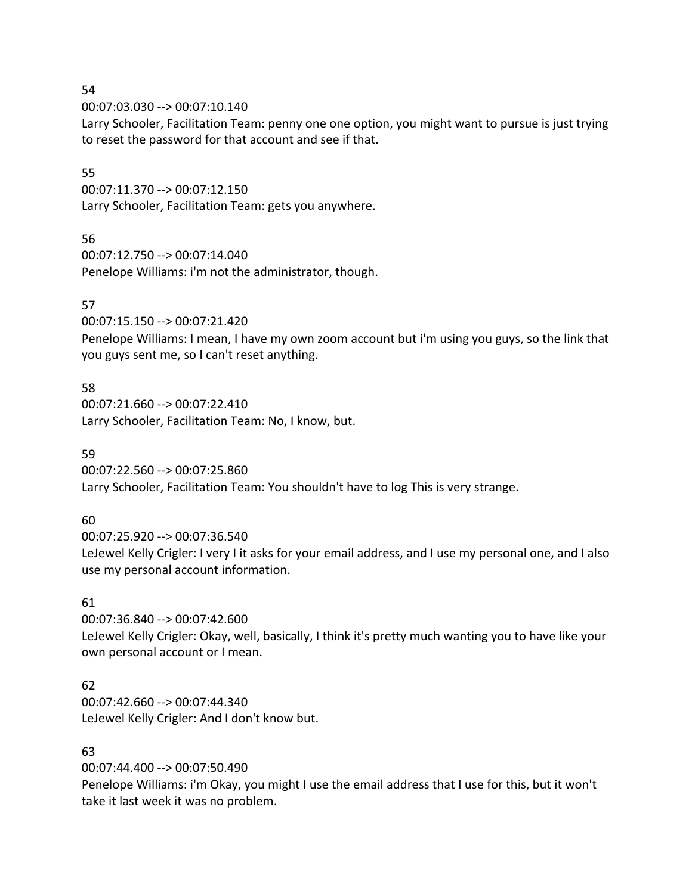00:07:03.030 --> 00:07:10.140

Larry Schooler, Facilitation Team: penny one one option, you might want to pursue is just trying to reset the password for that account and see if that.

## 55

00:07:11.370 --> 00:07:12.150 Larry Schooler, Facilitation Team: gets you anywhere.

## 56

00:07:12.750 --> 00:07:14.040 Penelope Williams: i'm not the administrator, though.

# 57

00:07:15.150 --> 00:07:21.420

Penelope Williams: I mean, I have my own zoom account but i'm using you guys, so the link that you guys sent me, so I can't reset anything.

## 58

00:07:21.660 --> 00:07:22.410 Larry Schooler, Facilitation Team: No, I know, but.

## 59

00:07:22.560 --> 00:07:25.860 Larry Schooler, Facilitation Team: You shouldn't have to log This is very strange.

## 60

00:07:25.920 --> 00:07:36.540 LeJewel Kelly Crigler: I very I it asks for your email address, and I use my personal one, and I also use my personal account information.

## 61

00:07:36.840 --> 00:07:42.600 LeJewel Kelly Crigler: Okay, well, basically, I think it's pretty much wanting you to have like your own personal account or I mean.

## 62

00:07:42.660 --> 00:07:44.340 LeJewel Kelly Crigler: And I don't know but.

## 63

00:07:44.400 --> 00:07:50.490

Penelope Williams: i'm Okay, you might I use the email address that I use for this, but it won't take it last week it was no problem.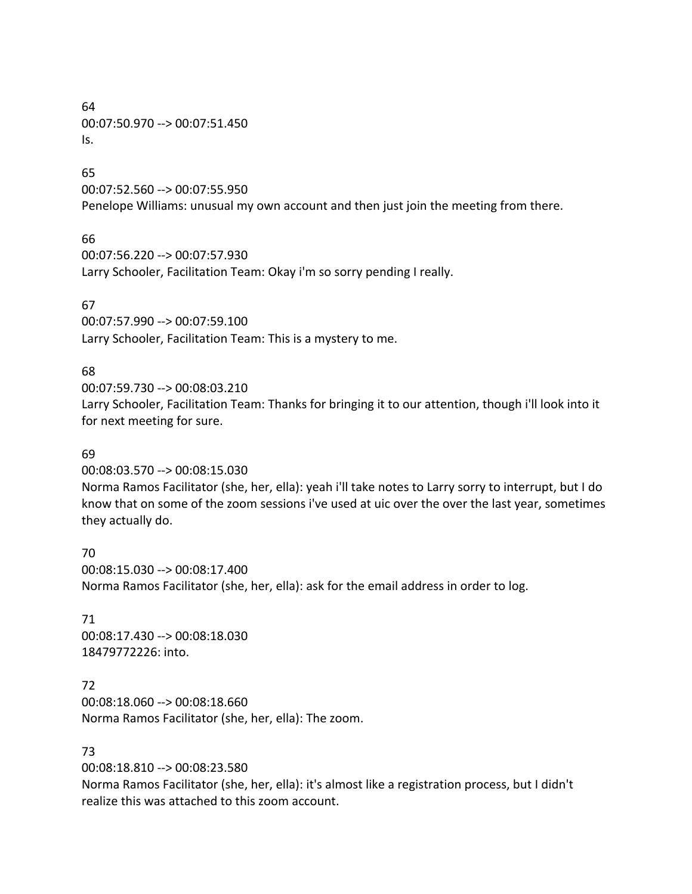#### 64 00:07:50.970 --> 00:07:51.450 Is.

### 65

00:07:52.560 --> 00:07:55.950 Penelope Williams: unusual my own account and then just join the meeting from there.

# 66

00:07:56.220 --> 00:07:57.930 Larry Schooler, Facilitation Team: Okay i'm so sorry pending I really.

# 67

00:07:57.990 --> 00:07:59.100 Larry Schooler, Facilitation Team: This is a mystery to me.

# 68

00:07:59.730 --> 00:08:03.210

Larry Schooler, Facilitation Team: Thanks for bringing it to our attention, though i'll look into it for next meeting for sure.

## 69

00:08:03.570 --> 00:08:15.030

Norma Ramos Facilitator (she, her, ella): yeah i'll take notes to Larry sorry to interrupt, but I do know that on some of the zoom sessions i've used at uic over the over the last year, sometimes they actually do.

70 00:08:15.030 --> 00:08:17.400 Norma Ramos Facilitator (she, her, ella): ask for the email address in order to log.

71 00:08:17.430 --> 00:08:18.030 18479772226: into.

## 72

00:08:18.060 --> 00:08:18.660 Norma Ramos Facilitator (she, her, ella): The zoom.

## 73

00:08:18.810 --> 00:08:23.580

Norma Ramos Facilitator (she, her, ella): it's almost like a registration process, but I didn't realize this was attached to this zoom account.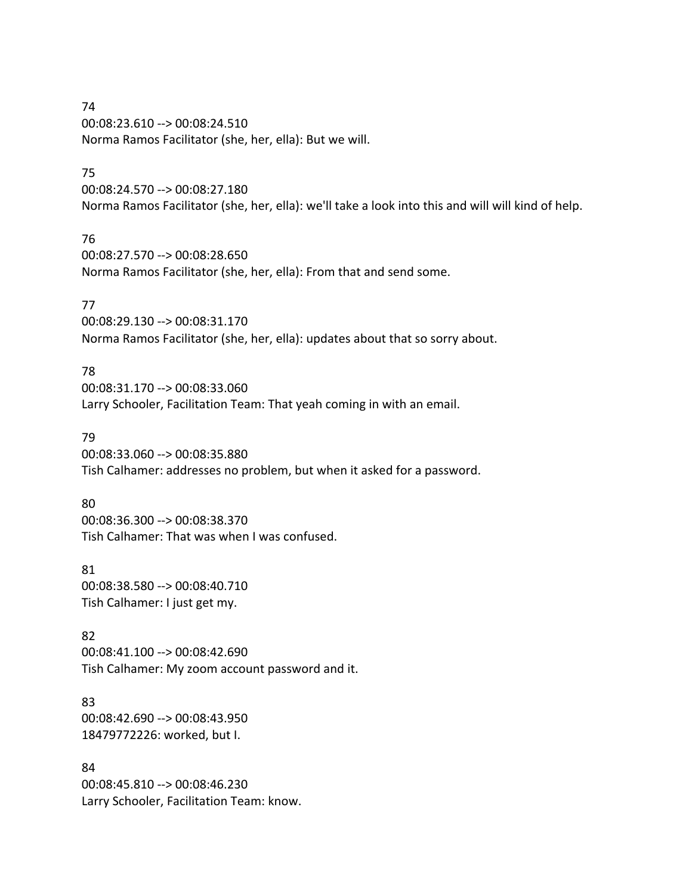### 74 00:08:23.610 --> 00:08:24.510 Norma Ramos Facilitator (she, her, ella): But we will.

### 75

00:08:24.570 --> 00:08:27.180 Norma Ramos Facilitator (she, her, ella): we'll take a look into this and will will kind of help.

## 76

00:08:27.570 --> 00:08:28.650 Norma Ramos Facilitator (she, her, ella): From that and send some.

## 77

00:08:29.130 --> 00:08:31.170 Norma Ramos Facilitator (she, her, ella): updates about that so sorry about.

# 78

00:08:31.170 --> 00:08:33.060 Larry Schooler, Facilitation Team: That yeah coming in with an email.

## 79

00:08:33.060 --> 00:08:35.880 Tish Calhamer: addresses no problem, but when it asked for a password.

## 80

00:08:36.300 --> 00:08:38.370 Tish Calhamer: That was when I was confused.

## 81

00:08:38.580 --> 00:08:40.710 Tish Calhamer: I just get my.

## 82

00:08:41.100 --> 00:08:42.690 Tish Calhamer: My zoom account password and it.

## 83 00:08:42.690 --> 00:08:43.950 18479772226: worked, but I.

84 00:08:45.810 --> 00:08:46.230 Larry Schooler, Facilitation Team: know.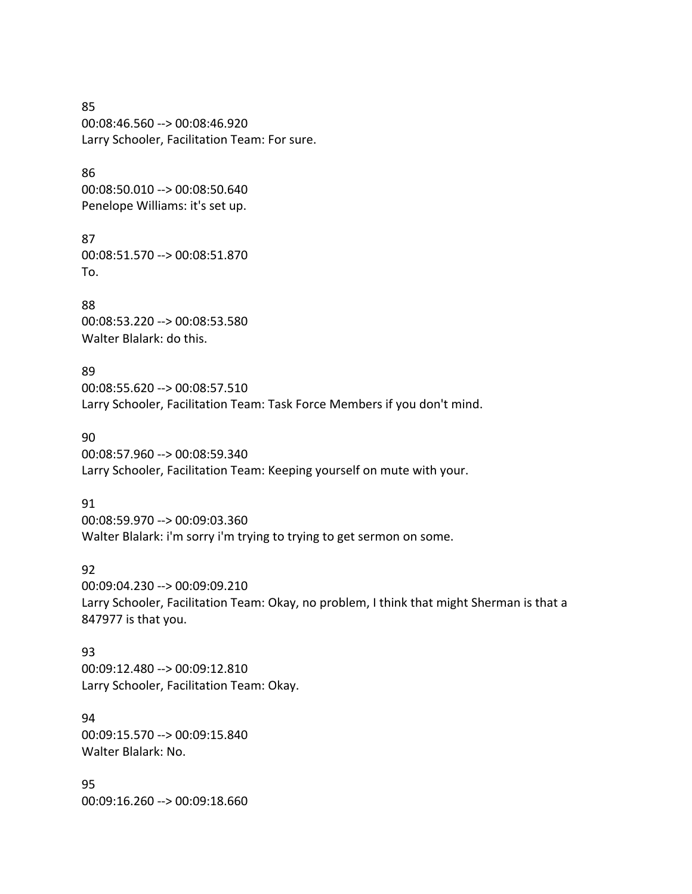85 00:08:46.560 --> 00:08:46.920 Larry Schooler, Facilitation Team: For sure.

86 00:08:50.010 --> 00:08:50.640 Penelope Williams: it's set up.

87 00:08:51.570 --> 00:08:51.870 To.

88 00:08:53.220 --> 00:08:53.580 Walter Blalark: do this.

89 00:08:55.620 --> 00:08:57.510 Larry Schooler, Facilitation Team: Task Force Members if you don't mind.

90 00:08:57.960 --> 00:08:59.340 Larry Schooler, Facilitation Team: Keeping yourself on mute with your.

91 00:08:59.970 --> 00:09:03.360 Walter Blalark: i'm sorry i'm trying to trying to get sermon on some.

92 00:09:04.230 --> 00:09:09.210 Larry Schooler, Facilitation Team: Okay, no problem, I think that might Sherman is that a 847977 is that you.

93 00:09:12.480 --> 00:09:12.810 Larry Schooler, Facilitation Team: Okay.

94 00:09:15.570 --> 00:09:15.840 Walter Blalark: No.

95 00:09:16.260 --> 00:09:18.660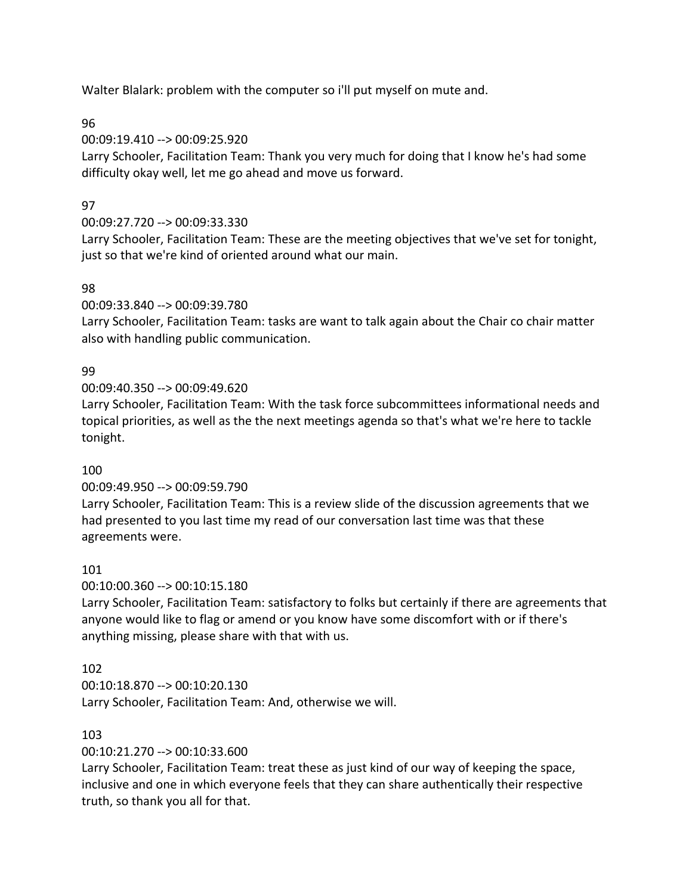Walter Blalark: problem with the computer so i'll put myself on mute and.

96

00:09:19.410 --> 00:09:25.920

Larry Schooler, Facilitation Team: Thank you very much for doing that I know he's had some difficulty okay well, let me go ahead and move us forward.

# 97

# 00:09:27.720 --> 00:09:33.330

Larry Schooler, Facilitation Team: These are the meeting objectives that we've set for tonight, just so that we're kind of oriented around what our main.

# 98

00:09:33.840 --> 00:09:39.780

Larry Schooler, Facilitation Team: tasks are want to talk again about the Chair co chair matter also with handling public communication.

# 99

00:09:40.350 --> 00:09:49.620

Larry Schooler, Facilitation Team: With the task force subcommittees informational needs and topical priorities, as well as the the next meetings agenda so that's what we're here to tackle tonight.

## 100

## 00:09:49.950 --> 00:09:59.790

Larry Schooler, Facilitation Team: This is a review slide of the discussion agreements that we had presented to you last time my read of our conversation last time was that these agreements were.

## 101

00:10:00.360 --> 00:10:15.180

Larry Schooler, Facilitation Team: satisfactory to folks but certainly if there are agreements that anyone would like to flag or amend or you know have some discomfort with or if there's anything missing, please share with that with us.

# 102

00:10:18.870 --> 00:10:20.130 Larry Schooler, Facilitation Team: And, otherwise we will.

## 103

00:10:21.270 --> 00:10:33.600

Larry Schooler, Facilitation Team: treat these as just kind of our way of keeping the space, inclusive and one in which everyone feels that they can share authentically their respective truth, so thank you all for that.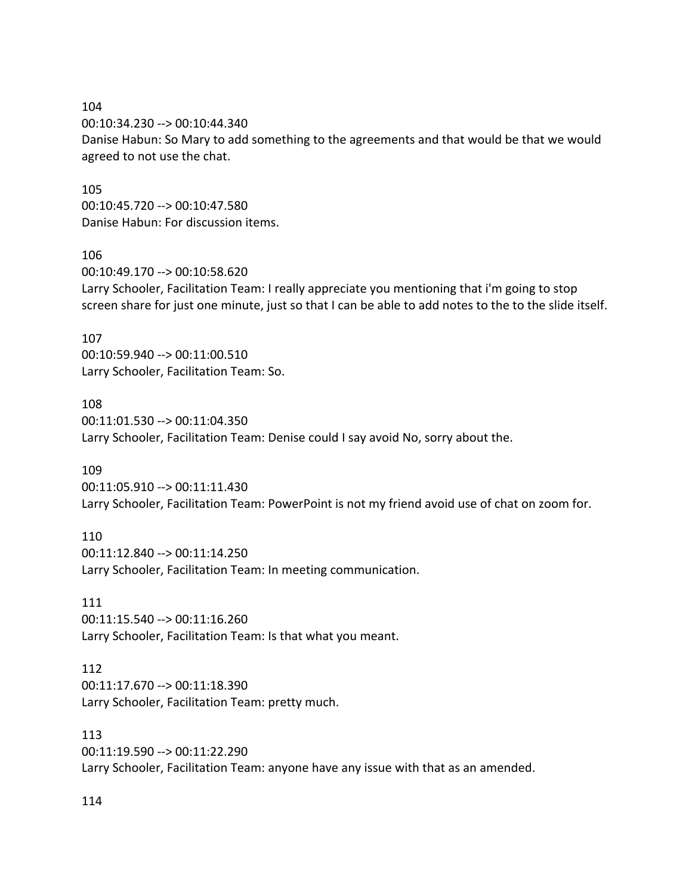104 00:10:34.230 --> 00:10:44.340 Danise Habun: So Mary to add something to the agreements and that would be that we would agreed to not use the chat.

105 00:10:45.720 --> 00:10:47.580 Danise Habun: For discussion items.

#### 106

00:10:49.170 --> 00:10:58.620 Larry Schooler, Facilitation Team: I really appreciate you mentioning that i'm going to stop screen share for just one minute, just so that I can be able to add notes to the to the slide itself.

#### 107

00:10:59.940 --> 00:11:00.510 Larry Schooler, Facilitation Team: So.

#### 108

00:11:01.530 --> 00:11:04.350 Larry Schooler, Facilitation Team: Denise could I say avoid No, sorry about the.

#### 109

00:11:05.910 --> 00:11:11.430 Larry Schooler, Facilitation Team: PowerPoint is not my friend avoid use of chat on zoom for.

110

00:11:12.840 --> 00:11:14.250 Larry Schooler, Facilitation Team: In meeting communication.

111 00:11:15.540 --> 00:11:16.260 Larry Schooler, Facilitation Team: Is that what you meant.

#### 112

00:11:17.670 --> 00:11:18.390 Larry Schooler, Facilitation Team: pretty much.

113

00:11:19.590 --> 00:11:22.290 Larry Schooler, Facilitation Team: anyone have any issue with that as an amended.

114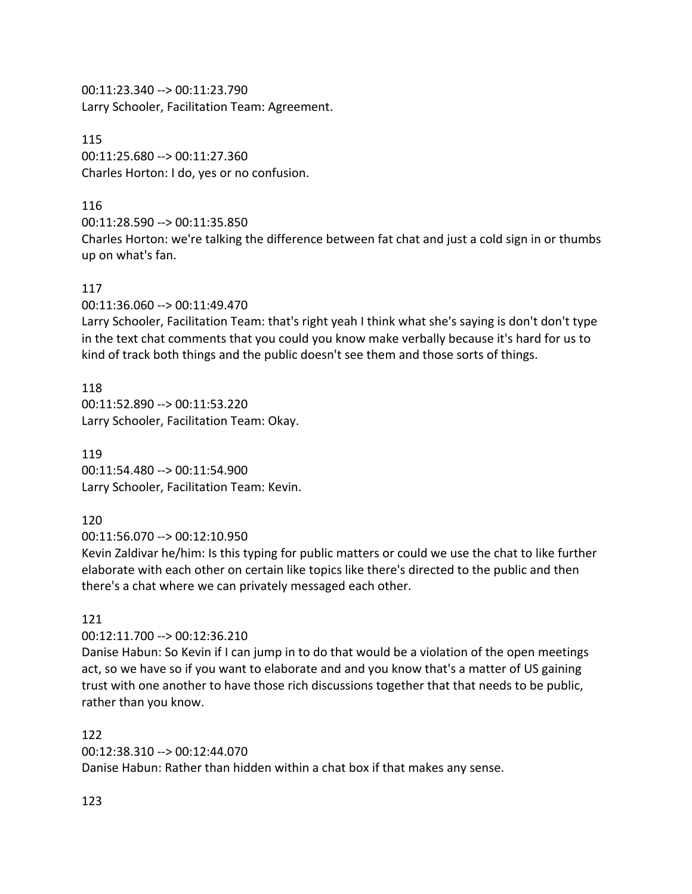00:11:23.340 --> 00:11:23.790 Larry Schooler, Facilitation Team: Agreement.

115 00:11:25.680 --> 00:11:27.360 Charles Horton: I do, yes or no confusion.

## 116

00:11:28.590 --> 00:11:35.850

Charles Horton: we're talking the difference between fat chat and just a cold sign in or thumbs up on what's fan.

# 117

00:11:36.060 --> 00:11:49.470

Larry Schooler, Facilitation Team: that's right yeah I think what she's saying is don't don't type in the text chat comments that you could you know make verbally because it's hard for us to kind of track both things and the public doesn't see them and those sorts of things.

118 00:11:52.890 --> 00:11:53.220 Larry Schooler, Facilitation Team: Okay.

119 00:11:54.480 --> 00:11:54.900 Larry Schooler, Facilitation Team: Kevin.

# 120

00:11:56.070 --> 00:12:10.950

Kevin Zaldivar he/him: Is this typing for public matters or could we use the chat to like further elaborate with each other on certain like topics like there's directed to the public and then there's a chat where we can privately messaged each other.

# 121

00:12:11.700 --> 00:12:36.210

Danise Habun: So Kevin if I can jump in to do that would be a violation of the open meetings act, so we have so if you want to elaborate and and you know that's a matter of US gaining trust with one another to have those rich discussions together that that needs to be public, rather than you know.

## 122

00:12:38.310 --> 00:12:44.070

Danise Habun: Rather than hidden within a chat box if that makes any sense.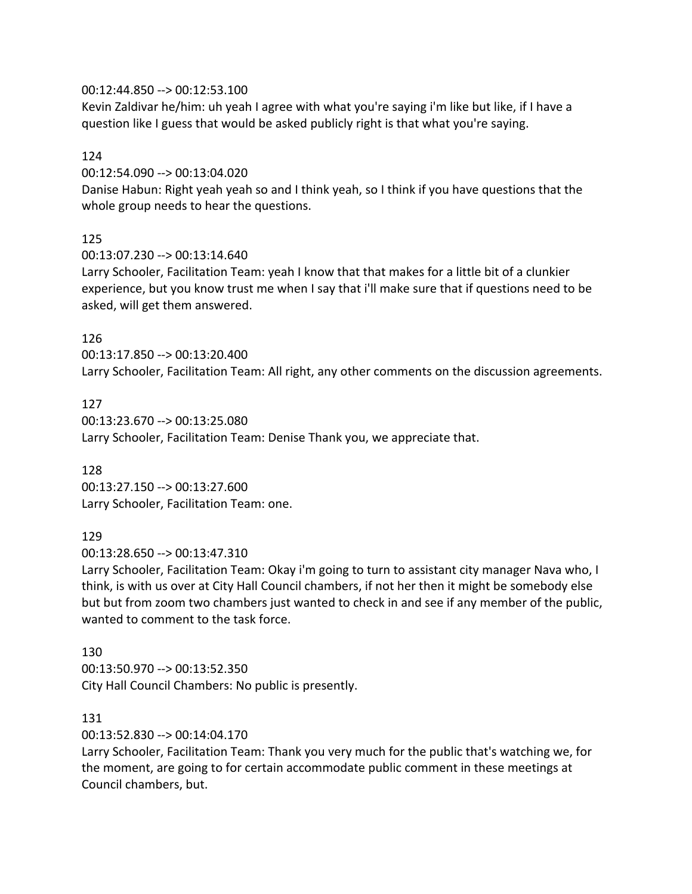### 00:12:44.850 --> 00:12:53.100

Kevin Zaldivar he/him: uh yeah I agree with what you're saying i'm like but like, if I have a question like I guess that would be asked publicly right is that what you're saying.

### 124

00:12:54.090 --> 00:13:04.020

Danise Habun: Right yeah yeah so and I think yeah, so I think if you have questions that the whole group needs to hear the questions.

## 125

00:13:07.230 --> 00:13:14.640

Larry Schooler, Facilitation Team: yeah I know that that makes for a little bit of a clunkier experience, but you know trust me when I say that i'll make sure that if questions need to be asked, will get them answered.

## 126

00:13:17.850 --> 00:13:20.400 Larry Schooler, Facilitation Team: All right, any other comments on the discussion agreements.

#### 127

00:13:23.670 --> 00:13:25.080 Larry Schooler, Facilitation Team: Denise Thank you, we appreciate that.

#### 128

00:13:27.150 --> 00:13:27.600 Larry Schooler, Facilitation Team: one.

## 129

00:13:28.650 --> 00:13:47.310

Larry Schooler, Facilitation Team: Okay i'm going to turn to assistant city manager Nava who, I think, is with us over at City Hall Council chambers, if not her then it might be somebody else but but from zoom two chambers just wanted to check in and see if any member of the public, wanted to comment to the task force.

#### 130

00:13:50.970 --> 00:13:52.350 City Hall Council Chambers: No public is presently.

#### 131

00:13:52.830 --> 00:14:04.170

Larry Schooler, Facilitation Team: Thank you very much for the public that's watching we, for the moment, are going to for certain accommodate public comment in these meetings at Council chambers, but.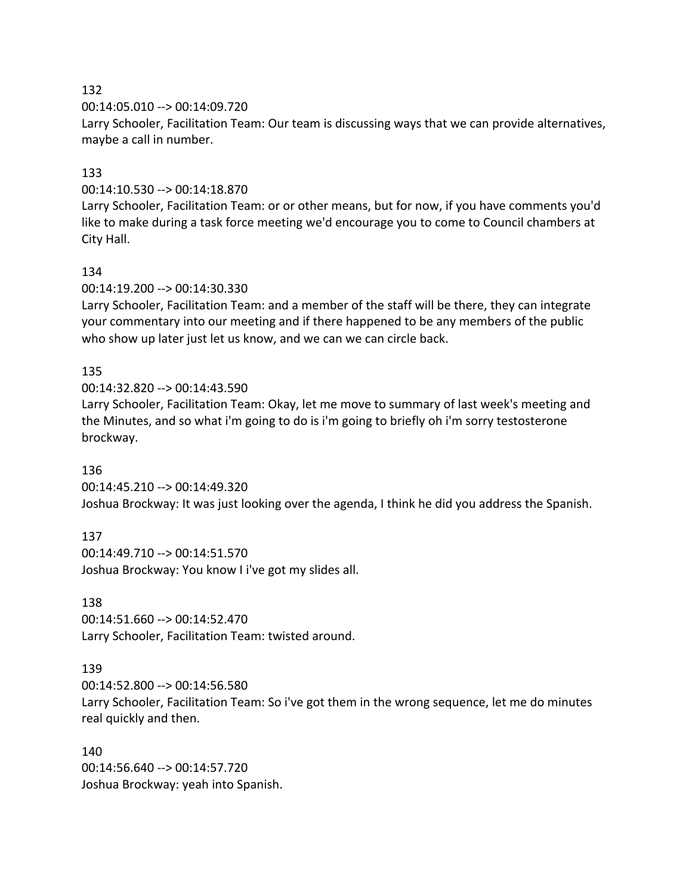00:14:05.010 --> 00:14:09.720

Larry Schooler, Facilitation Team: Our team is discussing ways that we can provide alternatives, maybe a call in number.

## 133

00:14:10.530 --> 00:14:18.870

Larry Schooler, Facilitation Team: or or other means, but for now, if you have comments you'd like to make during a task force meeting we'd encourage you to come to Council chambers at City Hall.

## 134

00:14:19.200 --> 00:14:30.330

Larry Schooler, Facilitation Team: and a member of the staff will be there, they can integrate your commentary into our meeting and if there happened to be any members of the public who show up later just let us know, and we can we can circle back.

# 135

00:14:32.820 --> 00:14:43.590

Larry Schooler, Facilitation Team: Okay, let me move to summary of last week's meeting and the Minutes, and so what i'm going to do is i'm going to briefly oh i'm sorry testosterone brockway.

## 136

00:14:45.210 --> 00:14:49.320 Joshua Brockway: It was just looking over the agenda, I think he did you address the Spanish.

## 137

00:14:49.710 --> 00:14:51.570 Joshua Brockway: You know I i've got my slides all.

## 138

00:14:51.660 --> 00:14:52.470 Larry Schooler, Facilitation Team: twisted around.

## 139

00:14:52.800 --> 00:14:56.580 Larry Schooler, Facilitation Team: So i've got them in the wrong sequence, let me do minutes real quickly and then.

140 00:14:56.640 --> 00:14:57.720 Joshua Brockway: yeah into Spanish.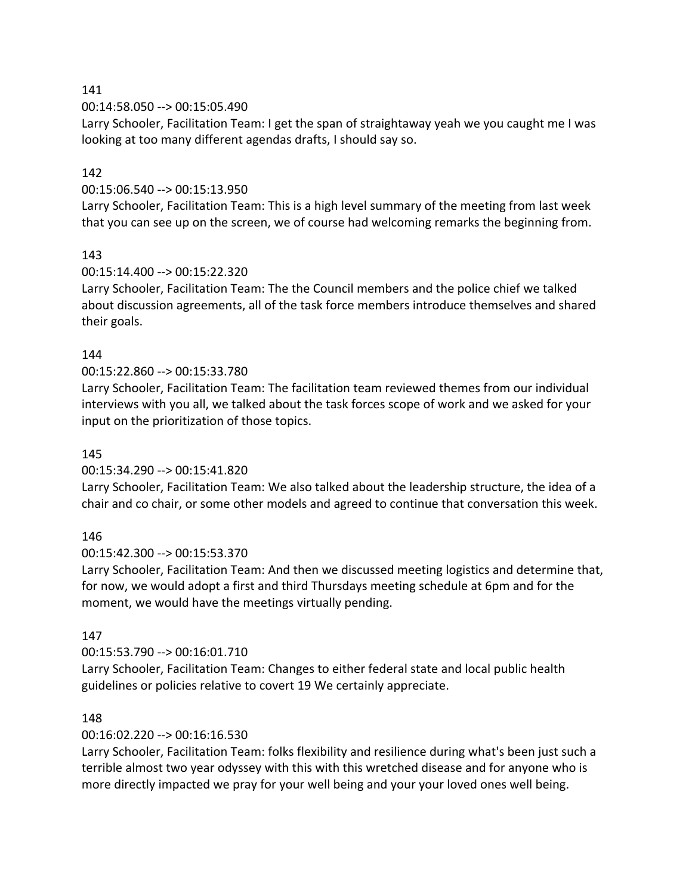00:14:58.050 --> 00:15:05.490

Larry Schooler, Facilitation Team: I get the span of straightaway yeah we you caught me I was looking at too many different agendas drafts, I should say so.

# 142

## 00:15:06.540 --> 00:15:13.950

Larry Schooler, Facilitation Team: This is a high level summary of the meeting from last week that you can see up on the screen, we of course had welcoming remarks the beginning from.

## 143

## 00:15:14.400 --> 00:15:22.320

Larry Schooler, Facilitation Team: The the Council members and the police chief we talked about discussion agreements, all of the task force members introduce themselves and shared their goals.

## 144

## 00:15:22.860 --> 00:15:33.780

Larry Schooler, Facilitation Team: The facilitation team reviewed themes from our individual interviews with you all, we talked about the task forces scope of work and we asked for your input on the prioritization of those topics.

## 145

## 00:15:34.290 --> 00:15:41.820

Larry Schooler, Facilitation Team: We also talked about the leadership structure, the idea of a chair and co chair, or some other models and agreed to continue that conversation this week.

## 146

## 00:15:42.300 --> 00:15:53.370

Larry Schooler, Facilitation Team: And then we discussed meeting logistics and determine that, for now, we would adopt a first and third Thursdays meeting schedule at 6pm and for the moment, we would have the meetings virtually pending.

## 147

## 00:15:53.790 --> 00:16:01.710

Larry Schooler, Facilitation Team: Changes to either federal state and local public health guidelines or policies relative to covert 19 We certainly appreciate.

## 148

# 00:16:02.220 --> 00:16:16.530

Larry Schooler, Facilitation Team: folks flexibility and resilience during what's been just such a terrible almost two year odyssey with this with this wretched disease and for anyone who is more directly impacted we pray for your well being and your your loved ones well being.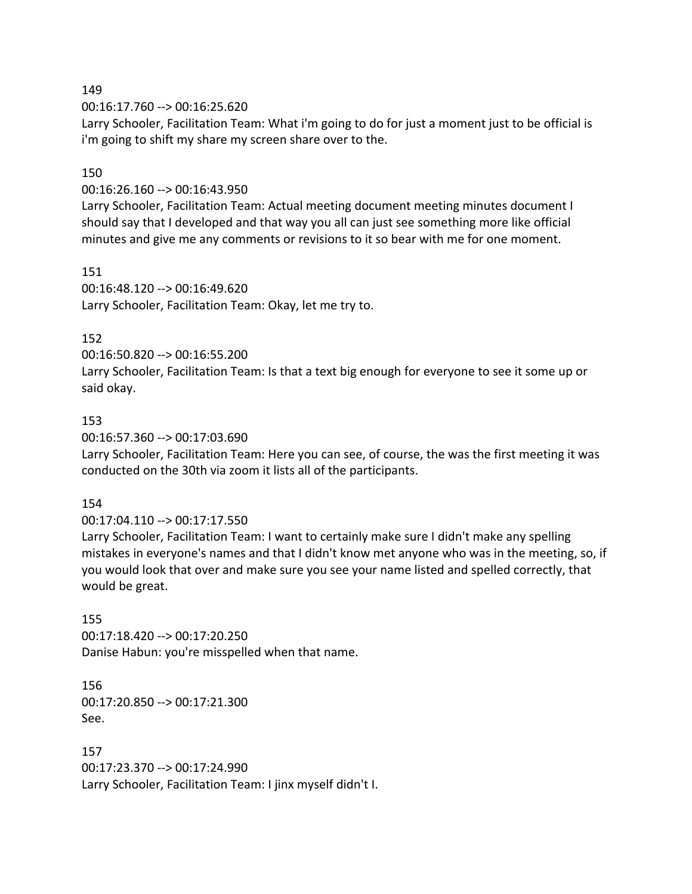00:16:17.760 --> 00:16:25.620

Larry Schooler, Facilitation Team: What i'm going to do for just a moment just to be official is i'm going to shift my share my screen share over to the.

### 150

00:16:26.160 --> 00:16:43.950

Larry Schooler, Facilitation Team: Actual meeting document meeting minutes document I should say that I developed and that way you all can just see something more like official minutes and give me any comments or revisions to it so bear with me for one moment.

151

00:16:48.120 --> 00:16:49.620 Larry Schooler, Facilitation Team: Okay, let me try to.

### 152

00:16:50.820 --> 00:16:55.200

Larry Schooler, Facilitation Team: Is that a text big enough for everyone to see it some up or said okay.

### 153

00:16:57.360 --> 00:17:03.690

Larry Schooler, Facilitation Team: Here you can see, of course, the was the first meeting it was conducted on the 30th via zoom it lists all of the participants.

#### 154

#### 00:17:04.110 --> 00:17:17.550

Larry Schooler, Facilitation Team: I want to certainly make sure I didn't make any spelling mistakes in everyone's names and that I didn't know met anyone who was in the meeting, so, if you would look that over and make sure you see your name listed and spelled correctly, that would be great.

155 00:17:18.420 --> 00:17:20.250 Danise Habun: you're misspelled when that name.

156 00:17:20.850 --> 00:17:21.300 See.

157 00:17:23.370 --> 00:17:24.990 Larry Schooler, Facilitation Team: I jinx myself didn't I.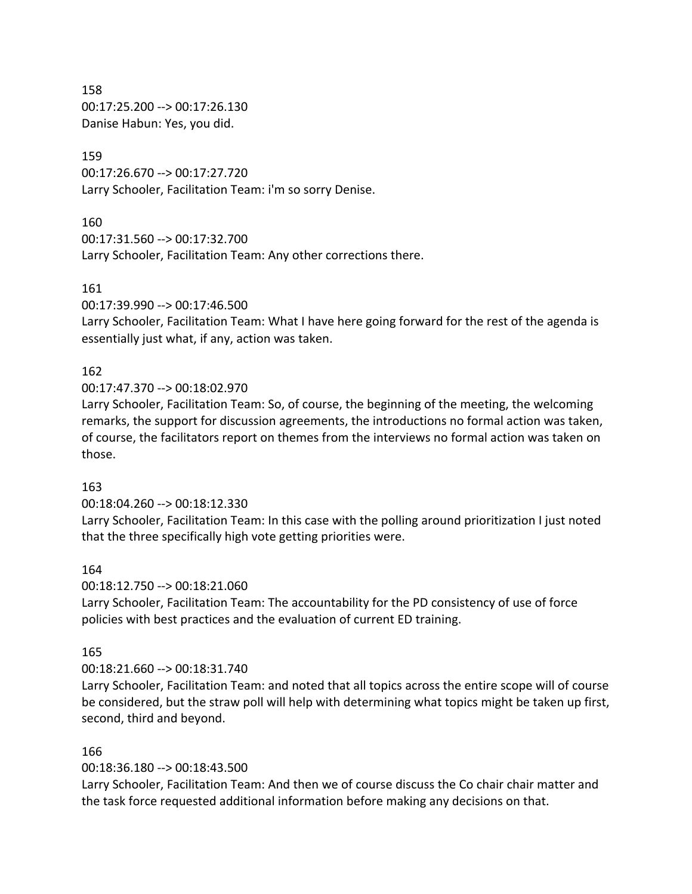158 00:17:25.200 --> 00:17:26.130 Danise Habun: Yes, you did.

### 159

00:17:26.670 --> 00:17:27.720 Larry Schooler, Facilitation Team: i'm so sorry Denise.

### 160

00:17:31.560 --> 00:17:32.700

Larry Schooler, Facilitation Team: Any other corrections there.

## 161

00:17:39.990 --> 00:17:46.500

Larry Schooler, Facilitation Team: What I have here going forward for the rest of the agenda is essentially just what, if any, action was taken.

# 162

00:17:47.370 --> 00:18:02.970

Larry Schooler, Facilitation Team: So, of course, the beginning of the meeting, the welcoming remarks, the support for discussion agreements, the introductions no formal action was taken, of course, the facilitators report on themes from the interviews no formal action was taken on those.

## 163

00:18:04.260 --> 00:18:12.330

Larry Schooler, Facilitation Team: In this case with the polling around prioritization I just noted that the three specifically high vote getting priorities were.

## 164

00:18:12.750 --> 00:18:21.060

Larry Schooler, Facilitation Team: The accountability for the PD consistency of use of force policies with best practices and the evaluation of current ED training.

## 165

## 00:18:21.660 --> 00:18:31.740

Larry Schooler, Facilitation Team: and noted that all topics across the entire scope will of course be considered, but the straw poll will help with determining what topics might be taken up first, second, third and beyond.

## 166

00:18:36.180 --> 00:18:43.500

Larry Schooler, Facilitation Team: And then we of course discuss the Co chair chair matter and the task force requested additional information before making any decisions on that.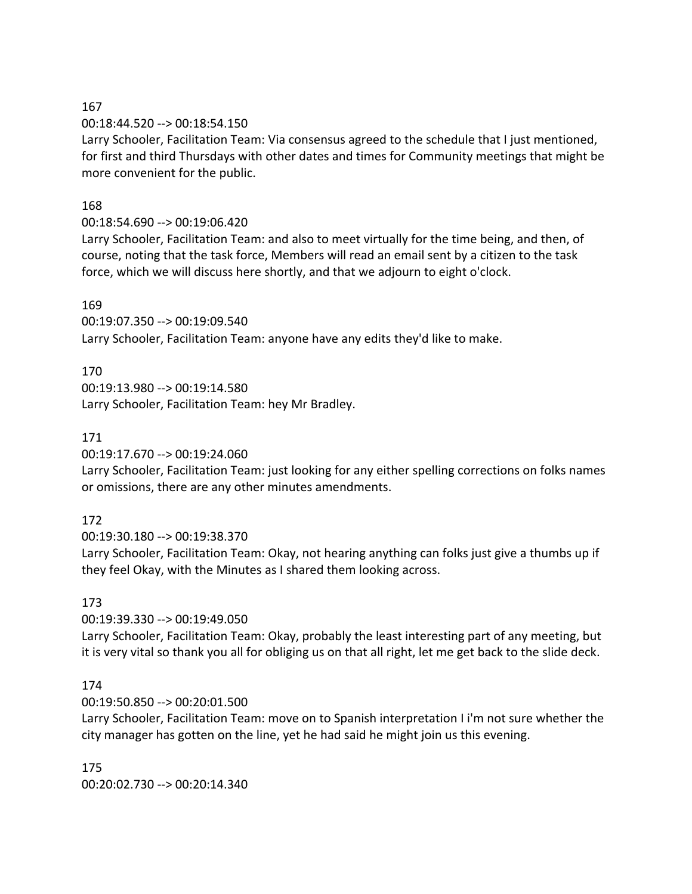00:18:44.520 --> 00:18:54.150

Larry Schooler, Facilitation Team: Via consensus agreed to the schedule that I just mentioned, for first and third Thursdays with other dates and times for Community meetings that might be more convenient for the public.

## 168

## 00:18:54.690 --> 00:19:06.420

Larry Schooler, Facilitation Team: and also to meet virtually for the time being, and then, of course, noting that the task force, Members will read an email sent by a citizen to the task force, which we will discuss here shortly, and that we adjourn to eight o'clock.

## 169

00:19:07.350 --> 00:19:09.540 Larry Schooler, Facilitation Team: anyone have any edits they'd like to make.

# 170

00:19:13.980 --> 00:19:14.580 Larry Schooler, Facilitation Team: hey Mr Bradley.

## 171

00:19:17.670 --> 00:19:24.060

Larry Schooler, Facilitation Team: just looking for any either spelling corrections on folks names or omissions, there are any other minutes amendments.

# 172

00:19:30.180 --> 00:19:38.370

Larry Schooler, Facilitation Team: Okay, not hearing anything can folks just give a thumbs up if they feel Okay, with the Minutes as I shared them looking across.

## 173

00:19:39.330 --> 00:19:49.050

Larry Schooler, Facilitation Team: Okay, probably the least interesting part of any meeting, but it is very vital so thank you all for obliging us on that all right, let me get back to the slide deck.

## 174

00:19:50.850 --> 00:20:01.500

Larry Schooler, Facilitation Team: move on to Spanish interpretation I i'm not sure whether the city manager has gotten on the line, yet he had said he might join us this evening.

175 00:20:02.730 --> 00:20:14.340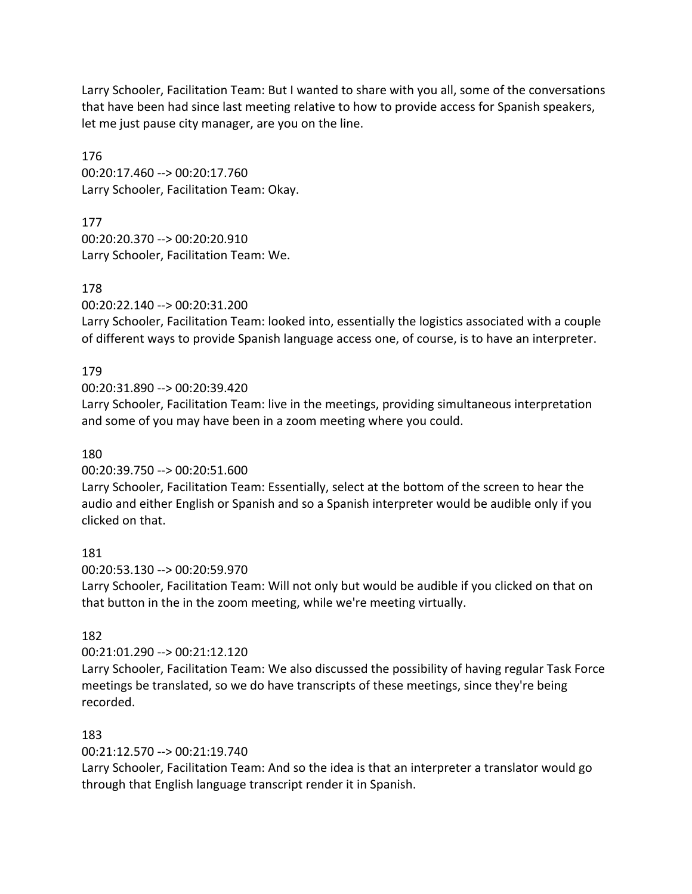Larry Schooler, Facilitation Team: But I wanted to share with you all, some of the conversations that have been had since last meeting relative to how to provide access for Spanish speakers, let me just pause city manager, are you on the line.

176 00:20:17.460 --> 00:20:17.760 Larry Schooler, Facilitation Team: Okay.

177 00:20:20.370 --> 00:20:20.910 Larry Schooler, Facilitation Team: We.

178

00:20:22.140 --> 00:20:31.200

Larry Schooler, Facilitation Team: looked into, essentially the logistics associated with a couple of different ways to provide Spanish language access one, of course, is to have an interpreter.

## 179

00:20:31.890 --> 00:20:39.420

Larry Schooler, Facilitation Team: live in the meetings, providing simultaneous interpretation and some of you may have been in a zoom meeting where you could.

## 180

00:20:39.750 --> 00:20:51.600

Larry Schooler, Facilitation Team: Essentially, select at the bottom of the screen to hear the audio and either English or Spanish and so a Spanish interpreter would be audible only if you clicked on that.

181

00:20:53.130 --> 00:20:59.970

Larry Schooler, Facilitation Team: Will not only but would be audible if you clicked on that on that button in the in the zoom meeting, while we're meeting virtually.

## 182

00:21:01.290 --> 00:21:12.120

Larry Schooler, Facilitation Team: We also discussed the possibility of having regular Task Force meetings be translated, so we do have transcripts of these meetings, since they're being recorded.

## 183

00:21:12.570 --> 00:21:19.740

Larry Schooler, Facilitation Team: And so the idea is that an interpreter a translator would go through that English language transcript render it in Spanish.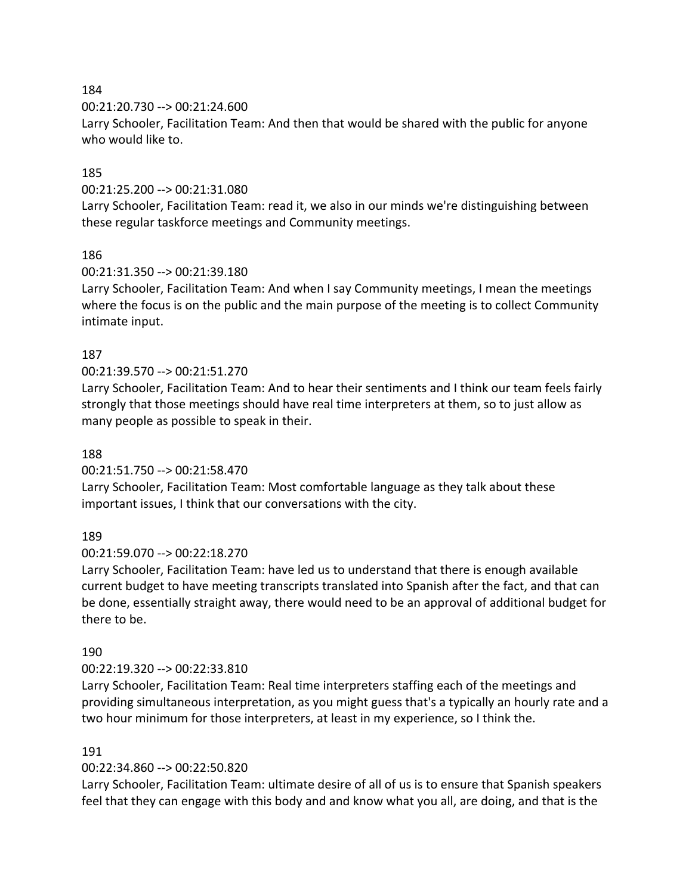00:21:20.730 --> 00:21:24.600

Larry Schooler, Facilitation Team: And then that would be shared with the public for anyone who would like to.

# 185

00:21:25.200 --> 00:21:31.080

Larry Schooler, Facilitation Team: read it, we also in our minds we're distinguishing between these regular taskforce meetings and Community meetings.

## 186

00:21:31.350 --> 00:21:39.180

Larry Schooler, Facilitation Team: And when I say Community meetings, I mean the meetings where the focus is on the public and the main purpose of the meeting is to collect Community intimate input.

## 187

### 00:21:39.570 --> 00:21:51.270

Larry Schooler, Facilitation Team: And to hear their sentiments and I think our team feels fairly strongly that those meetings should have real time interpreters at them, so to just allow as many people as possible to speak in their.

#### 188

#### 00:21:51.750 --> 00:21:58.470

Larry Schooler, Facilitation Team: Most comfortable language as they talk about these important issues, I think that our conversations with the city.

## 189

#### 00:21:59.070 --> 00:22:18.270

Larry Schooler, Facilitation Team: have led us to understand that there is enough available current budget to have meeting transcripts translated into Spanish after the fact, and that can be done, essentially straight away, there would need to be an approval of additional budget for there to be.

#### 190

#### 00:22:19.320 --> 00:22:33.810

Larry Schooler, Facilitation Team: Real time interpreters staffing each of the meetings and providing simultaneous interpretation, as you might guess that's a typically an hourly rate and a two hour minimum for those interpreters, at least in my experience, so I think the.

### 191

## 00:22:34.860 --> 00:22:50.820

Larry Schooler, Facilitation Team: ultimate desire of all of us is to ensure that Spanish speakers feel that they can engage with this body and and know what you all, are doing, and that is the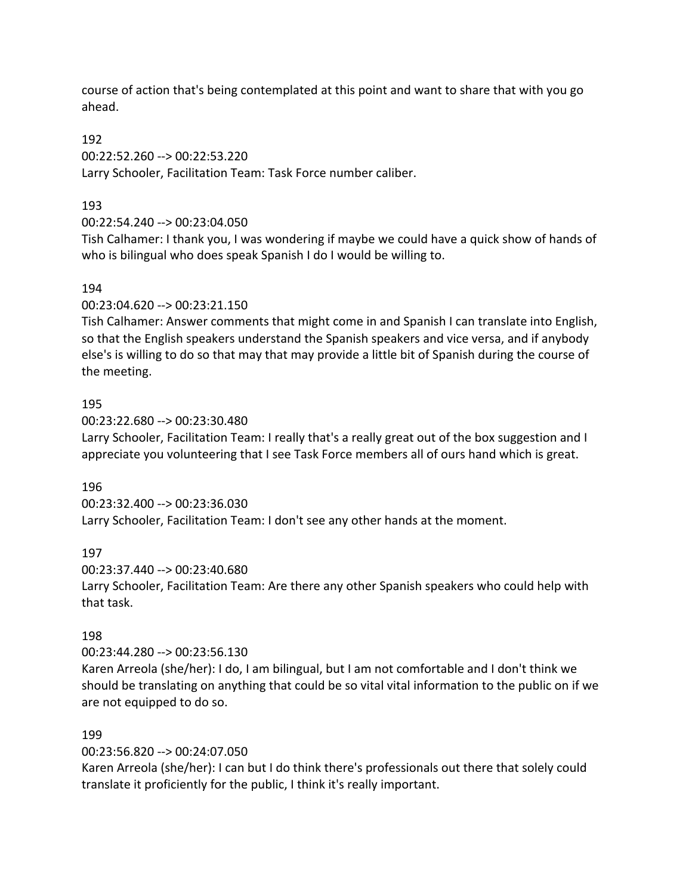course of action that's being contemplated at this point and want to share that with you go ahead.

### 192

00:22:52.260 --> 00:22:53.220

Larry Schooler, Facilitation Team: Task Force number caliber.

## 193

## 00:22:54.240 --> 00:23:04.050

Tish Calhamer: I thank you, I was wondering if maybe we could have a quick show of hands of who is bilingual who does speak Spanish I do I would be willing to.

### 194

00:23:04.620 --> 00:23:21.150

Tish Calhamer: Answer comments that might come in and Spanish I can translate into English, so that the English speakers understand the Spanish speakers and vice versa, and if anybody else's is willing to do so that may that may provide a little bit of Spanish during the course of the meeting.

### 195

00:23:22.680 --> 00:23:30.480

Larry Schooler, Facilitation Team: I really that's a really great out of the box suggestion and I appreciate you volunteering that I see Task Force members all of ours hand which is great.

## 196

00:23:32.400 --> 00:23:36.030 Larry Schooler, Facilitation Team: I don't see any other hands at the moment.

#### 197

00:23:37.440 --> 00:23:40.680

Larry Schooler, Facilitation Team: Are there any other Spanish speakers who could help with that task.

## 198

00:23:44.280 --> 00:23:56.130

Karen Arreola (she/her): I do, I am bilingual, but I am not comfortable and I don't think we should be translating on anything that could be so vital vital information to the public on if we are not equipped to do so.

## 199

00:23:56.820 --> 00:24:07.050

Karen Arreola (she/her): I can but I do think there's professionals out there that solely could translate it proficiently for the public, I think it's really important.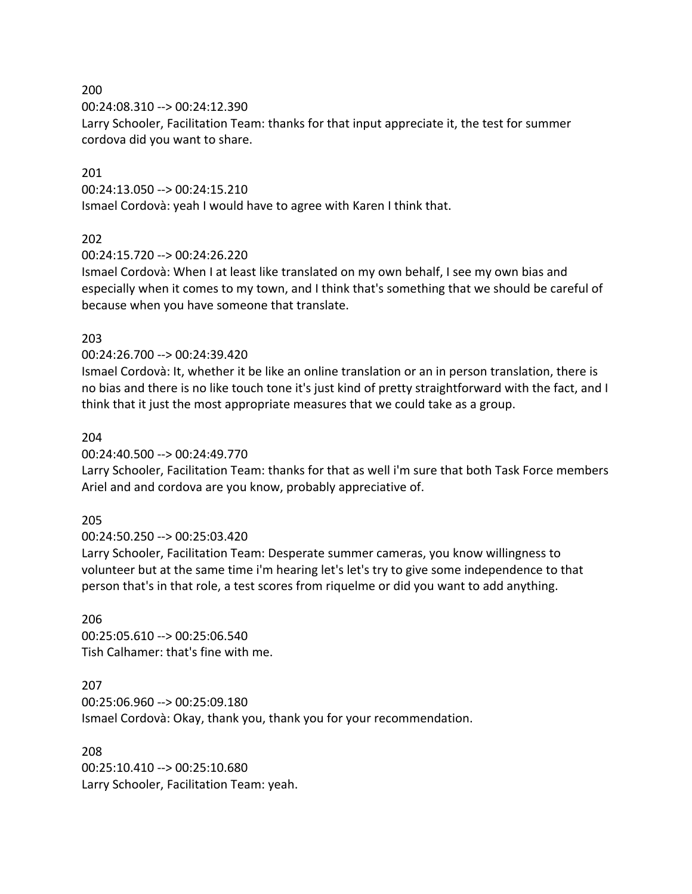00:24:08.310 --> 00:24:12.390

Larry Schooler, Facilitation Team: thanks for that input appreciate it, the test for summer cordova did you want to share.

### 201

00:24:13.050 --> 00:24:15.210

Ismael Cordovà: yeah I would have to agree with Karen I think that.

### 202

00:24:15.720 --> 00:24:26.220

Ismael Cordovà: When I at least like translated on my own behalf, I see my own bias and especially when it comes to my town, and I think that's something that we should be careful of because when you have someone that translate.

#### 203

00:24:26.700 --> 00:24:39.420

Ismael Cordovà: It, whether it be like an online translation or an in person translation, there is no bias and there is no like touch tone it's just kind of pretty straightforward with the fact, and I think that it just the most appropriate measures that we could take as a group.

#### 204

00:24:40.500 --> 00:24:49.770

Larry Schooler, Facilitation Team: thanks for that as well i'm sure that both Task Force members Ariel and and cordova are you know, probably appreciative of.

#### 205

00:24:50.250 --> 00:25:03.420

Larry Schooler, Facilitation Team: Desperate summer cameras, you know willingness to volunteer but at the same time i'm hearing let's let's try to give some independence to that person that's in that role, a test scores from riquelme or did you want to add anything.

#### 206

00:25:05.610 --> 00:25:06.540 Tish Calhamer: that's fine with me.

#### 207

00:25:06.960 --> 00:25:09.180 Ismael Cordovà: Okay, thank you, thank you for your recommendation.

#### 208

00:25:10.410 --> 00:25:10.680 Larry Schooler, Facilitation Team: yeah.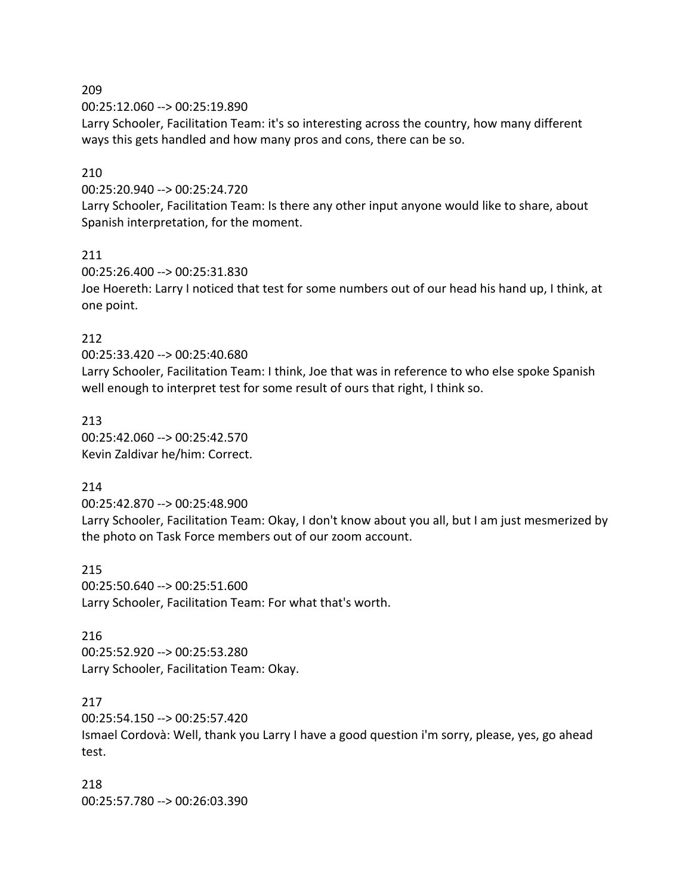00:25:12.060 --> 00:25:19.890

Larry Schooler, Facilitation Team: it's so interesting across the country, how many different ways this gets handled and how many pros and cons, there can be so.

### 210

00:25:20.940 --> 00:25:24.720

Larry Schooler, Facilitation Team: Is there any other input anyone would like to share, about Spanish interpretation, for the moment.

#### 211

00:25:26.400 --> 00:25:31.830 Joe Hoereth: Larry I noticed that test for some numbers out of our head his hand up, I think, at one point.

### 212

00:25:33.420 --> 00:25:40.680

Larry Schooler, Facilitation Team: I think, Joe that was in reference to who else spoke Spanish well enough to interpret test for some result of ours that right, I think so.

213 00:25:42.060 --> 00:25:42.570 Kevin Zaldivar he/him: Correct.

#### 214

00:25:42.870 --> 00:25:48.900

Larry Schooler, Facilitation Team: Okay, I don't know about you all, but I am just mesmerized by the photo on Task Force members out of our zoom account.

215 00:25:50.640 --> 00:25:51.600 Larry Schooler, Facilitation Team: For what that's worth.

#### 216

00:25:52.920 --> 00:25:53.280 Larry Schooler, Facilitation Team: Okay.

#### 217

00:25:54.150 --> 00:25:57.420

Ismael Cordovà: Well, thank you Larry I have a good question i'm sorry, please, yes, go ahead test.

218 00:25:57.780 --> 00:26:03.390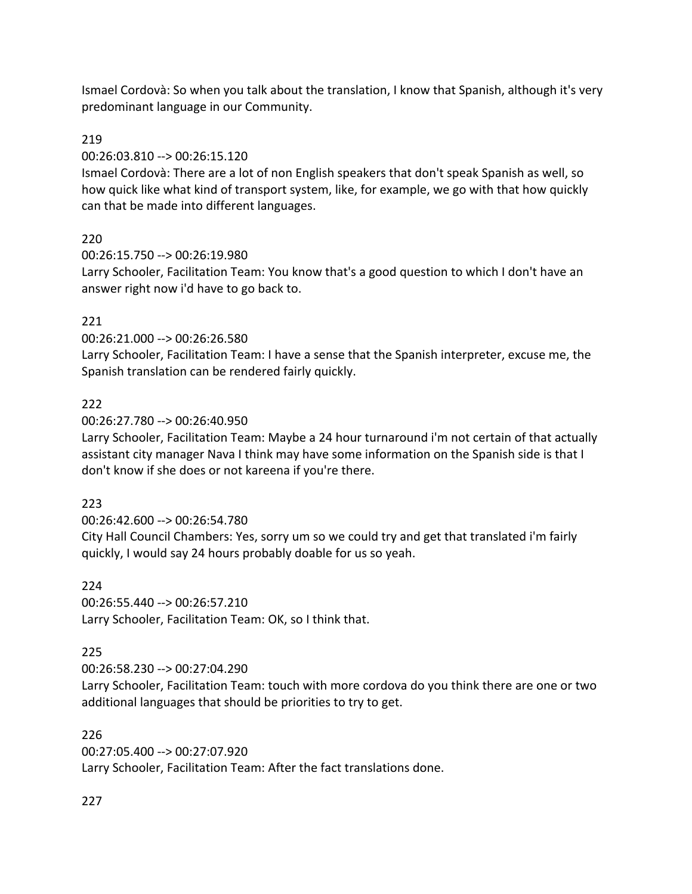Ismael Cordovà: So when you talk about the translation, I know that Spanish, although it's very predominant language in our Community.

# 219

## 00:26:03.810 --> 00:26:15.120

Ismael Cordovà: There are a lot of non English speakers that don't speak Spanish as well, so how quick like what kind of transport system, like, for example, we go with that how quickly can that be made into different languages.

# 220

00:26:15.750 --> 00:26:19.980

Larry Schooler, Facilitation Team: You know that's a good question to which I don't have an answer right now i'd have to go back to.

# 221

00:26:21.000 --> 00:26:26.580

Larry Schooler, Facilitation Team: I have a sense that the Spanish interpreter, excuse me, the Spanish translation can be rendered fairly quickly.

# 222

00:26:27.780 --> 00:26:40.950

Larry Schooler, Facilitation Team: Maybe a 24 hour turnaround i'm not certain of that actually assistant city manager Nava I think may have some information on the Spanish side is that I don't know if she does or not kareena if you're there.

## 223

00:26:42.600 --> 00:26:54.780

City Hall Council Chambers: Yes, sorry um so we could try and get that translated i'm fairly quickly, I would say 24 hours probably doable for us so yeah.

## 224

00:26:55.440 --> 00:26:57.210 Larry Schooler, Facilitation Team: OK, so I think that.

# 225

00:26:58.230 --> 00:27:04.290

Larry Schooler, Facilitation Team: touch with more cordova do you think there are one or two additional languages that should be priorities to try to get.

## 226

00:27:05.400 --> 00:27:07.920 Larry Schooler, Facilitation Team: After the fact translations done.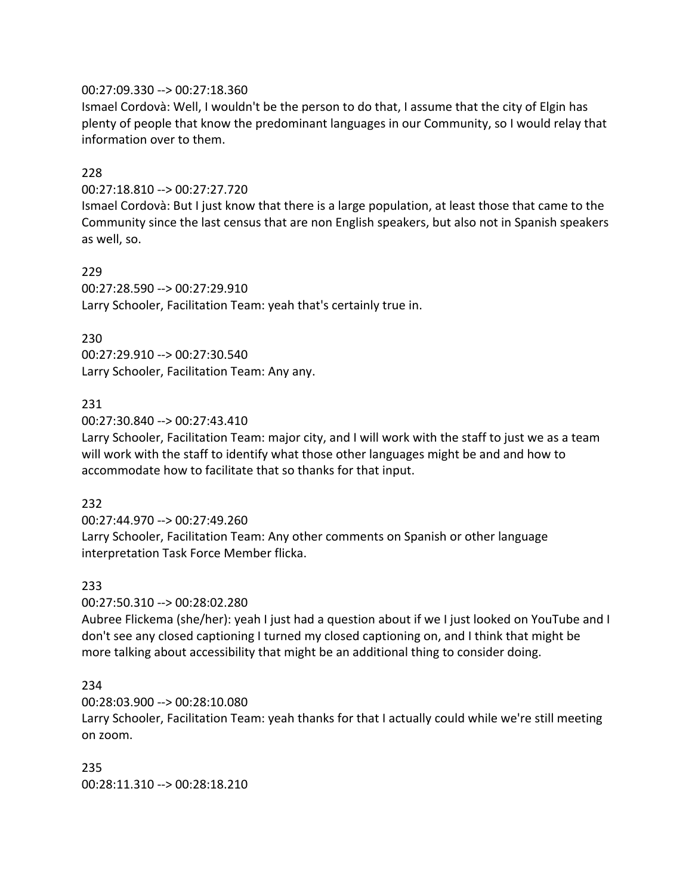#### 00:27:09.330 --> 00:27:18.360

Ismael Cordovà: Well, I wouldn't be the person to do that, I assume that the city of Elgin has plenty of people that know the predominant languages in our Community, so I would relay that information over to them.

### 228

### 00:27:18.810 --> 00:27:27.720

Ismael Cordovà: But I just know that there is a large population, at least those that came to the Community since the last census that are non English speakers, but also not in Spanish speakers as well, so.

### 229

00:27:28.590 --> 00:27:29.910 Larry Schooler, Facilitation Team: yeah that's certainly true in.

### 230

00:27:29.910 --> 00:27:30.540 Larry Schooler, Facilitation Team: Any any.

### 231

00:27:30.840 --> 00:27:43.410

Larry Schooler, Facilitation Team: major city, and I will work with the staff to just we as a team will work with the staff to identify what those other languages might be and and how to accommodate how to facilitate that so thanks for that input.

#### 232

00:27:44.970 --> 00:27:49.260 Larry Schooler, Facilitation Team: Any other comments on Spanish or other language interpretation Task Force Member flicka.

#### 233

00:27:50.310 --> 00:28:02.280

Aubree Flickema (she/her): yeah I just had a question about if we I just looked on YouTube and I don't see any closed captioning I turned my closed captioning on, and I think that might be more talking about accessibility that might be an additional thing to consider doing.

#### 234

00:28:03.900 --> 00:28:10.080

Larry Schooler, Facilitation Team: yeah thanks for that I actually could while we're still meeting on zoom.

235 00:28:11.310 --> 00:28:18.210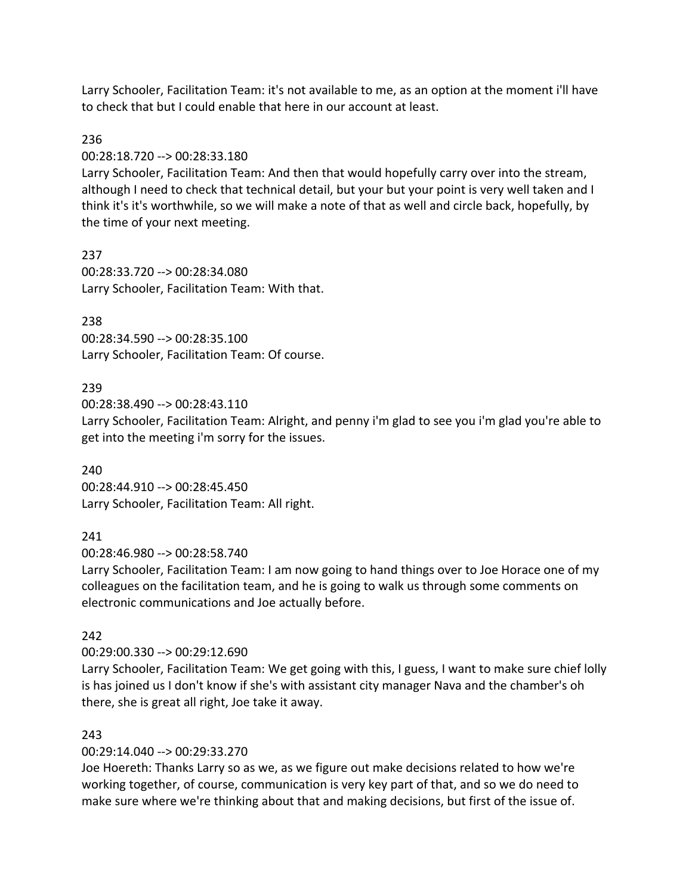Larry Schooler, Facilitation Team: it's not available to me, as an option at the moment i'll have to check that but I could enable that here in our account at least.

### 236

00:28:18.720 --> 00:28:33.180

Larry Schooler, Facilitation Team: And then that would hopefully carry over into the stream, although I need to check that technical detail, but your but your point is very well taken and I think it's it's worthwhile, so we will make a note of that as well and circle back, hopefully, by the time of your next meeting.

237 00:28:33.720 --> 00:28:34.080 Larry Schooler, Facilitation Team: With that.

### 238

00:28:34.590 --> 00:28:35.100 Larry Schooler, Facilitation Team: Of course.

### 239

00:28:38.490 --> 00:28:43.110

Larry Schooler, Facilitation Team: Alright, and penny i'm glad to see you i'm glad you're able to get into the meeting i'm sorry for the issues.

#### 240

00:28:44.910 --> 00:28:45.450 Larry Schooler, Facilitation Team: All right.

#### 241

00:28:46.980 --> 00:28:58.740

Larry Schooler, Facilitation Team: I am now going to hand things over to Joe Horace one of my colleagues on the facilitation team, and he is going to walk us through some comments on electronic communications and Joe actually before.

#### 242

00:29:00.330 --> 00:29:12.690

Larry Schooler, Facilitation Team: We get going with this, I guess, I want to make sure chief lolly is has joined us I don't know if she's with assistant city manager Nava and the chamber's oh there, she is great all right, Joe take it away.

#### 243

00:29:14.040 --> 00:29:33.270

Joe Hoereth: Thanks Larry so as we, as we figure out make decisions related to how we're working together, of course, communication is very key part of that, and so we do need to make sure where we're thinking about that and making decisions, but first of the issue of.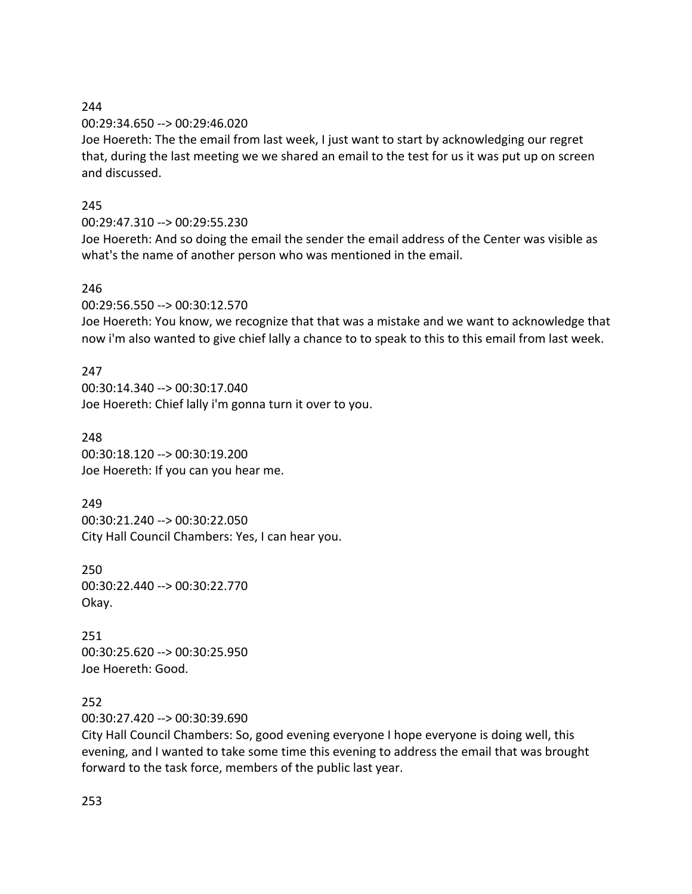00:29:34.650 --> 00:29:46.020

Joe Hoereth: The the email from last week, I just want to start by acknowledging our regret that, during the last meeting we we shared an email to the test for us it was put up on screen and discussed.

# 245

# 00:29:47.310 --> 00:29:55.230

Joe Hoereth: And so doing the email the sender the email address of the Center was visible as what's the name of another person who was mentioned in the email.

# 246

00:29:56.550 --> 00:30:12.570

Joe Hoereth: You know, we recognize that that was a mistake and we want to acknowledge that now i'm also wanted to give chief lally a chance to to speak to this to this email from last week.

# 247

00:30:14.340 --> 00:30:17.040 Joe Hoereth: Chief lally i'm gonna turn it over to you.

## 248

00:30:18.120 --> 00:30:19.200 Joe Hoereth: If you can you hear me.

## 249

00:30:21.240 --> 00:30:22.050 City Hall Council Chambers: Yes, I can hear you.

## 250 00:30:22.440 --> 00:30:22.770 Okay.

251 00:30:25.620 --> 00:30:25.950 Joe Hoereth: Good.

# 252

00:30:27.420 --> 00:30:39.690

City Hall Council Chambers: So, good evening everyone I hope everyone is doing well, this evening, and I wanted to take some time this evening to address the email that was brought forward to the task force, members of the public last year.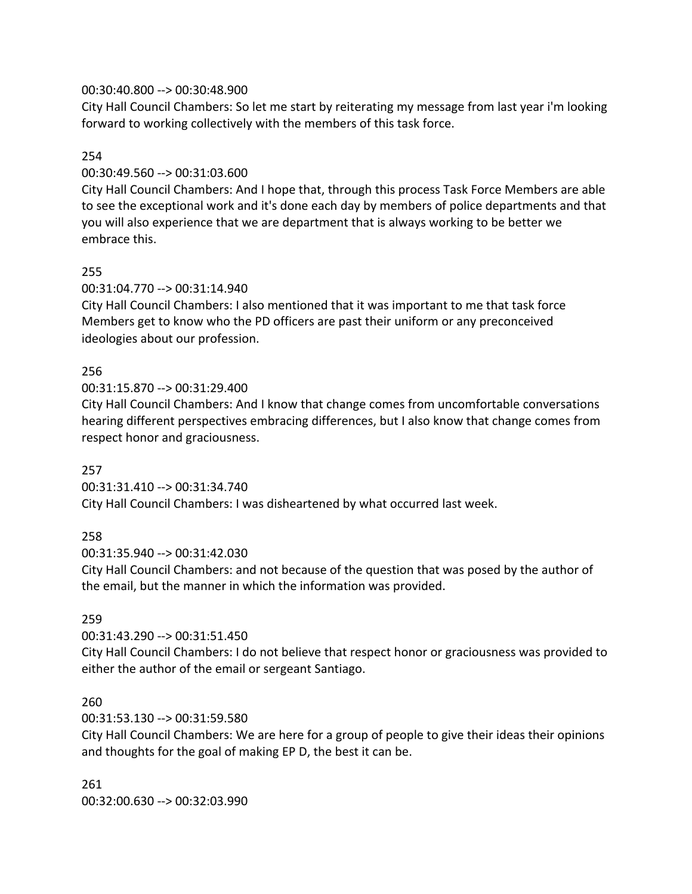### 00:30:40.800 --> 00:30:48.900

City Hall Council Chambers: So let me start by reiterating my message from last year i'm looking forward to working collectively with the members of this task force.

### 254

### 00:30:49.560 --> 00:31:03.600

City Hall Council Chambers: And I hope that, through this process Task Force Members are able to see the exceptional work and it's done each day by members of police departments and that you will also experience that we are department that is always working to be better we embrace this.

## 255

### 00:31:04.770 --> 00:31:14.940

City Hall Council Chambers: I also mentioned that it was important to me that task force Members get to know who the PD officers are past their uniform or any preconceived ideologies about our profession.

## 256

00:31:15.870 --> 00:31:29.400

City Hall Council Chambers: And I know that change comes from uncomfortable conversations hearing different perspectives embracing differences, but I also know that change comes from respect honor and graciousness.

#### 257

00:31:31.410 --> 00:31:34.740 City Hall Council Chambers: I was disheartened by what occurred last week.

#### 258

00:31:35.940 --> 00:31:42.030

City Hall Council Chambers: and not because of the question that was posed by the author of the email, but the manner in which the information was provided.

## 259

00:31:43.290 --> 00:31:51.450

City Hall Council Chambers: I do not believe that respect honor or graciousness was provided to either the author of the email or sergeant Santiago.

#### 260

00:31:53.130 --> 00:31:59.580

City Hall Council Chambers: We are here for a group of people to give their ideas their opinions and thoughts for the goal of making EP D, the best it can be.

261 00:32:00.630 --> 00:32:03.990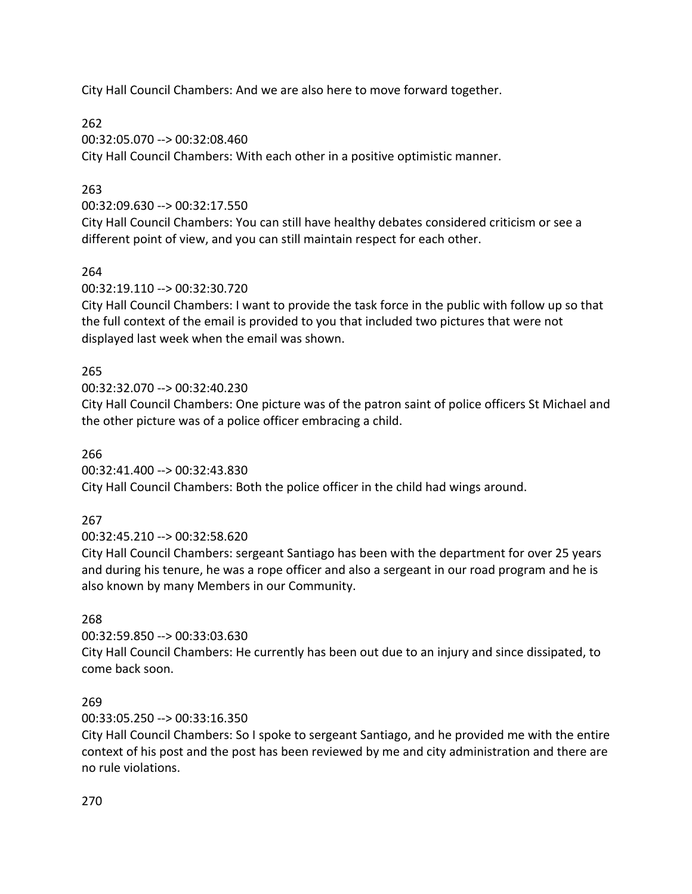City Hall Council Chambers: And we are also here to move forward together.

# 262

00:32:05.070 --> 00:32:08.460 City Hall Council Chambers: With each other in a positive optimistic manner.

# 263

00:32:09.630 --> 00:32:17.550

City Hall Council Chambers: You can still have healthy debates considered criticism or see a different point of view, and you can still maintain respect for each other.

# 264

00:32:19.110 --> 00:32:30.720

City Hall Council Chambers: I want to provide the task force in the public with follow up so that the full context of the email is provided to you that included two pictures that were not displayed last week when the email was shown.

# 265

00:32:32.070 --> 00:32:40.230

City Hall Council Chambers: One picture was of the patron saint of police officers St Michael and the other picture was of a police officer embracing a child.

266

00:32:41.400 --> 00:32:43.830

City Hall Council Chambers: Both the police officer in the child had wings around.

# 267

00:32:45.210 --> 00:32:58.620

City Hall Council Chambers: sergeant Santiago has been with the department for over 25 years and during his tenure, he was a rope officer and also a sergeant in our road program and he is also known by many Members in our Community.

# 268

00:32:59.850 --> 00:33:03.630

City Hall Council Chambers: He currently has been out due to an injury and since dissipated, to come back soon.

# 269

00:33:05.250 --> 00:33:16.350

City Hall Council Chambers: So I spoke to sergeant Santiago, and he provided me with the entire context of his post and the post has been reviewed by me and city administration and there are no rule violations.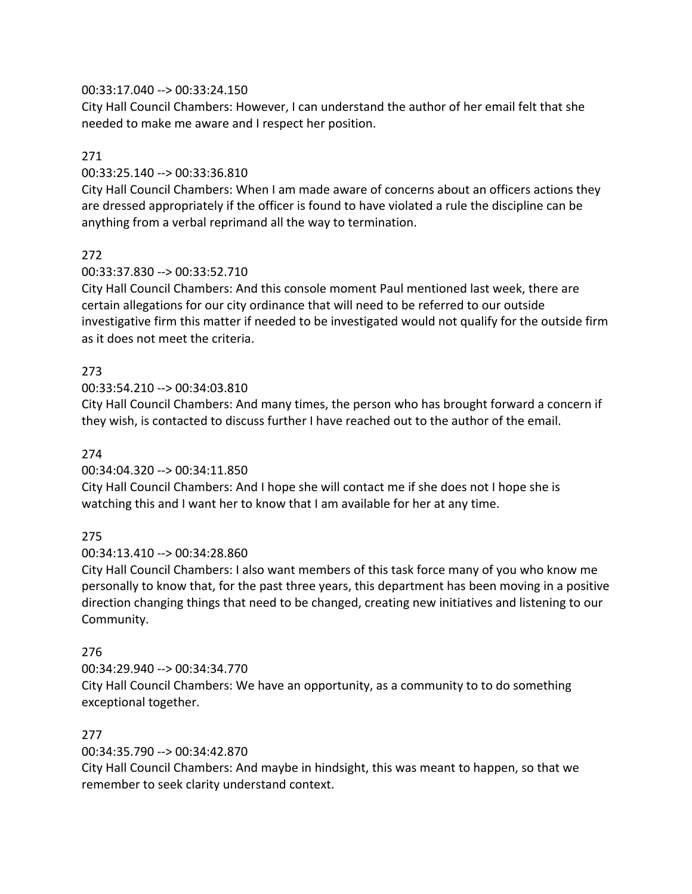### 00:33:17.040 --> 00:33:24.150

City Hall Council Chambers: However, I can understand the author of her email felt that she needed to make me aware and I respect her position.

### 271

### 00:33:25.140 --> 00:33:36.810

City Hall Council Chambers: When I am made aware of concerns about an officers actions they are dressed appropriately if the officer is found to have violated a rule the discipline can be anything from a verbal reprimand all the way to termination.

## 272

## 00:33:37.830 --> 00:33:52.710

City Hall Council Chambers: And this console moment Paul mentioned last week, there are certain allegations for our city ordinance that will need to be referred to our outside investigative firm this matter if needed to be investigated would not qualify for the outside firm as it does not meet the criteria.

## 273

## 00:33:54.210 --> 00:34:03.810

City Hall Council Chambers: And many times, the person who has brought forward a concern if they wish, is contacted to discuss further I have reached out to the author of the email.

### 274

## 00:34:04.320 --> 00:34:11.850

City Hall Council Chambers: And I hope she will contact me if she does not I hope she is watching this and I want her to know that I am available for her at any time.

## 275

## 00:34:13.410 --> 00:34:28.860

City Hall Council Chambers: I also want members of this task force many of you who know me personally to know that, for the past three years, this department has been moving in a positive direction changing things that need to be changed, creating new initiatives and listening to our Community.

## 276

# 00:34:29.940 --> 00:34:34.770 City Hall Council Chambers: We have an opportunity, as a community to to do something exceptional together.

## 277

## 00:34:35.790 --> 00:34:42.870

City Hall Council Chambers: And maybe in hindsight, this was meant to happen, so that we remember to seek clarity understand context.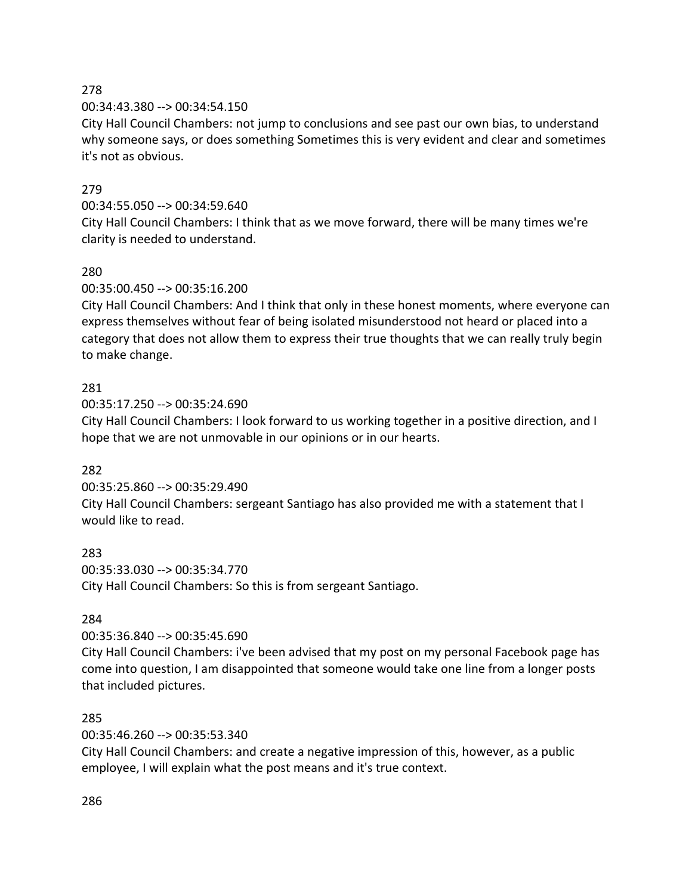00:34:43.380 --> 00:34:54.150

City Hall Council Chambers: not jump to conclusions and see past our own bias, to understand why someone says, or does something Sometimes this is very evident and clear and sometimes it's not as obvious.

# 279

## 00:34:55.050 --> 00:34:59.640

City Hall Council Chambers: I think that as we move forward, there will be many times we're clarity is needed to understand.

# 280

## 00:35:00.450 --> 00:35:16.200

City Hall Council Chambers: And I think that only in these honest moments, where everyone can express themselves without fear of being isolated misunderstood not heard or placed into a category that does not allow them to express their true thoughts that we can really truly begin to make change.

## 281

00:35:17.250 --> 00:35:24.690

City Hall Council Chambers: I look forward to us working together in a positive direction, and I hope that we are not unmovable in our opinions or in our hearts.

## 282

00:35:25.860 --> 00:35:29.490

City Hall Council Chambers: sergeant Santiago has also provided me with a statement that I would like to read.

## 283

00:35:33.030 --> 00:35:34.770 City Hall Council Chambers: So this is from sergeant Santiago.

## 284

00:35:36.840 --> 00:35:45.690

City Hall Council Chambers: i've been advised that my post on my personal Facebook page has come into question, I am disappointed that someone would take one line from a longer posts that included pictures.

## 285

00:35:46.260 --> 00:35:53.340

City Hall Council Chambers: and create a negative impression of this, however, as a public employee, I will explain what the post means and it's true context.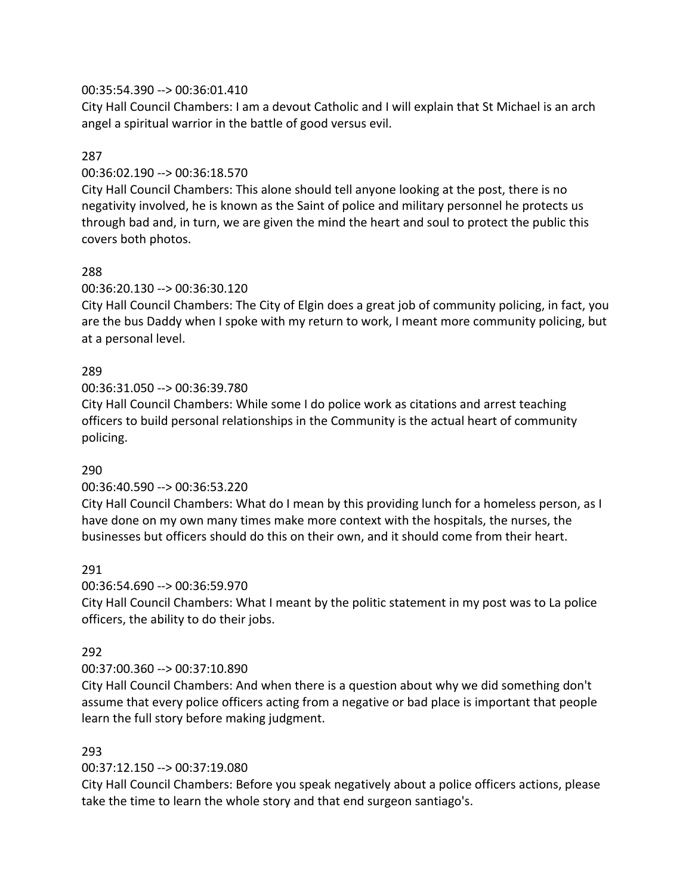### 00:35:54.390 --> 00:36:01.410

City Hall Council Chambers: I am a devout Catholic and I will explain that St Michael is an arch angel a spiritual warrior in the battle of good versus evil.

### 287

### 00:36:02.190 --> 00:36:18.570

City Hall Council Chambers: This alone should tell anyone looking at the post, there is no negativity involved, he is known as the Saint of police and military personnel he protects us through bad and, in turn, we are given the mind the heart and soul to protect the public this covers both photos.

## 288

### 00:36:20.130 --> 00:36:30.120

City Hall Council Chambers: The City of Elgin does a great job of community policing, in fact, you are the bus Daddy when I spoke with my return to work, I meant more community policing, but at a personal level.

### 289

00:36:31.050 --> 00:36:39.780

City Hall Council Chambers: While some I do police work as citations and arrest teaching officers to build personal relationships in the Community is the actual heart of community policing.

#### 290

#### 00:36:40.590 --> 00:36:53.220

City Hall Council Chambers: What do I mean by this providing lunch for a homeless person, as I have done on my own many times make more context with the hospitals, the nurses, the businesses but officers should do this on their own, and it should come from their heart.

## 291

#### 00:36:54.690 --> 00:36:59.970

City Hall Council Chambers: What I meant by the politic statement in my post was to La police officers, the ability to do their jobs.

#### 292

## 00:37:00.360 --> 00:37:10.890

City Hall Council Chambers: And when there is a question about why we did something don't assume that every police officers acting from a negative or bad place is important that people learn the full story before making judgment.

### 293

## 00:37:12.150 --> 00:37:19.080

City Hall Council Chambers: Before you speak negatively about a police officers actions, please take the time to learn the whole story and that end surgeon santiago's.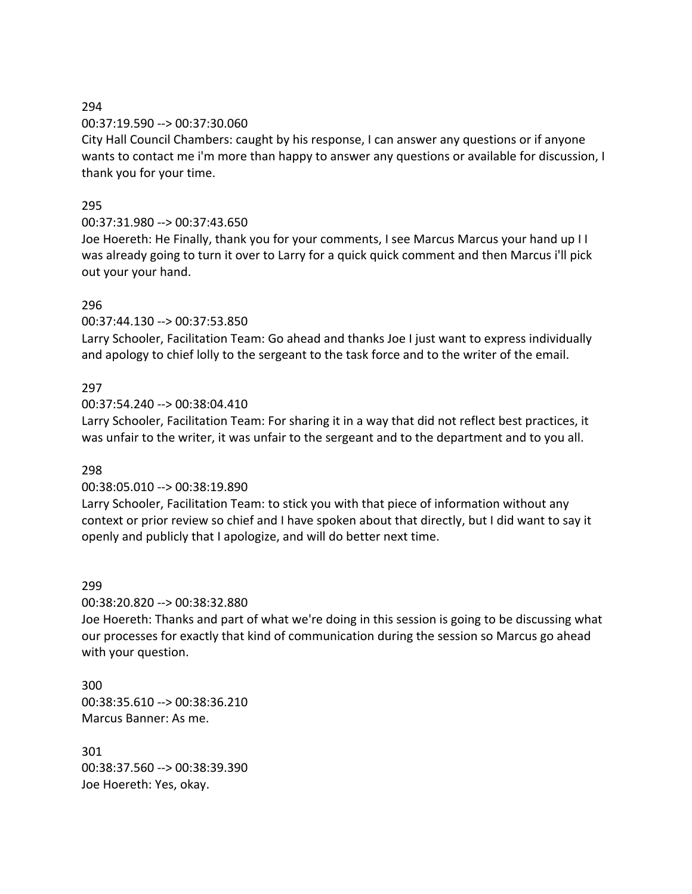### 00:37:19.590 --> 00:37:30.060

City Hall Council Chambers: caught by his response, I can answer any questions or if anyone wants to contact me i'm more than happy to answer any questions or available for discussion, I thank you for your time.

### 295

## 00:37:31.980 --> 00:37:43.650

Joe Hoereth: He Finally, thank you for your comments, I see Marcus Marcus your hand up I I was already going to turn it over to Larry for a quick quick comment and then Marcus i'll pick out your your hand.

### 296

00:37:44.130 --> 00:37:53.850

Larry Schooler, Facilitation Team: Go ahead and thanks Joe I just want to express individually and apology to chief lolly to the sergeant to the task force and to the writer of the email.

### 297

00:37:54.240 --> 00:38:04.410

Larry Schooler, Facilitation Team: For sharing it in a way that did not reflect best practices, it was unfair to the writer, it was unfair to the sergeant and to the department and to you all.

#### 298

#### 00:38:05.010 --> 00:38:19.890

Larry Schooler, Facilitation Team: to stick you with that piece of information without any context or prior review so chief and I have spoken about that directly, but I did want to say it openly and publicly that I apologize, and will do better next time.

#### 299

00:38:20.820 --> 00:38:32.880

Joe Hoereth: Thanks and part of what we're doing in this session is going to be discussing what our processes for exactly that kind of communication during the session so Marcus go ahead with your question.

300 00:38:35.610 --> 00:38:36.210 Marcus Banner: As me.

301 00:38:37.560 --> 00:38:39.390 Joe Hoereth: Yes, okay.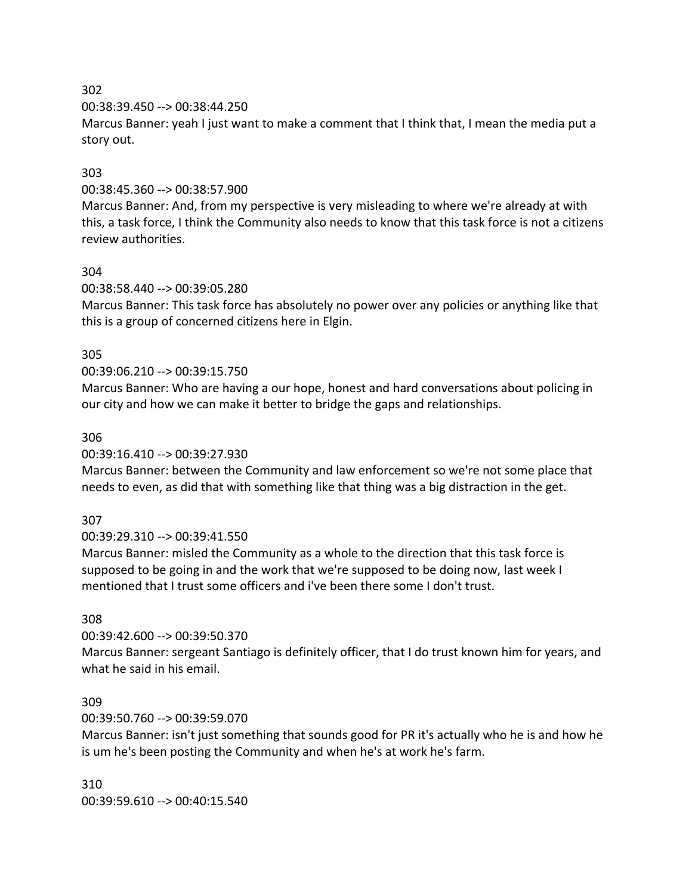00:38:39.450 --> 00:38:44.250

Marcus Banner: yeah I just want to make a comment that I think that, I mean the media put a story out.

### 303

### 00:38:45.360 --> 00:38:57.900

Marcus Banner: And, from my perspective is very misleading to where we're already at with this, a task force, I think the Community also needs to know that this task force is not a citizens review authorities.

#### 304

00:38:58.440 --> 00:39:05.280

Marcus Banner: This task force has absolutely no power over any policies or anything like that this is a group of concerned citizens here in Elgin.

### 305

### 00:39:06.210 --> 00:39:15.750

Marcus Banner: Who are having a our hope, honest and hard conversations about policing in our city and how we can make it better to bridge the gaps and relationships.

#### 306

00:39:16.410 --> 00:39:27.930

Marcus Banner: between the Community and law enforcement so we're not some place that needs to even, as did that with something like that thing was a big distraction in the get.

## 307

00:39:29.310 --> 00:39:41.550

Marcus Banner: misled the Community as a whole to the direction that this task force is supposed to be going in and the work that we're supposed to be doing now, last week I mentioned that I trust some officers and i've been there some I don't trust.

## 308

00:39:42.600 --> 00:39:50.370

Marcus Banner: sergeant Santiago is definitely officer, that I do trust known him for years, and what he said in his email.

#### 309

00:39:50.760 --> 00:39:59.070

Marcus Banner: isn't just something that sounds good for PR it's actually who he is and how he is um he's been posting the Community and when he's at work he's farm.

310 00:39:59.610 --> 00:40:15.540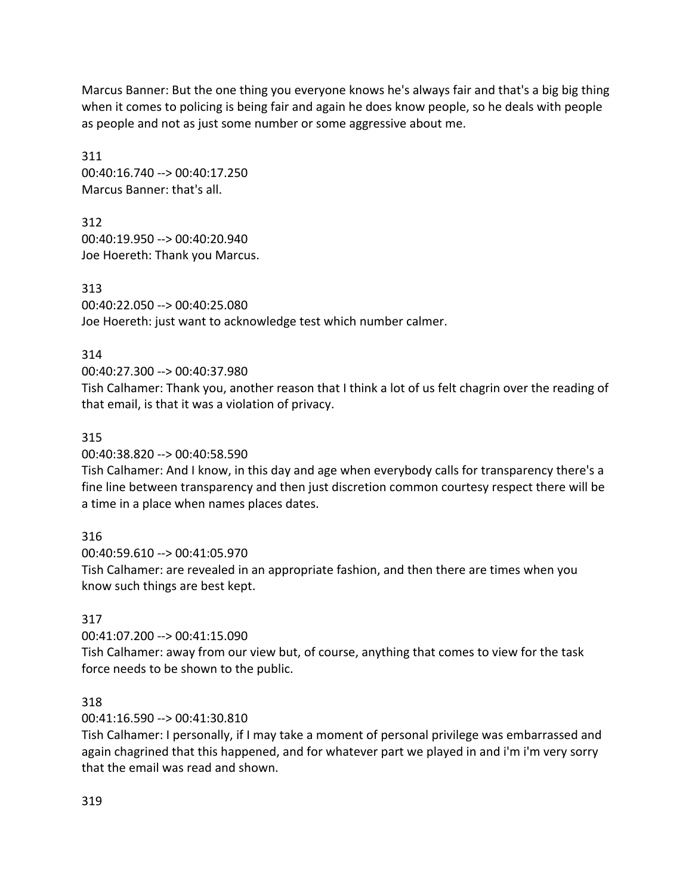Marcus Banner: But the one thing you everyone knows he's always fair and that's a big big thing when it comes to policing is being fair and again he does know people, so he deals with people as people and not as just some number or some aggressive about me.

311 00:40:16.740 --> 00:40:17.250 Marcus Banner: that's all.

312 00:40:19.950 --> 00:40:20.940 Joe Hoereth: Thank you Marcus.

313 00:40:22.050 --> 00:40:25.080 Joe Hoereth: just want to acknowledge test which number calmer.

# 314

# 00:40:27.300 --> 00:40:37.980

Tish Calhamer: Thank you, another reason that I think a lot of us felt chagrin over the reading of that email, is that it was a violation of privacy.

# 315

00:40:38.820 --> 00:40:58.590

Tish Calhamer: And I know, in this day and age when everybody calls for transparency there's a fine line between transparency and then just discretion common courtesy respect there will be a time in a place when names places dates.

# 316

00:40:59.610 --> 00:41:05.970 Tish Calhamer: are revealed in an appropriate fashion, and then there are times when you know such things are best kept.

# 317

00:41:07.200 --> 00:41:15.090

Tish Calhamer: away from our view but, of course, anything that comes to view for the task force needs to be shown to the public.

## 318

00:41:16.590 --> 00:41:30.810

Tish Calhamer: I personally, if I may take a moment of personal privilege was embarrassed and again chagrined that this happened, and for whatever part we played in and i'm i'm very sorry that the email was read and shown.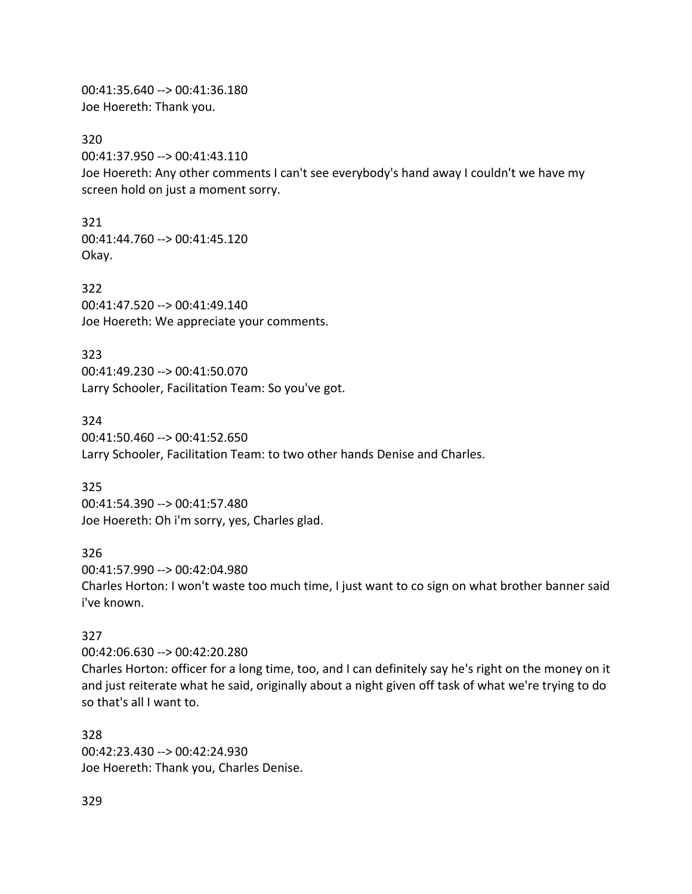00:41:35.640 --> 00:41:36.180 Joe Hoereth: Thank you.

320

00:41:37.950 --> 00:41:43.110

Joe Hoereth: Any other comments I can't see everybody's hand away I couldn't we have my screen hold on just a moment sorry.

321 00:41:44.760 --> 00:41:45.120 Okay.

322 00:41:47.520 --> 00:41:49.140 Joe Hoereth: We appreciate your comments.

323 00:41:49.230 --> 00:41:50.070 Larry Schooler, Facilitation Team: So you've got.

324 00:41:50.460 --> 00:41:52.650 Larry Schooler, Facilitation Team: to two other hands Denise and Charles.

325 00:41:54.390 --> 00:41:57.480 Joe Hoereth: Oh i'm sorry, yes, Charles glad.

326 00:41:57.990 --> 00:42:04.980

Charles Horton: I won't waste too much time, I just want to co sign on what brother banner said i've known.

## 327

00:42:06.630 --> 00:42:20.280

Charles Horton: officer for a long time, too, and I can definitely say he's right on the money on it and just reiterate what he said, originally about a night given off task of what we're trying to do so that's all I want to.

328 00:42:23.430 --> 00:42:24.930 Joe Hoereth: Thank you, Charles Denise.

329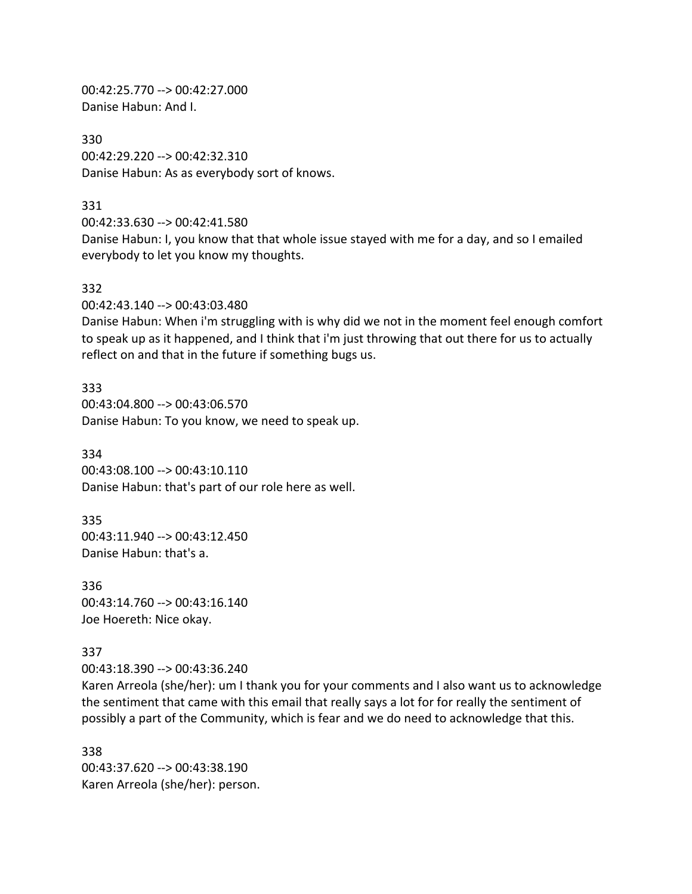00:42:25.770 --> 00:42:27.000 Danise Habun: And I.

330 00:42:29.220 --> 00:42:32.310 Danise Habun: As as everybody sort of knows.

331

00:42:33.630 --> 00:42:41.580 Danise Habun: I, you know that that whole issue stayed with me for a day, and so I emailed everybody to let you know my thoughts.

#### 332

00:42:43.140 --> 00:43:03.480

Danise Habun: When i'm struggling with is why did we not in the moment feel enough comfort to speak up as it happened, and I think that i'm just throwing that out there for us to actually reflect on and that in the future if something bugs us.

333 00:43:04.800 --> 00:43:06.570 Danise Habun: To you know, we need to speak up.

334 00:43:08.100 --> 00:43:10.110 Danise Habun: that's part of our role here as well.

335 00:43:11.940 --> 00:43:12.450 Danise Habun: that's a.

336 00:43:14.760 --> 00:43:16.140 Joe Hoereth: Nice okay.

#### 337

00:43:18.390 --> 00:43:36.240

Karen Arreola (she/her): um I thank you for your comments and I also want us to acknowledge the sentiment that came with this email that really says a lot for for really the sentiment of possibly a part of the Community, which is fear and we do need to acknowledge that this.

338 00:43:37.620 --> 00:43:38.190 Karen Arreola (she/her): person.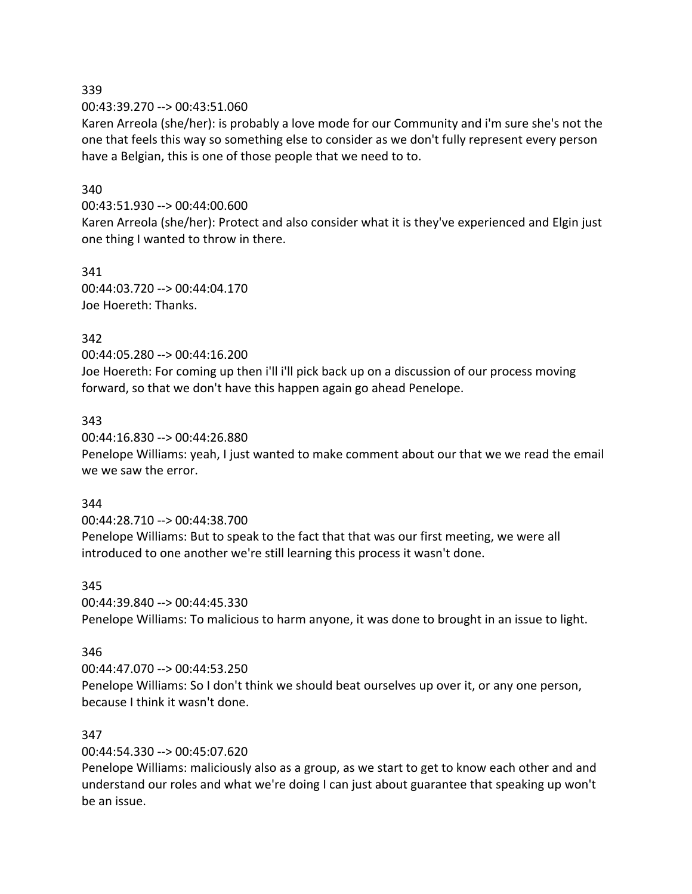00:43:39.270 --> 00:43:51.060

Karen Arreola (she/her): is probably a love mode for our Community and i'm sure she's not the one that feels this way so something else to consider as we don't fully represent every person have a Belgian, this is one of those people that we need to to.

### 340

00:43:51.930 --> 00:44:00.600

Karen Arreola (she/her): Protect and also consider what it is they've experienced and Elgin just one thing I wanted to throw in there.

341 00:44:03.720 --> 00:44:04.170 Joe Hoereth: Thanks.

## 342

00:44:05.280 --> 00:44:16.200

Joe Hoereth: For coming up then i'll i'll pick back up on a discussion of our process moving forward, so that we don't have this happen again go ahead Penelope.

### 343

00:44:16.830 --> 00:44:26.880

Penelope Williams: yeah, I just wanted to make comment about our that we we read the email we we saw the error.

#### 344

00:44:28.710 --> 00:44:38.700 Penelope Williams: But to speak to the fact that that was our first meeting, we were all introduced to one another we're still learning this process it wasn't done.

#### 345

00:44:39.840 --> 00:44:45.330 Penelope Williams: To malicious to harm anyone, it was done to brought in an issue to light.

## 346

00:44:47.070 --> 00:44:53.250 Penelope Williams: So I don't think we should beat ourselves up over it, or any one person, because I think it wasn't done.

## 347

00:44:54.330 --> 00:45:07.620

Penelope Williams: maliciously also as a group, as we start to get to know each other and and understand our roles and what we're doing I can just about guarantee that speaking up won't be an issue.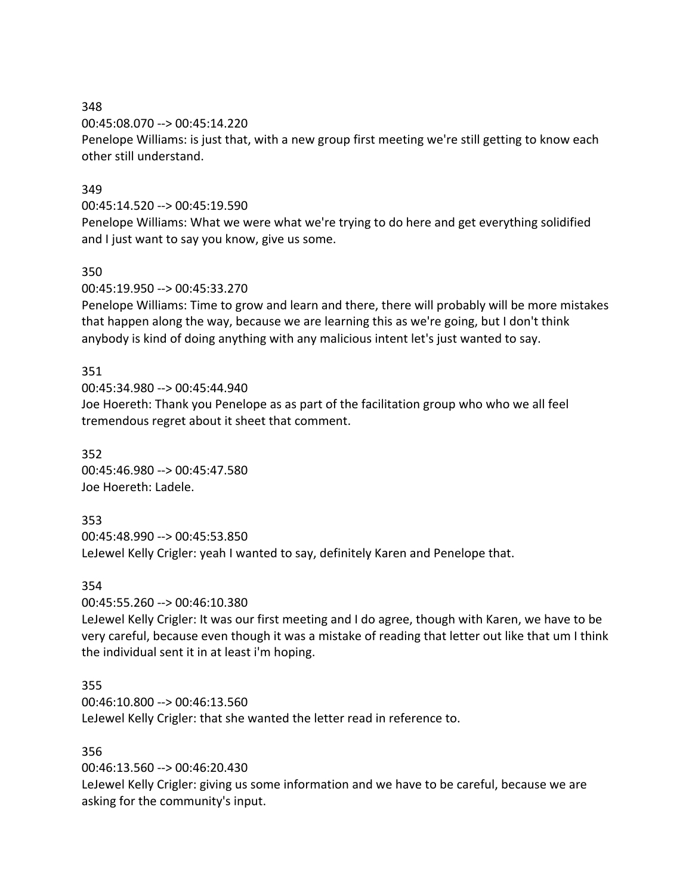00:45:08.070 --> 00:45:14.220

Penelope Williams: is just that, with a new group first meeting we're still getting to know each other still understand.

## 349

## 00:45:14.520 --> 00:45:19.590

Penelope Williams: What we were what we're trying to do here and get everything solidified and I just want to say you know, give us some.

## 350

00:45:19.950 --> 00:45:33.270

Penelope Williams: Time to grow and learn and there, there will probably will be more mistakes that happen along the way, because we are learning this as we're going, but I don't think anybody is kind of doing anything with any malicious intent let's just wanted to say.

## 351

00:45:34.980 --> 00:45:44.940

Joe Hoereth: Thank you Penelope as as part of the facilitation group who who we all feel tremendous regret about it sheet that comment.

352 00:45:46.980 --> 00:45:47.580 Joe Hoereth: Ladele.

# 353

00:45:48.990 --> 00:45:53.850

LeJewel Kelly Crigler: yeah I wanted to say, definitely Karen and Penelope that.

## 354

00:45:55.260 --> 00:46:10.380

LeJewel Kelly Crigler: It was our first meeting and I do agree, though with Karen, we have to be very careful, because even though it was a mistake of reading that letter out like that um I think the individual sent it in at least i'm hoping.

# 355

00:46:10.800 --> 00:46:13.560 LeJewel Kelly Crigler: that she wanted the letter read in reference to.

# 356

00:46:13.560 --> 00:46:20.430

LeJewel Kelly Crigler: giving us some information and we have to be careful, because we are asking for the community's input.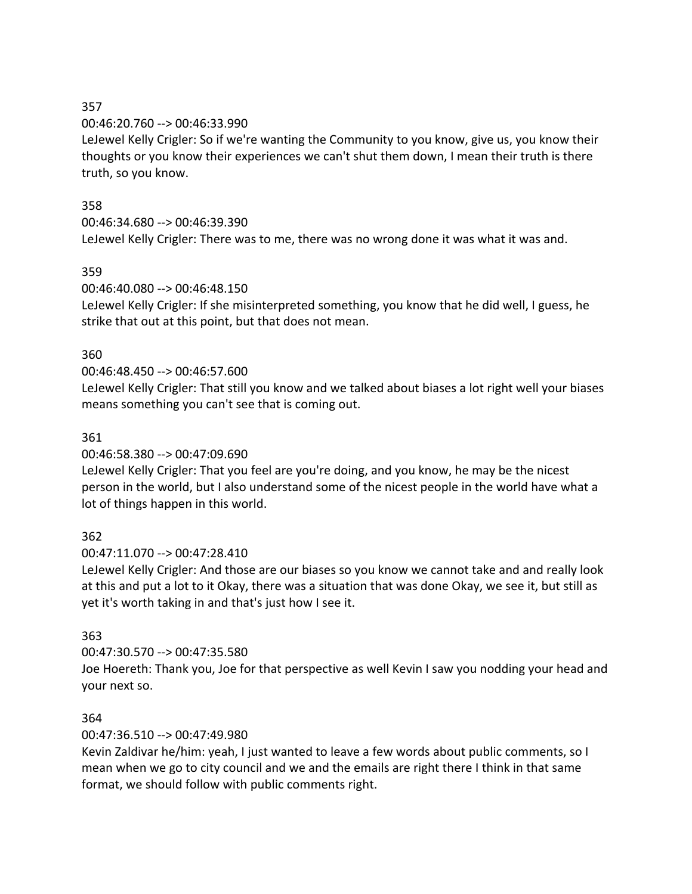### 00:46:20.760 --> 00:46:33.990

LeJewel Kelly Crigler: So if we're wanting the Community to you know, give us, you know their thoughts or you know their experiences we can't shut them down, I mean their truth is there truth, so you know.

## 358

## 00:46:34.680 --> 00:46:39.390

LeJewel Kelly Crigler: There was to me, there was no wrong done it was what it was and.

## 359

## 00:46:40.080 --> 00:46:48.150

LeJewel Kelly Crigler: If she misinterpreted something, you know that he did well, I guess, he strike that out at this point, but that does not mean.

## 360

# 00:46:48.450 --> 00:46:57.600

LeJewel Kelly Crigler: That still you know and we talked about biases a lot right well your biases means something you can't see that is coming out.

## 361

## 00:46:58.380 --> 00:47:09.690

LeJewel Kelly Crigler: That you feel are you're doing, and you know, he may be the nicest person in the world, but I also understand some of the nicest people in the world have what a lot of things happen in this world.

# 362

# 00:47:11.070 --> 00:47:28.410

LeJewel Kelly Crigler: And those are our biases so you know we cannot take and and really look at this and put a lot to it Okay, there was a situation that was done Okay, we see it, but still as yet it's worth taking in and that's just how I see it.

# 363

## 00:47:30.570 --> 00:47:35.580

Joe Hoereth: Thank you, Joe for that perspective as well Kevin I saw you nodding your head and your next so.

## 364

# 00:47:36.510 --> 00:47:49.980

Kevin Zaldivar he/him: yeah, I just wanted to leave a few words about public comments, so I mean when we go to city council and we and the emails are right there I think in that same format, we should follow with public comments right.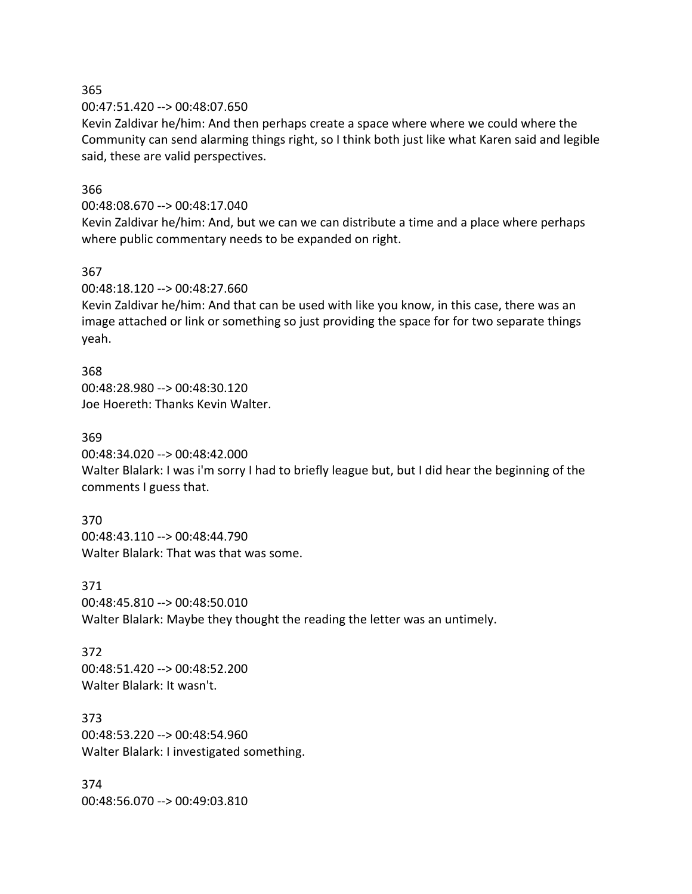00:47:51.420 --> 00:48:07.650

Kevin Zaldivar he/him: And then perhaps create a space where where we could where the Community can send alarming things right, so I think both just like what Karen said and legible said, these are valid perspectives.

#### 366

00:48:08.670 --> 00:48:17.040

Kevin Zaldivar he/him: And, but we can we can distribute a time and a place where perhaps where public commentary needs to be expanded on right.

#### 367

00:48:18.120 --> 00:48:27.660

Kevin Zaldivar he/him: And that can be used with like you know, in this case, there was an image attached or link or something so just providing the space for for two separate things yeah.

368 00:48:28.980 --> 00:48:30.120 Joe Hoereth: Thanks Kevin Walter.

#### 369

00:48:34.020 --> 00:48:42.000

Walter Blalark: I was i'm sorry I had to briefly league but, but I did hear the beginning of the comments I guess that.

370 00:48:43.110 --> 00:48:44.790 Walter Blalark: That was that was some.

#### 371

00:48:45.810 --> 00:48:50.010 Walter Blalark: Maybe they thought the reading the letter was an untimely.

#### 372 00:48:51.420 --> 00:48:52.200 Walter Blalark: It wasn't.

373 00:48:53.220 --> 00:48:54.960 Walter Blalark: I investigated something.

374 00:48:56.070 --> 00:49:03.810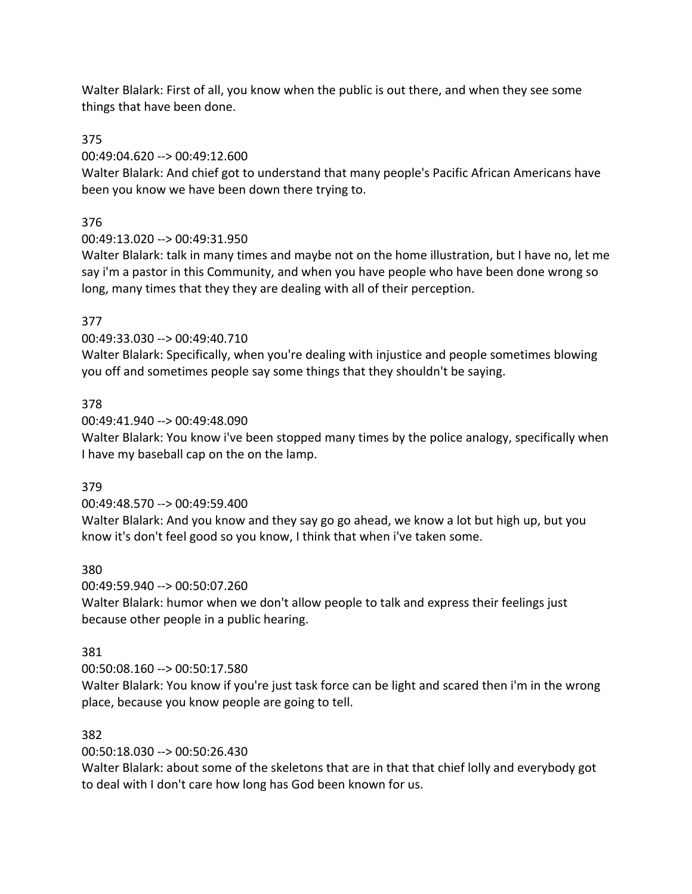Walter Blalark: First of all, you know when the public is out there, and when they see some things that have been done.

375

00:49:04.620 --> 00:49:12.600

Walter Blalark: And chief got to understand that many people's Pacific African Americans have been you know we have been down there trying to.

376

00:49:13.020 --> 00:49:31.950

Walter Blalark: talk in many times and maybe not on the home illustration, but I have no, let me say i'm a pastor in this Community, and when you have people who have been done wrong so long, many times that they they are dealing with all of their perception.

## 377

00:49:33.030 --> 00:49:40.710

Walter Blalark: Specifically, when you're dealing with injustice and people sometimes blowing you off and sometimes people say some things that they shouldn't be saying.

## 378

00:49:41.940 --> 00:49:48.090

Walter Blalark: You know i've been stopped many times by the police analogy, specifically when I have my baseball cap on the on the lamp.

## 379

00:49:48.570 --> 00:49:59.400

Walter Blalark: And you know and they say go go ahead, we know a lot but high up, but you know it's don't feel good so you know, I think that when i've taken some.

## 380

00:49:59.940 --> 00:50:07.260

Walter Blalark: humor when we don't allow people to talk and express their feelings just because other people in a public hearing.

# 381

00:50:08.160 --> 00:50:17.580

Walter Blalark: You know if you're just task force can be light and scared then i'm in the wrong place, because you know people are going to tell.

# 382

00:50:18.030 --> 00:50:26.430

Walter Blalark: about some of the skeletons that are in that that chief lolly and everybody got to deal with I don't care how long has God been known for us.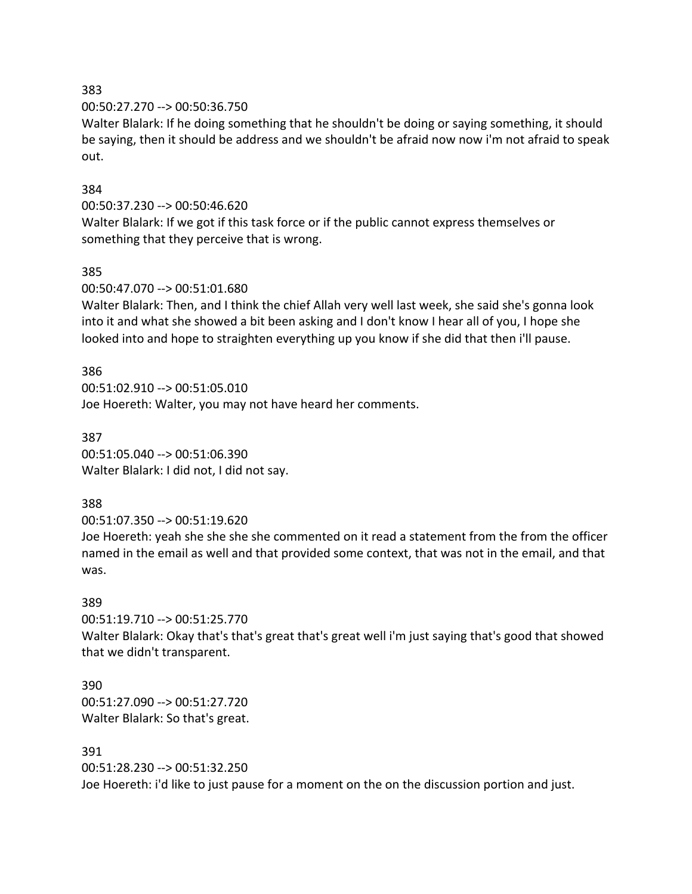00:50:27.270 --> 00:50:36.750

Walter Blalark: If he doing something that he shouldn't be doing or saying something, it should be saying, then it should be address and we shouldn't be afraid now now i'm not afraid to speak out.

#### 384

#### 00:50:37.230 --> 00:50:46.620

Walter Blalark: If we got if this task force or if the public cannot express themselves or something that they perceive that is wrong.

#### 385

#### 00:50:47.070 --> 00:51:01.680

Walter Blalark: Then, and I think the chief Allah very well last week, she said she's gonna look into it and what she showed a bit been asking and I don't know I hear all of you, I hope she looked into and hope to straighten everything up you know if she did that then i'll pause.

#### 386

00:51:02.910 --> 00:51:05.010 Joe Hoereth: Walter, you may not have heard her comments.

## 387 00:51:05.040 --> 00:51:06.390 Walter Blalark: I did not, I did not say.

## 388

00:51:07.350 --> 00:51:19.620

Joe Hoereth: yeah she she she she commented on it read a statement from the from the officer named in the email as well and that provided some context, that was not in the email, and that was.

## 389

00:51:19.710 --> 00:51:25.770

Walter Blalark: Okay that's that's great that's great well i'm just saying that's good that showed that we didn't transparent.

390 00:51:27.090 --> 00:51:27.720 Walter Blalark: So that's great.

#### 391

00:51:28.230 --> 00:51:32.250 Joe Hoereth: i'd like to just pause for a moment on the on the discussion portion and just.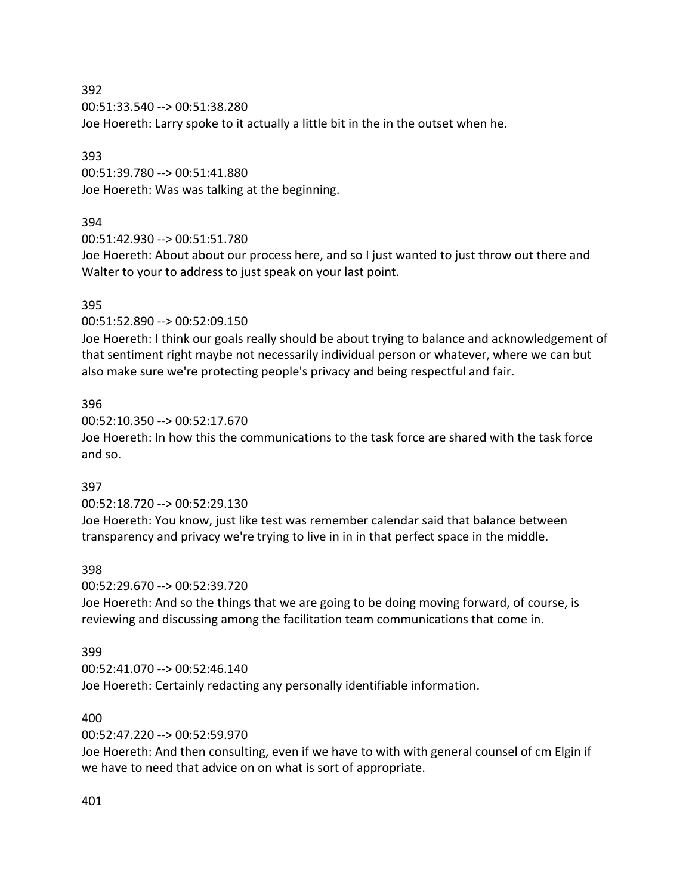00:51:33.540 --> 00:51:38.280

Joe Hoereth: Larry spoke to it actually a little bit in the in the outset when he.

#### 393

00:51:39.780 --> 00:51:41.880 Joe Hoereth: Was was talking at the beginning.

## 394

00:51:42.930 --> 00:51:51.780

Joe Hoereth: About about our process here, and so I just wanted to just throw out there and Walter to your to address to just speak on your last point.

## 395

00:51:52.890 --> 00:52:09.150

Joe Hoereth: I think our goals really should be about trying to balance and acknowledgement of that sentiment right maybe not necessarily individual person or whatever, where we can but also make sure we're protecting people's privacy and being respectful and fair.

## 396

00:52:10.350 --> 00:52:17.670

Joe Hoereth: In how this the communications to the task force are shared with the task force and so.

## 397

00:52:18.720 --> 00:52:29.130

Joe Hoereth: You know, just like test was remember calendar said that balance between transparency and privacy we're trying to live in in in that perfect space in the middle.

## 398

00:52:29.670 --> 00:52:39.720

Joe Hoereth: And so the things that we are going to be doing moving forward, of course, is reviewing and discussing among the facilitation team communications that come in.

## 399

00:52:41.070 --> 00:52:46.140

Joe Hoereth: Certainly redacting any personally identifiable information.

## 400

## 00:52:47.220 --> 00:52:59.970

Joe Hoereth: And then consulting, even if we have to with with general counsel of cm Elgin if we have to need that advice on on what is sort of appropriate.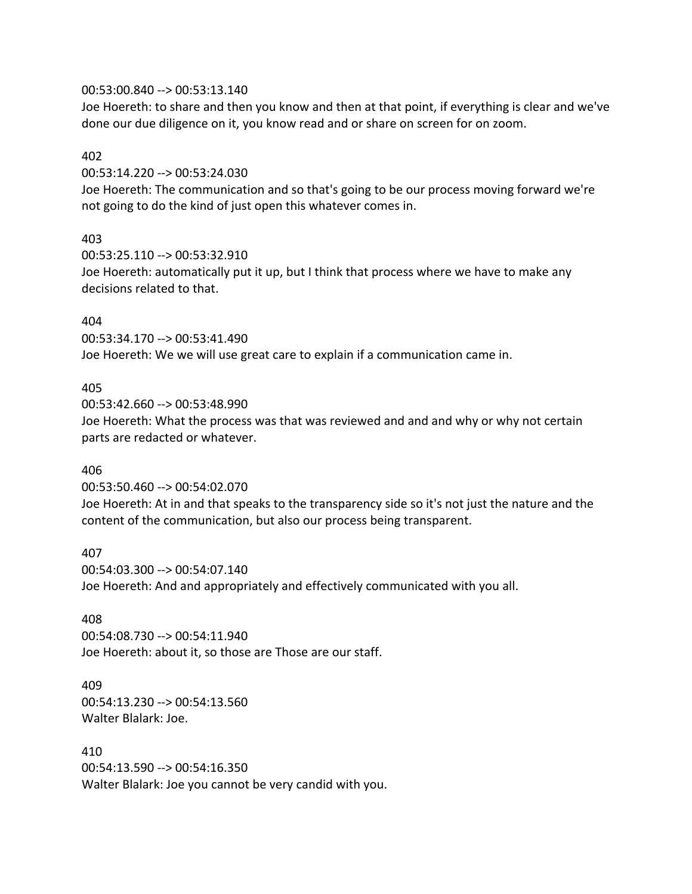#### 00:53:00.840 --> 00:53:13.140

Joe Hoereth: to share and then you know and then at that point, if everything is clear and we've done our due diligence on it, you know read and or share on screen for on zoom.

#### 402

00:53:14.220 --> 00:53:24.030

Joe Hoereth: The communication and so that's going to be our process moving forward we're not going to do the kind of just open this whatever comes in.

### 403

00:53:25.110 --> 00:53:32.910 Joe Hoereth: automatically put it up, but I think that process where we have to make any decisions related to that.

#### 404

00:53:34.170 --> 00:53:41.490 Joe Hoereth: We we will use great care to explain if a communication came in.

### 405

00:53:42.660 --> 00:53:48.990 Joe Hoereth: What the process was that was reviewed and and and why or why not certain parts are redacted or whatever.

#### 406

00:53:50.460 --> 00:54:02.070

Joe Hoereth: At in and that speaks to the transparency side so it's not just the nature and the content of the communication, but also our process being transparent.

407 00:54:03.300 --> 00:54:07.140 Joe Hoereth: And and appropriately and effectively communicated with you all.

# 408

00:54:08.730 --> 00:54:11.940 Joe Hoereth: about it, so those are Those are our staff.

409 00:54:13.230 --> 00:54:13.560 Walter Blalark: Joe.

410 00:54:13.590 --> 00:54:16.350 Walter Blalark: Joe you cannot be very candid with you.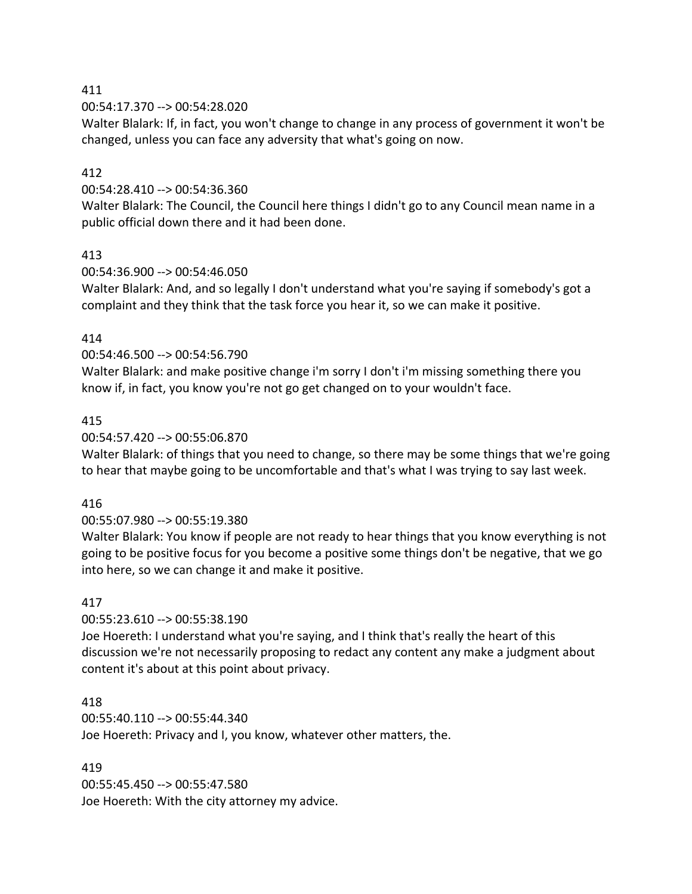00:54:17.370 --> 00:54:28.020

Walter Blalark: If, in fact, you won't change to change in any process of government it won't be changed, unless you can face any adversity that what's going on now.

### 412

00:54:28.410 --> 00:54:36.360

Walter Blalark: The Council, the Council here things I didn't go to any Council mean name in a public official down there and it had been done.

### 413

00:54:36.900 --> 00:54:46.050

Walter Blalark: And, and so legally I don't understand what you're saying if somebody's got a complaint and they think that the task force you hear it, so we can make it positive.

### 414

00:54:46.500 --> 00:54:56.790

Walter Blalark: and make positive change i'm sorry I don't i'm missing something there you know if, in fact, you know you're not go get changed on to your wouldn't face.

### 415

#### 00:54:57.420 --> 00:55:06.870

Walter Blalark: of things that you need to change, so there may be some things that we're going to hear that maybe going to be uncomfortable and that's what I was trying to say last week.

#### 416

## 00:55:07.980 --> 00:55:19.380

Walter Blalark: You know if people are not ready to hear things that you know everything is not going to be positive focus for you become a positive some things don't be negative, that we go into here, so we can change it and make it positive.

## 417

00:55:23.610 --> 00:55:38.190

Joe Hoereth: I understand what you're saying, and I think that's really the heart of this discussion we're not necessarily proposing to redact any content any make a judgment about content it's about at this point about privacy.

#### 418

00:55:40.110 --> 00:55:44.340 Joe Hoereth: Privacy and I, you know, whatever other matters, the.

#### 419

00:55:45.450 --> 00:55:47.580 Joe Hoereth: With the city attorney my advice.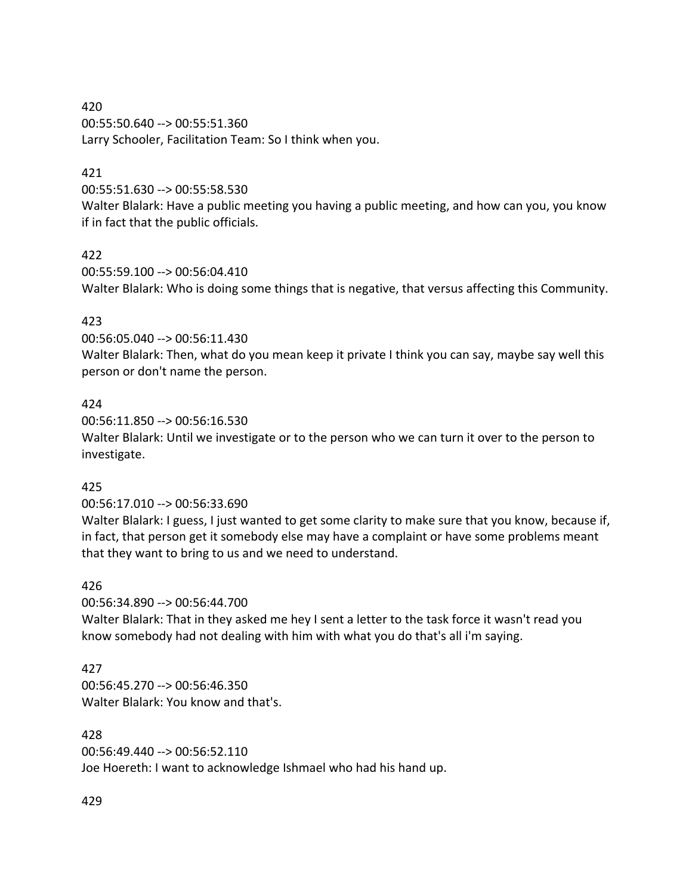420 00:55:50.640 --> 00:55:51.360 Larry Schooler, Facilitation Team: So I think when you.

### 421

00:55:51.630 --> 00:55:58.530

Walter Blalark: Have a public meeting you having a public meeting, and how can you, you know if in fact that the public officials.

#### 422

00:55:59.100 --> 00:56:04.410 Walter Blalark: Who is doing some things that is negative, that versus affecting this Community.

#### 423

00:56:05.040 --> 00:56:11.430

Walter Blalark: Then, what do you mean keep it private I think you can say, maybe say well this person or don't name the person.

#### 424

00:56:11.850 --> 00:56:16.530

Walter Blalark: Until we investigate or to the person who we can turn it over to the person to investigate.

#### 425

00:56:17.010 --> 00:56:33.690

Walter Blalark: I guess, I just wanted to get some clarity to make sure that you know, because if, in fact, that person get it somebody else may have a complaint or have some problems meant that they want to bring to us and we need to understand.

#### 426

00:56:34.890 --> 00:56:44.700

Walter Blalark: That in they asked me hey I sent a letter to the task force it wasn't read you know somebody had not dealing with him with what you do that's all i'm saying.

#### 427

00:56:45.270 --> 00:56:46.350 Walter Blalark: You know and that's.

#### 428

00:56:49.440 --> 00:56:52.110 Joe Hoereth: I want to acknowledge Ishmael who had his hand up.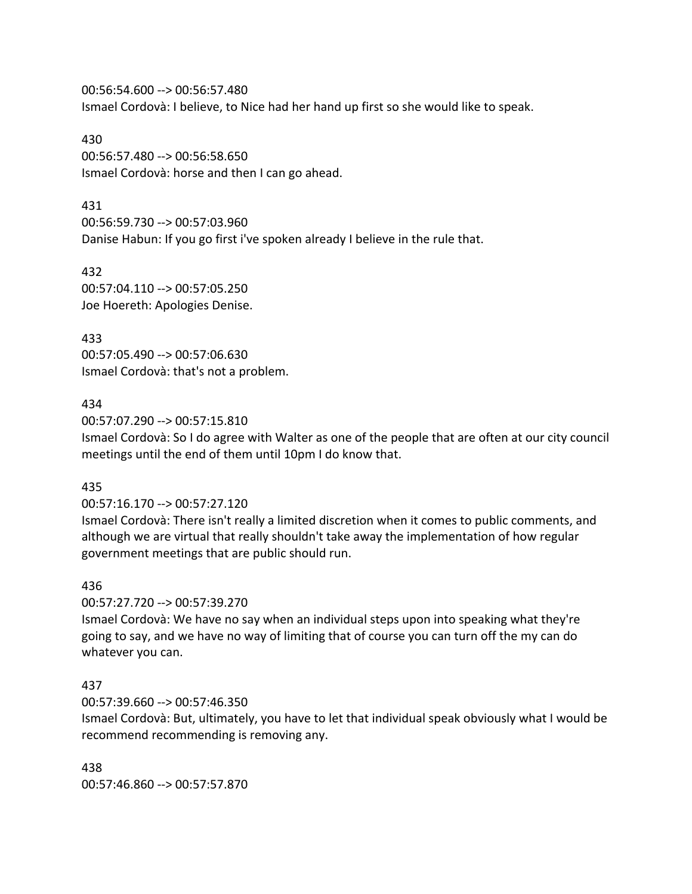00:56:54.600 --> 00:56:57.480 Ismael Cordovà: I believe, to Nice had her hand up first so she would like to speak.

430 00:56:57.480 --> 00:56:58.650 Ismael Cordovà: horse and then I can go ahead.

431 00:56:59.730 --> 00:57:03.960 Danise Habun: If you go first i've spoken already I believe in the rule that.

432 00:57:04.110 --> 00:57:05.250 Joe Hoereth: Apologies Denise.

433 00:57:05.490 --> 00:57:06.630 Ismael Cordovà: that's not a problem.

#### 434

00:57:07.290 --> 00:57:15.810

Ismael Cordovà: So I do agree with Walter as one of the people that are often at our city council meetings until the end of them until 10pm I do know that.

#### 435

00:57:16.170 --> 00:57:27.120

Ismael Cordovà: There isn't really a limited discretion when it comes to public comments, and although we are virtual that really shouldn't take away the implementation of how regular government meetings that are public should run.

#### 436

00:57:27.720 --> 00:57:39.270

Ismael Cordovà: We have no say when an individual steps upon into speaking what they're going to say, and we have no way of limiting that of course you can turn off the my can do whatever you can.

#### 437

00:57:39.660 --> 00:57:46.350

Ismael Cordovà: But, ultimately, you have to let that individual speak obviously what I would be recommend recommending is removing any.

438 00:57:46.860 --> 00:57:57.870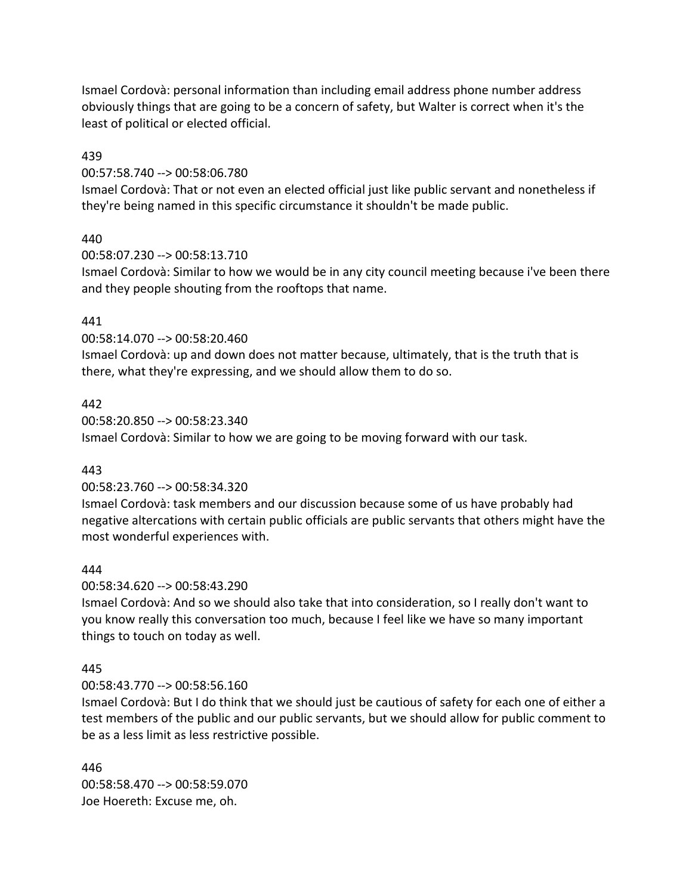Ismael Cordovà: personal information than including email address phone number address obviously things that are going to be a concern of safety, but Walter is correct when it's the least of political or elected official.

#### 439

00:57:58.740 --> 00:58:06.780

Ismael Cordovà: That or not even an elected official just like public servant and nonetheless if they're being named in this specific circumstance it shouldn't be made public.

#### 440

00:58:07.230 --> 00:58:13.710

Ismael Cordovà: Similar to how we would be in any city council meeting because i've been there and they people shouting from the rooftops that name.

#### 441

00:58:14.070 --> 00:58:20.460

Ismael Cordovà: up and down does not matter because, ultimately, that is the truth that is there, what they're expressing, and we should allow them to do so.

#### 442

00:58:20.850 --> 00:58:23.340 Ismael Cordovà: Similar to how we are going to be moving forward with our task.

#### 443

00:58:23.760 --> 00:58:34.320

Ismael Cordovà: task members and our discussion because some of us have probably had negative altercations with certain public officials are public servants that others might have the most wonderful experiences with.

#### 444

00:58:34.620 --> 00:58:43.290

Ismael Cordovà: And so we should also take that into consideration, so I really don't want to you know really this conversation too much, because I feel like we have so many important things to touch on today as well.

#### 445

00:58:43.770 --> 00:58:56.160

Ismael Cordovà: But I do think that we should just be cautious of safety for each one of either a test members of the public and our public servants, but we should allow for public comment to be as a less limit as less restrictive possible.

446 00:58:58.470 --> 00:58:59.070 Joe Hoereth: Excuse me, oh.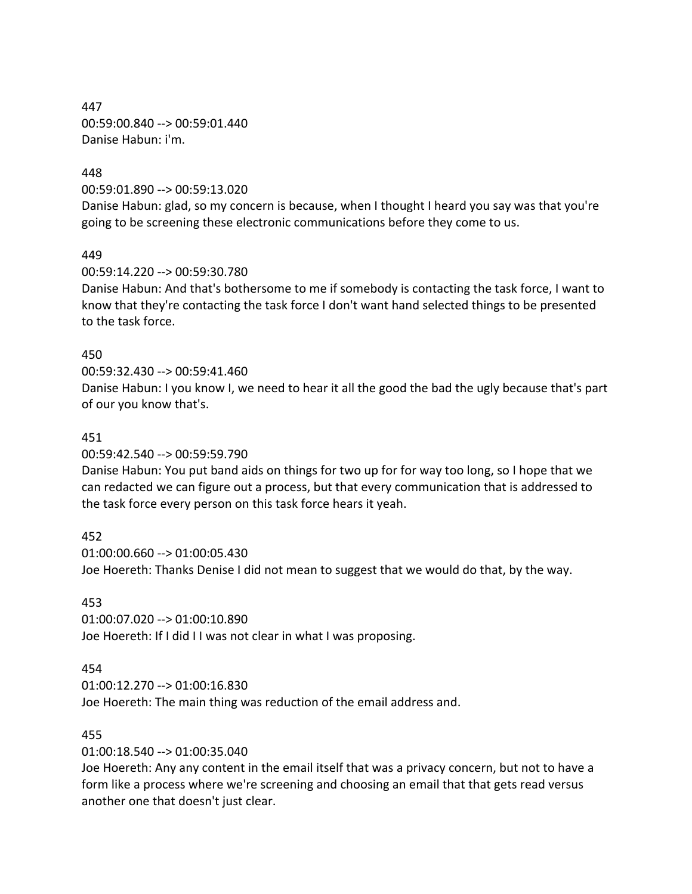447 00:59:00.840 --> 00:59:01.440 Danise Habun: i'm.

#### 448

00:59:01.890 --> 00:59:13.020

Danise Habun: glad, so my concern is because, when I thought I heard you say was that you're going to be screening these electronic communications before they come to us.

#### 449

00:59:14.220 --> 00:59:30.780

Danise Habun: And that's bothersome to me if somebody is contacting the task force, I want to know that they're contacting the task force I don't want hand selected things to be presented to the task force.

#### 450

#### 00:59:32.430 --> 00:59:41.460

Danise Habun: I you know I, we need to hear it all the good the bad the ugly because that's part of our you know that's.

#### 451

00:59:42.540 --> 00:59:59.790

Danise Habun: You put band aids on things for two up for for way too long, so I hope that we can redacted we can figure out a process, but that every communication that is addressed to the task force every person on this task force hears it yeah.

#### 452

01:00:00.660 --> 01:00:05.430 Joe Hoereth: Thanks Denise I did not mean to suggest that we would do that, by the way.

#### 453

01:00:07.020 --> 01:00:10.890 Joe Hoereth: If I did I I was not clear in what I was proposing.

#### 454

01:00:12.270 --> 01:00:16.830 Joe Hoereth: The main thing was reduction of the email address and.

#### 455

01:00:18.540 --> 01:00:35.040

Joe Hoereth: Any any content in the email itself that was a privacy concern, but not to have a form like a process where we're screening and choosing an email that that gets read versus another one that doesn't just clear.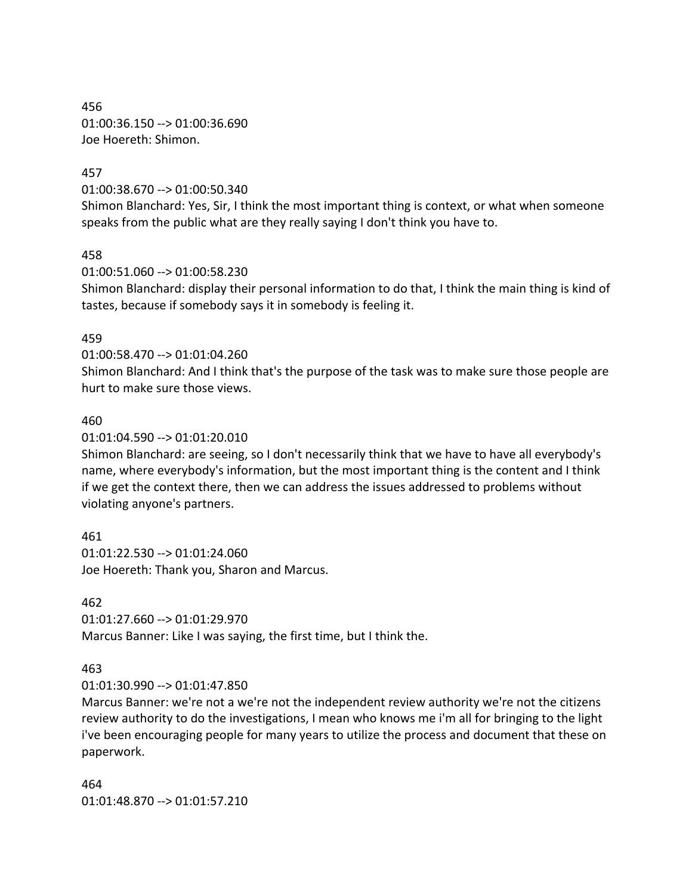456 01:00:36.150 --> 01:00:36.690 Joe Hoereth: Shimon.

#### 457

01:00:38.670 --> 01:00:50.340

Shimon Blanchard: Yes, Sir, I think the most important thing is context, or what when someone speaks from the public what are they really saying I don't think you have to.

#### 458

01:00:51.060 --> 01:00:58.230

Shimon Blanchard: display their personal information to do that, I think the main thing is kind of tastes, because if somebody says it in somebody is feeling it.

#### 459

01:00:58.470 --> 01:01:04.260

Shimon Blanchard: And I think that's the purpose of the task was to make sure those people are hurt to make sure those views.

#### 460

01:01:04.590 --> 01:01:20.010

Shimon Blanchard: are seeing, so I don't necessarily think that we have to have all everybody's name, where everybody's information, but the most important thing is the content and I think if we get the context there, then we can address the issues addressed to problems without violating anyone's partners.

461 01:01:22.530 --> 01:01:24.060 Joe Hoereth: Thank you, Sharon and Marcus.

#### 462

01:01:27.660 --> 01:01:29.970 Marcus Banner: Like I was saying, the first time, but I think the.

#### 463

01:01:30.990 --> 01:01:47.850

Marcus Banner: we're not a we're not the independent review authority we're not the citizens review authority to do the investigations, I mean who knows me i'm all for bringing to the light i've been encouraging people for many years to utilize the process and document that these on paperwork.

464 01:01:48.870 --> 01:01:57.210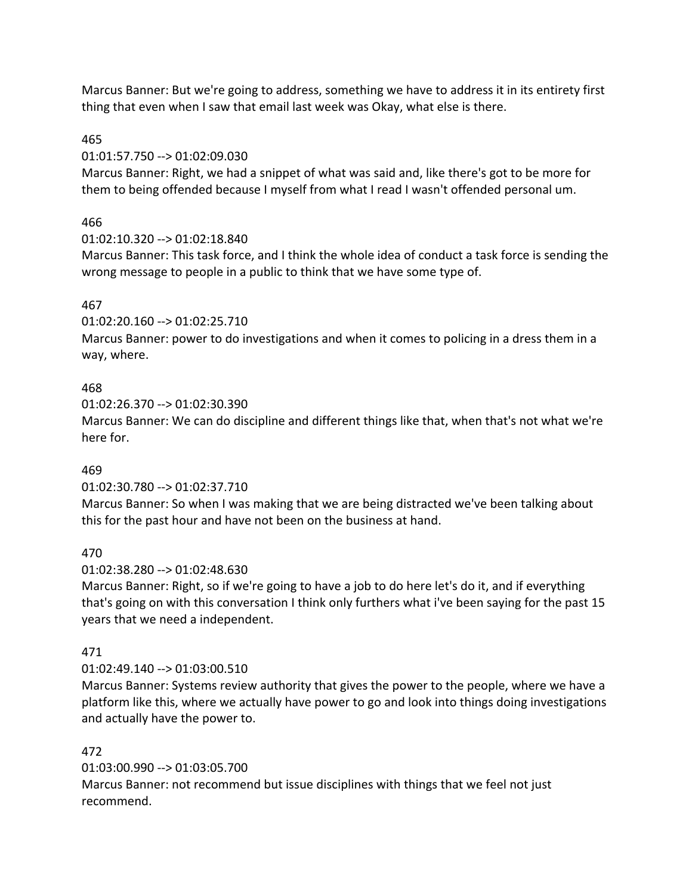Marcus Banner: But we're going to address, something we have to address it in its entirety first thing that even when I saw that email last week was Okay, what else is there.

## 465

## 01:01:57.750 --> 01:02:09.030

Marcus Banner: Right, we had a snippet of what was said and, like there's got to be more for them to being offended because I myself from what I read I wasn't offended personal um.

# 466

## 01:02:10.320 --> 01:02:18.840

Marcus Banner: This task force, and I think the whole idea of conduct a task force is sending the wrong message to people in a public to think that we have some type of.

# 467

01:02:20.160 --> 01:02:25.710

Marcus Banner: power to do investigations and when it comes to policing in a dress them in a way, where.

## 468

01:02:26.370 --> 01:02:30.390

Marcus Banner: We can do discipline and different things like that, when that's not what we're here for.

# 469

01:02:30.780 --> 01:02:37.710

Marcus Banner: So when I was making that we are being distracted we've been talking about this for the past hour and have not been on the business at hand.

## 470

01:02:38.280 --> 01:02:48.630

Marcus Banner: Right, so if we're going to have a job to do here let's do it, and if everything that's going on with this conversation I think only furthers what i've been saying for the past 15 years that we need a independent.

# 471

## 01:02:49.140 --> 01:03:00.510

Marcus Banner: Systems review authority that gives the power to the people, where we have a platform like this, where we actually have power to go and look into things doing investigations and actually have the power to.

## 472

01:03:00.990 --> 01:03:05.700

Marcus Banner: not recommend but issue disciplines with things that we feel not just recommend.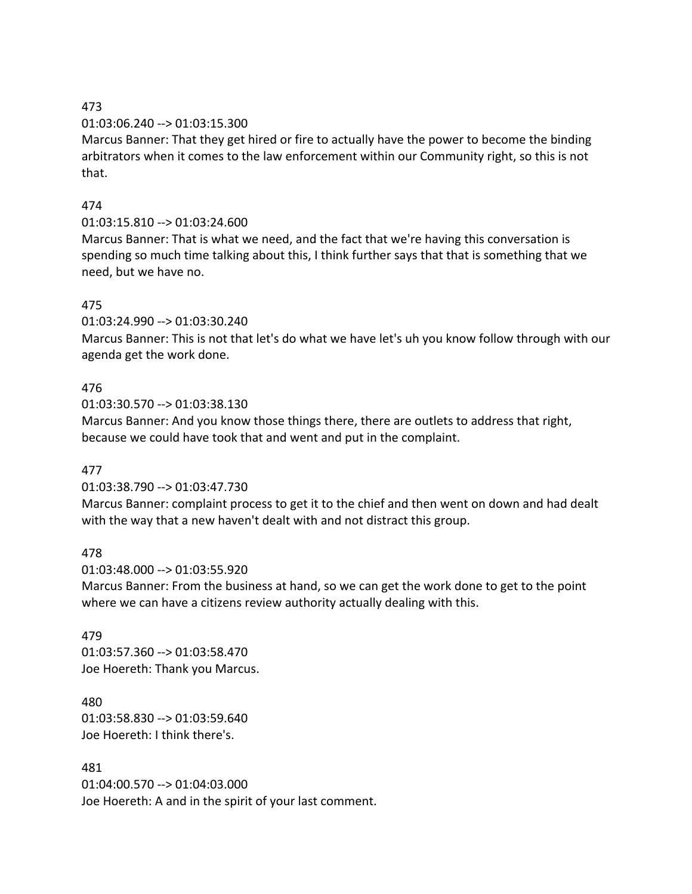### 01:03:06.240 --> 01:03:15.300

Marcus Banner: That they get hired or fire to actually have the power to become the binding arbitrators when it comes to the law enforcement within our Community right, so this is not that.

## 474

## 01:03:15.810 --> 01:03:24.600

Marcus Banner: That is what we need, and the fact that we're having this conversation is spending so much time talking about this, I think further says that that is something that we need, but we have no.

## 475

01:03:24.990 --> 01:03:30.240

Marcus Banner: This is not that let's do what we have let's uh you know follow through with our agenda get the work done.

## 476

01:03:30.570 --> 01:03:38.130

Marcus Banner: And you know those things there, there are outlets to address that right, because we could have took that and went and put in the complaint.

## 477

01:03:38.790 --> 01:03:47.730

Marcus Banner: complaint process to get it to the chief and then went on down and had dealt with the way that a new haven't dealt with and not distract this group.

## 478

01:03:48.000 --> 01:03:55.920

Marcus Banner: From the business at hand, so we can get the work done to get to the point where we can have a citizens review authority actually dealing with this.

## 479

01:03:57.360 --> 01:03:58.470 Joe Hoereth: Thank you Marcus.

## 480 01:03:58.830 --> 01:03:59.640 Joe Hoereth: I think there's.

481 01:04:00.570 --> 01:04:03.000 Joe Hoereth: A and in the spirit of your last comment.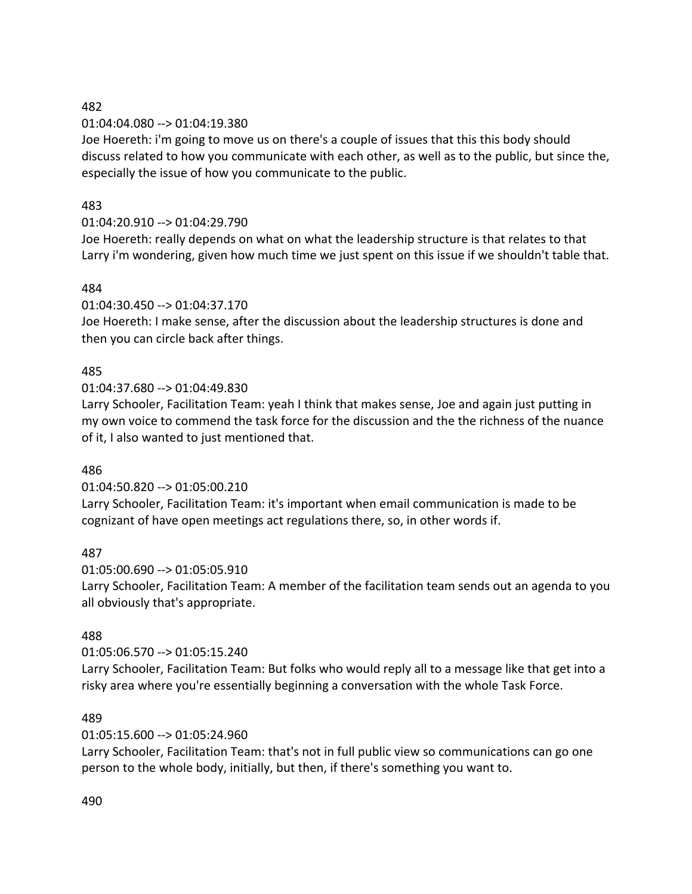01:04:04.080 --> 01:04:19.380

Joe Hoereth: i'm going to move us on there's a couple of issues that this this body should discuss related to how you communicate with each other, as well as to the public, but since the, especially the issue of how you communicate to the public.

## 483

# 01:04:20.910 --> 01:04:29.790

Joe Hoereth: really depends on what on what the leadership structure is that relates to that Larry i'm wondering, given how much time we just spent on this issue if we shouldn't table that.

## 484

01:04:30.450 --> 01:04:37.170

Joe Hoereth: I make sense, after the discussion about the leadership structures is done and then you can circle back after things.

## 485

01:04:37.680 --> 01:04:49.830

Larry Schooler, Facilitation Team: yeah I think that makes sense, Joe and again just putting in my own voice to commend the task force for the discussion and the the richness of the nuance of it, I also wanted to just mentioned that.

#### 486

01:04:50.820 --> 01:05:00.210

Larry Schooler, Facilitation Team: it's important when email communication is made to be cognizant of have open meetings act regulations there, so, in other words if.

#### 487

01:05:00.690 --> 01:05:05.910 Larry Schooler, Facilitation Team: A member of the facilitation team sends out an agenda to you all obviously that's appropriate.

## 488

01:05:06.570 --> 01:05:15.240

Larry Schooler, Facilitation Team: But folks who would reply all to a message like that get into a risky area where you're essentially beginning a conversation with the whole Task Force.

#### 489

01:05:15.600 --> 01:05:24.960

Larry Schooler, Facilitation Team: that's not in full public view so communications can go one person to the whole body, initially, but then, if there's something you want to.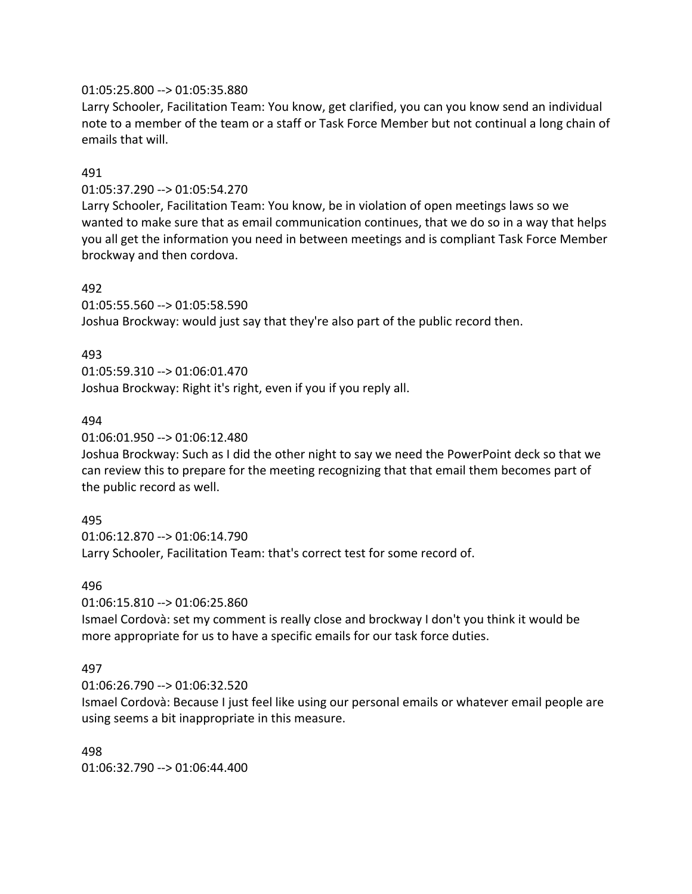#### 01:05:25.800 --> 01:05:35.880

Larry Schooler, Facilitation Team: You know, get clarified, you can you know send an individual note to a member of the team or a staff or Task Force Member but not continual a long chain of emails that will.

### 491

01:05:37.290 --> 01:05:54.270

Larry Schooler, Facilitation Team: You know, be in violation of open meetings laws so we wanted to make sure that as email communication continues, that we do so in a way that helps you all get the information you need in between meetings and is compliant Task Force Member brockway and then cordova.

#### 492

01:05:55.560 --> 01:05:58.590

Joshua Brockway: would just say that they're also part of the public record then.

### 493

01:05:59.310 --> 01:06:01.470 Joshua Brockway: Right it's right, even if you if you reply all.

### 494

01:06:01.950 --> 01:06:12.480

Joshua Brockway: Such as I did the other night to say we need the PowerPoint deck so that we can review this to prepare for the meeting recognizing that that email them becomes part of the public record as well.

## 495

01:06:12.870 --> 01:06:14.790 Larry Schooler, Facilitation Team: that's correct test for some record of.

#### 496

01:06:15.810 --> 01:06:25.860

Ismael Cordovà: set my comment is really close and brockway I don't you think it would be more appropriate for us to have a specific emails for our task force duties.

## 497

01:06:26.790 --> 01:06:32.520

Ismael Cordovà: Because I just feel like using our personal emails or whatever email people are using seems a bit inappropriate in this measure.

#### 498

01:06:32.790 --> 01:06:44.400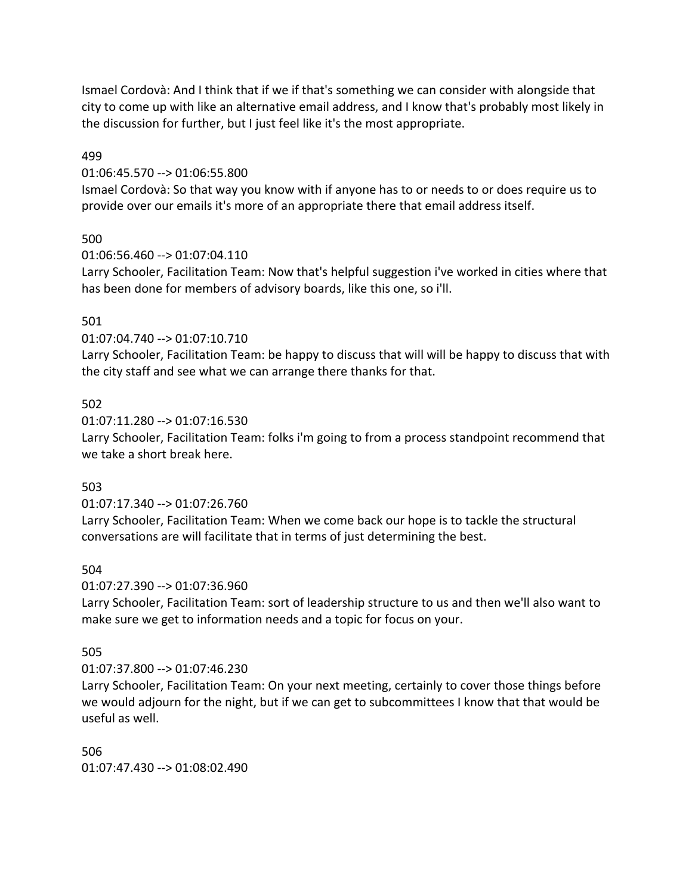Ismael Cordovà: And I think that if we if that's something we can consider with alongside that city to come up with like an alternative email address, and I know that's probably most likely in the discussion for further, but I just feel like it's the most appropriate.

### 499

### 01:06:45.570 --> 01:06:55.800

Ismael Cordovà: So that way you know with if anyone has to or needs to or does require us to provide over our emails it's more of an appropriate there that email address itself.

## 500

01:06:56.460 --> 01:07:04.110

Larry Schooler, Facilitation Team: Now that's helpful suggestion i've worked in cities where that has been done for members of advisory boards, like this one, so i'll.

## 501

01:07:04.740 --> 01:07:10.710

Larry Schooler, Facilitation Team: be happy to discuss that will will be happy to discuss that with the city staff and see what we can arrange there thanks for that.

## 502

01:07:11.280 --> 01:07:16.530

Larry Schooler, Facilitation Team: folks i'm going to from a process standpoint recommend that we take a short break here.

## 503

01:07:17.340 --> 01:07:26.760

Larry Schooler, Facilitation Team: When we come back our hope is to tackle the structural conversations are will facilitate that in terms of just determining the best.

## 504

01:07:27.390 --> 01:07:36.960

Larry Schooler, Facilitation Team: sort of leadership structure to us and then we'll also want to make sure we get to information needs and a topic for focus on your.

## 505

## 01:07:37.800 --> 01:07:46.230

Larry Schooler, Facilitation Team: On your next meeting, certainly to cover those things before we would adjourn for the night, but if we can get to subcommittees I know that that would be useful as well.

506 01:07:47.430 --> 01:08:02.490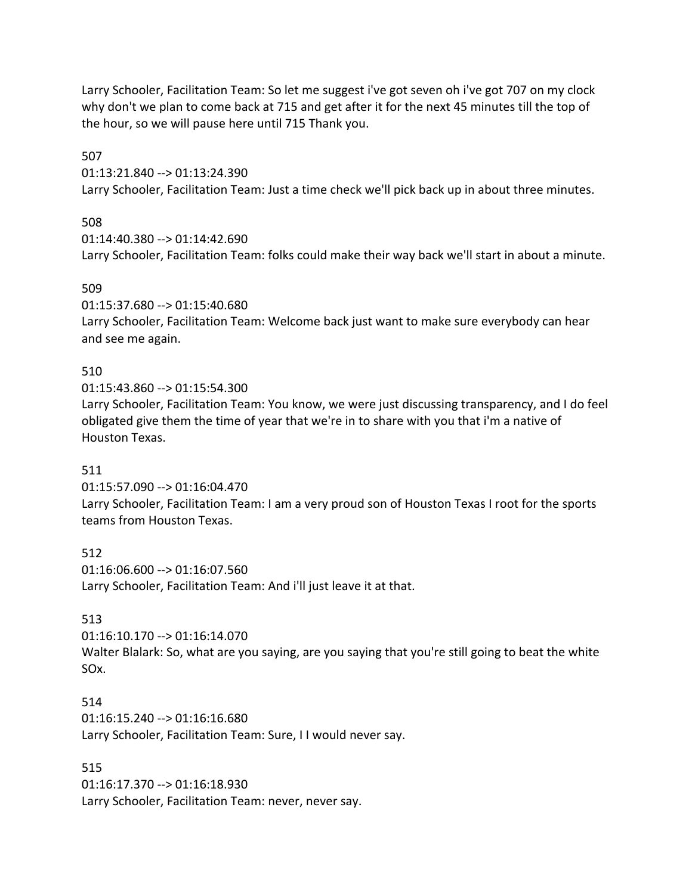Larry Schooler, Facilitation Team: So let me suggest i've got seven oh i've got 707 on my clock why don't we plan to come back at 715 and get after it for the next 45 minutes till the top of the hour, so we will pause here until 715 Thank you.

507

01:13:21.840 --> 01:13:24.390

Larry Schooler, Facilitation Team: Just a time check we'll pick back up in about three minutes.

### 508

01:14:40.380 --> 01:14:42.690

Larry Schooler, Facilitation Team: folks could make their way back we'll start in about a minute.

### 509

01:15:37.680 --> 01:15:40.680

Larry Schooler, Facilitation Team: Welcome back just want to make sure everybody can hear and see me again.

## 510

01:15:43.860 --> 01:15:54.300

Larry Schooler, Facilitation Team: You know, we were just discussing transparency, and I do feel obligated give them the time of year that we're in to share with you that i'm a native of Houston Texas.

## 511

01:15:57.090 --> 01:16:04.470

Larry Schooler, Facilitation Team: I am a very proud son of Houston Texas I root for the sports teams from Houston Texas.

512 01:16:06.600 --> 01:16:07.560 Larry Schooler, Facilitation Team: And i'll just leave it at that.

## 513

01:16:10.170 --> 01:16:14.070

Walter Blalark: So, what are you saying, are you saying that you're still going to beat the white SOx.

#### 514

01:16:15.240 --> 01:16:16.680 Larry Schooler, Facilitation Team: Sure, I I would never say.

## 515

01:16:17.370 --> 01:16:18.930 Larry Schooler, Facilitation Team: never, never say.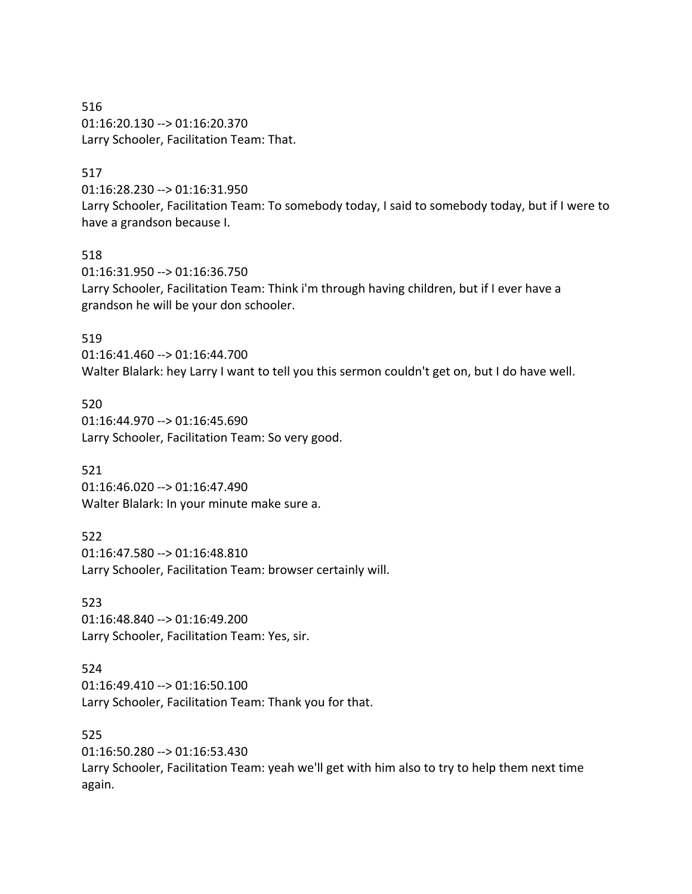516 01:16:20.130 --> 01:16:20.370 Larry Schooler, Facilitation Team: That.

#### 517

01:16:28.230 --> 01:16:31.950 Larry Schooler, Facilitation Team: To somebody today, I said to somebody today, but if I were to have a grandson because I.

#### 518

01:16:31.950 --> 01:16:36.750 Larry Schooler, Facilitation Team: Think i'm through having children, but if I ever have a grandson he will be your don schooler.

#### 519

01:16:41.460 --> 01:16:44.700 Walter Blalark: hey Larry I want to tell you this sermon couldn't get on, but I do have well.

520 01:16:44.970 --> 01:16:45.690 Larry Schooler, Facilitation Team: So very good.

521

01:16:46.020 --> 01:16:47.490 Walter Blalark: In your minute make sure a.

522

01:16:47.580 --> 01:16:48.810 Larry Schooler, Facilitation Team: browser certainly will.

523

01:16:48.840 --> 01:16:49.200 Larry Schooler, Facilitation Team: Yes, sir.

#### 524

01:16:49.410 --> 01:16:50.100 Larry Schooler, Facilitation Team: Thank you for that.

525

01:16:50.280 --> 01:16:53.430

Larry Schooler, Facilitation Team: yeah we'll get with him also to try to help them next time again.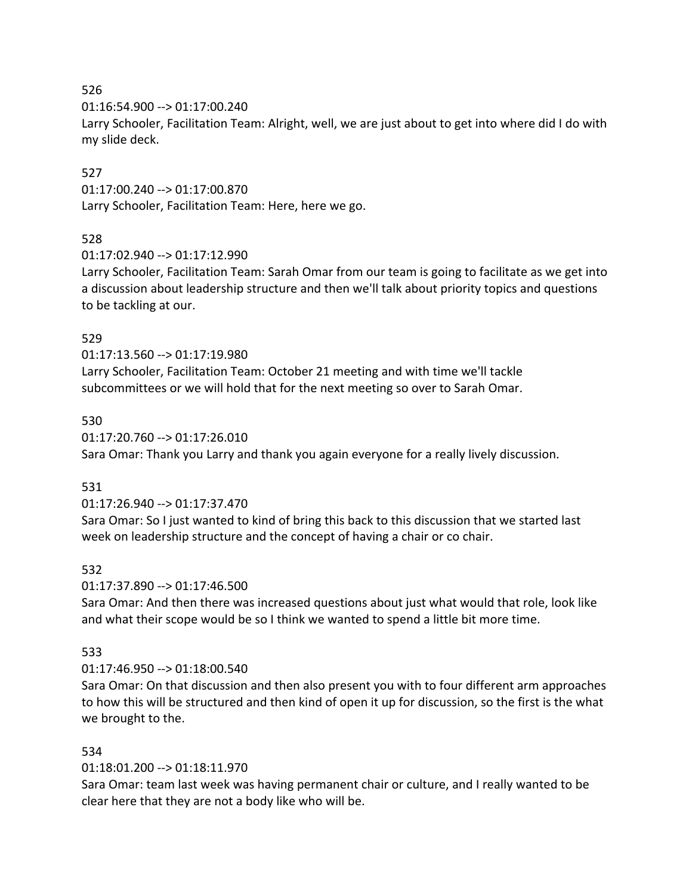01:16:54.900 --> 01:17:00.240

Larry Schooler, Facilitation Team: Alright, well, we are just about to get into where did I do with my slide deck.

## 527

01:17:00.240 --> 01:17:00.870 Larry Schooler, Facilitation Team: Here, here we go.

## 528

01:17:02.940 --> 01:17:12.990

Larry Schooler, Facilitation Team: Sarah Omar from our team is going to facilitate as we get into a discussion about leadership structure and then we'll talk about priority topics and questions to be tackling at our.

## 529

01:17:13.560 --> 01:17:19.980

Larry Schooler, Facilitation Team: October 21 meeting and with time we'll tackle subcommittees or we will hold that for the next meeting so over to Sarah Omar.

## 530

01:17:20.760 --> 01:17:26.010 Sara Omar: Thank you Larry and thank you again everyone for a really lively discussion.

## 531

01:17:26.940 --> 01:17:37.470

Sara Omar: So I just wanted to kind of bring this back to this discussion that we started last week on leadership structure and the concept of having a chair or co chair.

## 532

01:17:37.890 --> 01:17:46.500

Sara Omar: And then there was increased questions about just what would that role, look like and what their scope would be so I think we wanted to spend a little bit more time.

## 533

## 01:17:46.950 --> 01:18:00.540

Sara Omar: On that discussion and then also present you with to four different arm approaches to how this will be structured and then kind of open it up for discussion, so the first is the what we brought to the.

## 534

## 01:18:01.200 --> 01:18:11.970

Sara Omar: team last week was having permanent chair or culture, and I really wanted to be clear here that they are not a body like who will be.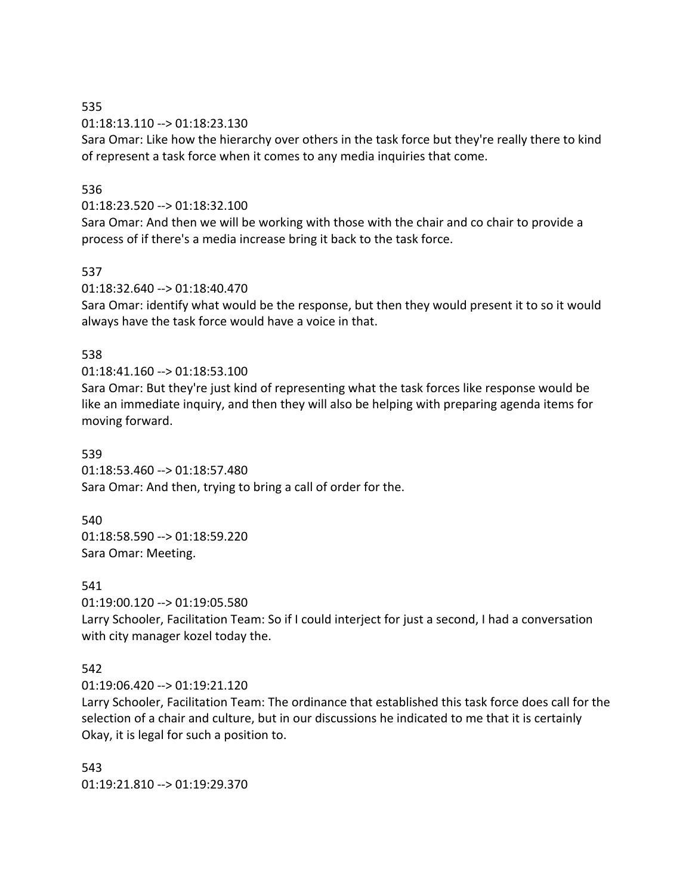01:18:13.110 --> 01:18:23.130

Sara Omar: Like how the hierarchy over others in the task force but they're really there to kind of represent a task force when it comes to any media inquiries that come.

### 536

01:18:23.520 --> 01:18:32.100

Sara Omar: And then we will be working with those with the chair and co chair to provide a process of if there's a media increase bring it back to the task force.

### 537

01:18:32.640 --> 01:18:40.470

Sara Omar: identify what would be the response, but then they would present it to so it would always have the task force would have a voice in that.

### 538

### 01:18:41.160 --> 01:18:53.100

Sara Omar: But they're just kind of representing what the task forces like response would be like an immediate inquiry, and then they will also be helping with preparing agenda items for moving forward.

### 539

01:18:53.460 --> 01:18:57.480 Sara Omar: And then, trying to bring a call of order for the.

#### 540

01:18:58.590 --> 01:18:59.220 Sara Omar: Meeting.

#### 541

01:19:00.120 --> 01:19:05.580

Larry Schooler, Facilitation Team: So if I could interject for just a second, I had a conversation with city manager kozel today the.

## 542

01:19:06.420 --> 01:19:21.120

Larry Schooler, Facilitation Team: The ordinance that established this task force does call for the selection of a chair and culture, but in our discussions he indicated to me that it is certainly Okay, it is legal for such a position to.

543 01:19:21.810 --> 01:19:29.370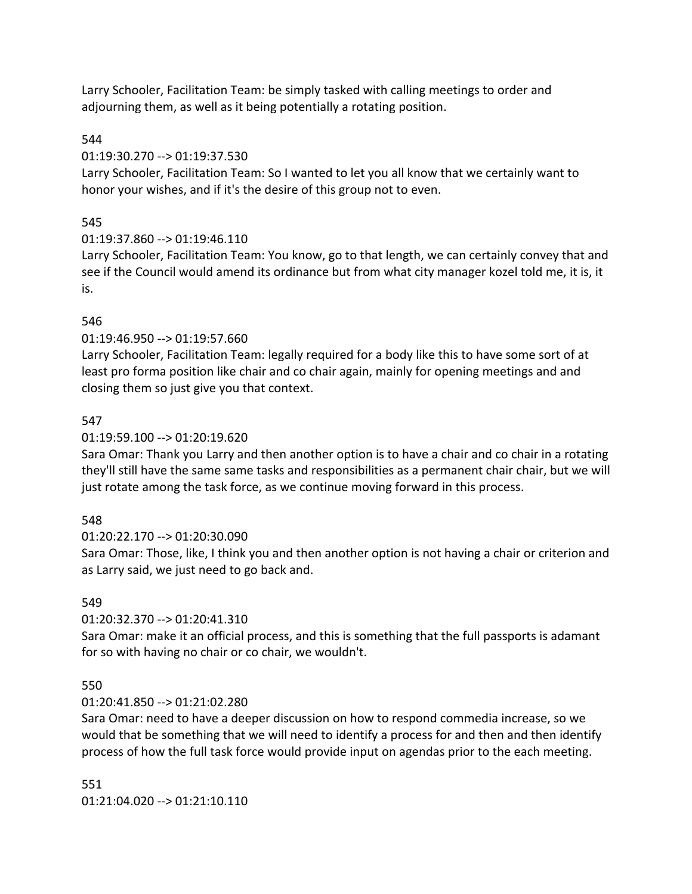Larry Schooler, Facilitation Team: be simply tasked with calling meetings to order and adjourning them, as well as it being potentially a rotating position.

## 544

### 01:19:30.270 --> 01:19:37.530

Larry Schooler, Facilitation Team: So I wanted to let you all know that we certainly want to honor your wishes, and if it's the desire of this group not to even.

## 545

## 01:19:37.860 --> 01:19:46.110

Larry Schooler, Facilitation Team: You know, go to that length, we can certainly convey that and see if the Council would amend its ordinance but from what city manager kozel told me, it is, it is.

## 546

## 01:19:46.950 --> 01:19:57.660

Larry Schooler, Facilitation Team: legally required for a body like this to have some sort of at least pro forma position like chair and co chair again, mainly for opening meetings and and closing them so just give you that context.

## 547

## 01:19:59.100 --> 01:20:19.620

Sara Omar: Thank you Larry and then another option is to have a chair and co chair in a rotating they'll still have the same same tasks and responsibilities as a permanent chair chair, but we will just rotate among the task force, as we continue moving forward in this process.

## 548

## 01:20:22.170 --> 01:20:30.090

Sara Omar: Those, like, I think you and then another option is not having a chair or criterion and as Larry said, we just need to go back and.

## 549

## 01:20:32.370 --> 01:20:41.310

Sara Omar: make it an official process, and this is something that the full passports is adamant for so with having no chair or co chair, we wouldn't.

## 550

## 01:20:41.850 --> 01:21:02.280

Sara Omar: need to have a deeper discussion on how to respond commedia increase, so we would that be something that we will need to identify a process for and then and then identify process of how the full task force would provide input on agendas prior to the each meeting.

# 551 01:21:04.020 --> 01:21:10.110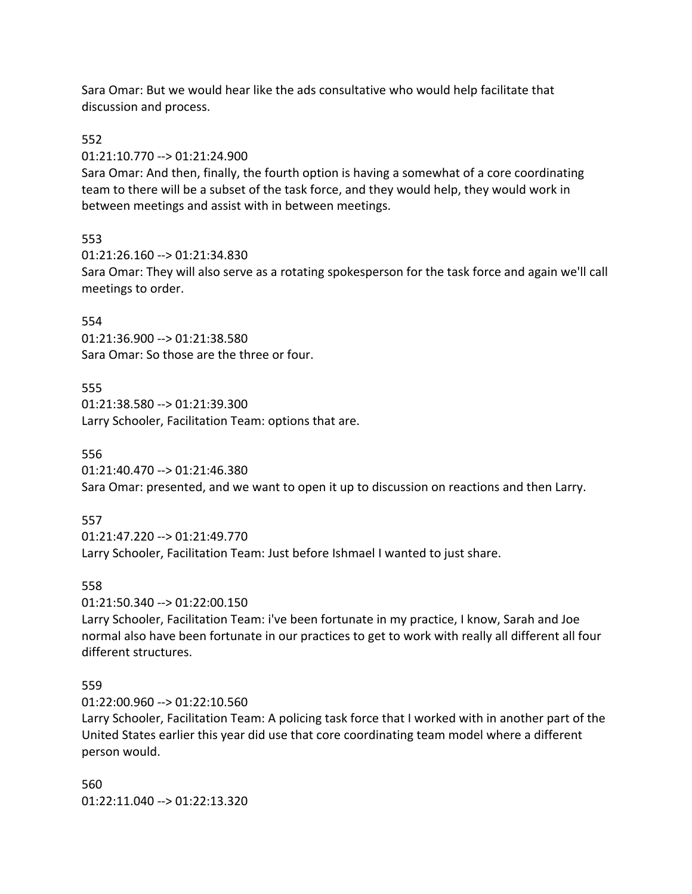Sara Omar: But we would hear like the ads consultative who would help facilitate that discussion and process.

#### 552

01:21:10.770 --> 01:21:24.900

Sara Omar: And then, finally, the fourth option is having a somewhat of a core coordinating team to there will be a subset of the task force, and they would help, they would work in between meetings and assist with in between meetings.

## 553

01:21:26.160 --> 01:21:34.830

Sara Omar: They will also serve as a rotating spokesperson for the task force and again we'll call meetings to order.

### 554

01:21:36.900 --> 01:21:38.580 Sara Omar: So those are the three or four.

## 555

01:21:38.580 --> 01:21:39.300 Larry Schooler, Facilitation Team: options that are.

### 556

01:21:40.470 --> 01:21:46.380 Sara Omar: presented, and we want to open it up to discussion on reactions and then Larry.

## 557

01:21:47.220 --> 01:21:49.770 Larry Schooler, Facilitation Team: Just before Ishmael I wanted to just share.

## 558

01:21:50.340 --> 01:22:00.150

Larry Schooler, Facilitation Team: i've been fortunate in my practice, I know, Sarah and Joe normal also have been fortunate in our practices to get to work with really all different all four different structures.

## 559

01:22:00.960 --> 01:22:10.560

Larry Schooler, Facilitation Team: A policing task force that I worked with in another part of the United States earlier this year did use that core coordinating team model where a different person would.

560 01:22:11.040 --> 01:22:13.320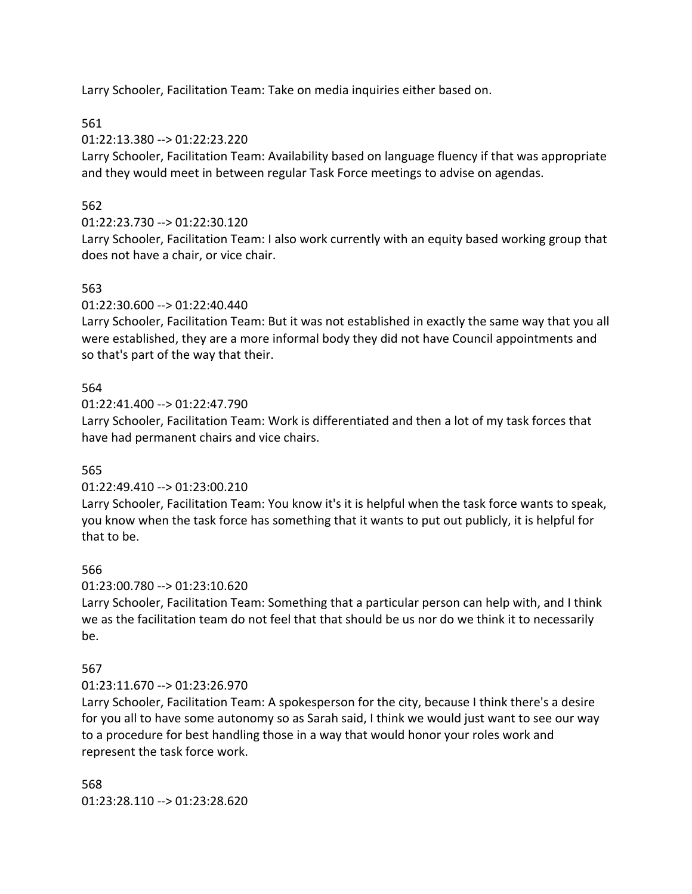Larry Schooler, Facilitation Team: Take on media inquiries either based on.

561

01:22:13.380 --> 01:22:23.220

Larry Schooler, Facilitation Team: Availability based on language fluency if that was appropriate and they would meet in between regular Task Force meetings to advise on agendas.

## 562

## 01:22:23.730 --> 01:22:30.120

Larry Schooler, Facilitation Team: I also work currently with an equity based working group that does not have a chair, or vice chair.

## 563

01:22:30.600 --> 01:22:40.440

Larry Schooler, Facilitation Team: But it was not established in exactly the same way that you all were established, they are a more informal body they did not have Council appointments and so that's part of the way that their.

## 564

01:22:41.400 --> 01:22:47.790

Larry Schooler, Facilitation Team: Work is differentiated and then a lot of my task forces that have had permanent chairs and vice chairs.

## 565

## 01:22:49.410 --> 01:23:00.210

Larry Schooler, Facilitation Team: You know it's it is helpful when the task force wants to speak, you know when the task force has something that it wants to put out publicly, it is helpful for that to be.

## 566

01:23:00.780 --> 01:23:10.620

Larry Schooler, Facilitation Team: Something that a particular person can help with, and I think we as the facilitation team do not feel that that should be us nor do we think it to necessarily be.

## 567

## 01:23:11.670 --> 01:23:26.970

Larry Schooler, Facilitation Team: A spokesperson for the city, because I think there's a desire for you all to have some autonomy so as Sarah said, I think we would just want to see our way to a procedure for best handling those in a way that would honor your roles work and represent the task force work.

568 01:23:28.110 --> 01:23:28.620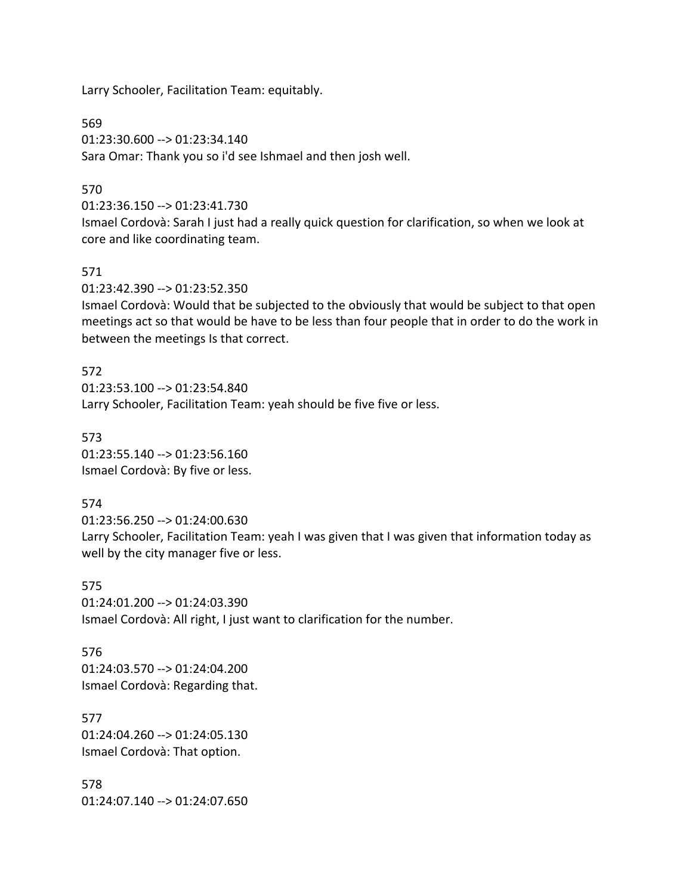Larry Schooler, Facilitation Team: equitably.

569 01:23:30.600 --> 01:23:34.140 Sara Omar: Thank you so i'd see Ishmael and then josh well.

### 570

01:23:36.150 --> 01:23:41.730

Ismael Cordovà: Sarah I just had a really quick question for clarification, so when we look at core and like coordinating team.

#### 571

01:23:42.390 --> 01:23:52.350

Ismael Cordovà: Would that be subjected to the obviously that would be subject to that open meetings act so that would be have to be less than four people that in order to do the work in between the meetings Is that correct.

572 01:23:53.100 --> 01:23:54.840 Larry Schooler, Facilitation Team: yeah should be five five or less.

573 01:23:55.140 --> 01:23:56.160 Ismael Cordovà: By five or less.

#### 574

01:23:56.250 --> 01:24:00.630 Larry Schooler, Facilitation Team: yeah I was given that I was given that information today as well by the city manager five or less.

575 01:24:01.200 --> 01:24:03.390 Ismael Cordovà: All right, I just want to clarification for the number.

576 01:24:03.570 --> 01:24:04.200 Ismael Cordovà: Regarding that.

577 01:24:04.260 --> 01:24:05.130 Ismael Cordovà: That option.

578 01:24:07.140 --> 01:24:07.650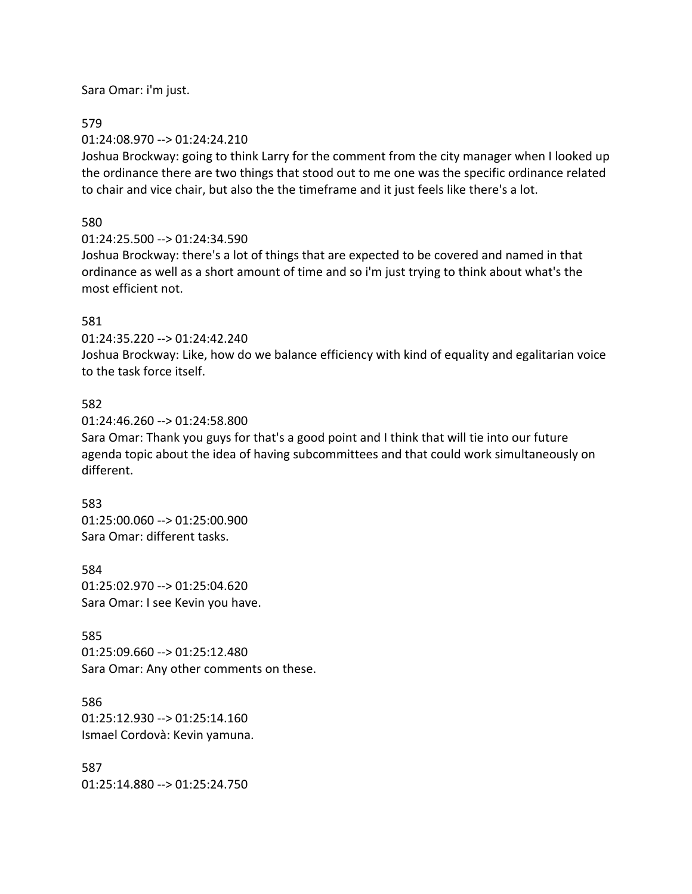Sara Omar: i'm just.

### 579

01:24:08.970 --> 01:24:24.210

Joshua Brockway: going to think Larry for the comment from the city manager when I looked up the ordinance there are two things that stood out to me one was the specific ordinance related to chair and vice chair, but also the the timeframe and it just feels like there's a lot.

## 580

01:24:25.500 --> 01:24:34.590

Joshua Brockway: there's a lot of things that are expected to be covered and named in that ordinance as well as a short amount of time and so i'm just trying to think about what's the most efficient not.

## 581

01:24:35.220 --> 01:24:42.240 Joshua Brockway: Like, how do we balance efficiency with kind of equality and egalitarian voice to the task force itself.

## 582

01:24:46.260 --> 01:24:58.800

Sara Omar: Thank you guys for that's a good point and I think that will tie into our future agenda topic about the idea of having subcommittees and that could work simultaneously on different.

#### 583

01:25:00.060 --> 01:25:00.900 Sara Omar: different tasks.

584 01:25:02.970 --> 01:25:04.620 Sara Omar: I see Kevin you have.

585

01:25:09.660 --> 01:25:12.480 Sara Omar: Any other comments on these.

586 01:25:12.930 --> 01:25:14.160 Ismael Cordovà: Kevin yamuna.

587 01:25:14.880 --> 01:25:24.750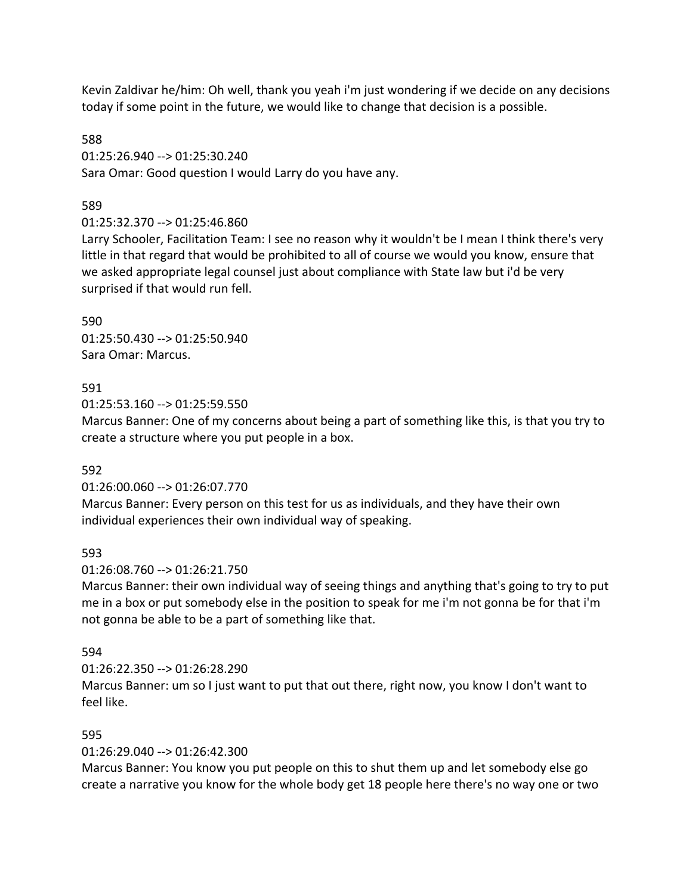Kevin Zaldivar he/him: Oh well, thank you yeah i'm just wondering if we decide on any decisions today if some point in the future, we would like to change that decision is a possible.

588 01:25:26.940 --> 01:25:30.240 Sara Omar: Good question I would Larry do you have any.

### 589

01:25:32.370 --> 01:25:46.860

Larry Schooler, Facilitation Team: I see no reason why it wouldn't be I mean I think there's very little in that regard that would be prohibited to all of course we would you know, ensure that we asked appropriate legal counsel just about compliance with State law but i'd be very surprised if that would run fell.

590 01:25:50.430 --> 01:25:50.940 Sara Omar: Marcus.

#### 591

01:25:53.160 --> 01:25:59.550

Marcus Banner: One of my concerns about being a part of something like this, is that you try to create a structure where you put people in a box.

#### 592

01:26:00.060 --> 01:26:07.770

Marcus Banner: Every person on this test for us as individuals, and they have their own individual experiences their own individual way of speaking.

#### 593

01:26:08.760 --> 01:26:21.750

Marcus Banner: their own individual way of seeing things and anything that's going to try to put me in a box or put somebody else in the position to speak for me i'm not gonna be for that i'm not gonna be able to be a part of something like that.

#### 594

01:26:22.350 --> 01:26:28.290

Marcus Banner: um so I just want to put that out there, right now, you know I don't want to feel like.

#### 595

01:26:29.040 --> 01:26:42.300

Marcus Banner: You know you put people on this to shut them up and let somebody else go create a narrative you know for the whole body get 18 people here there's no way one or two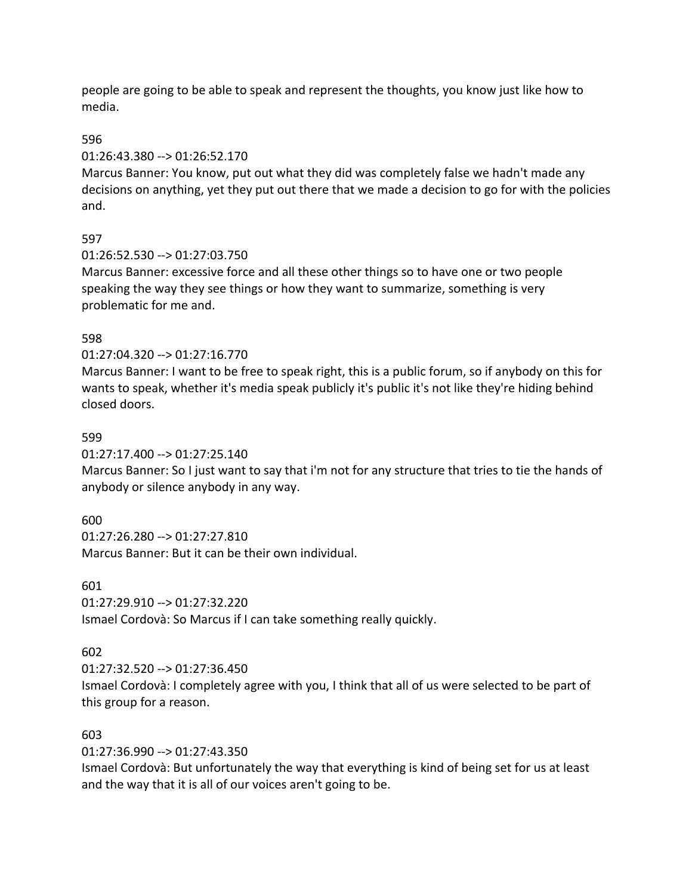people are going to be able to speak and represent the thoughts, you know just like how to media.

#### 596

#### 01:26:43.380 --> 01:26:52.170

Marcus Banner: You know, put out what they did was completely false we hadn't made any decisions on anything, yet they put out there that we made a decision to go for with the policies and.

### 597

### 01:26:52.530 --> 01:27:03.750

Marcus Banner: excessive force and all these other things so to have one or two people speaking the way they see things or how they want to summarize, something is very problematic for me and.

### 598

### 01:27:04.320 --> 01:27:16.770

Marcus Banner: I want to be free to speak right, this is a public forum, so if anybody on this for wants to speak, whether it's media speak publicly it's public it's not like they're hiding behind closed doors.

#### 599

01:27:17.400 --> 01:27:25.140

Marcus Banner: So I just want to say that i'm not for any structure that tries to tie the hands of anybody or silence anybody in any way.

## 600

01:27:26.280 --> 01:27:27.810 Marcus Banner: But it can be their own individual.

601

01:27:29.910 --> 01:27:32.220

Ismael Cordovà: So Marcus if I can take something really quickly.

#### 602

01:27:32.520 --> 01:27:36.450

Ismael Cordovà: I completely agree with you, I think that all of us were selected to be part of this group for a reason.

### 603

01:27:36.990 --> 01:27:43.350

Ismael Cordovà: But unfortunately the way that everything is kind of being set for us at least and the way that it is all of our voices aren't going to be.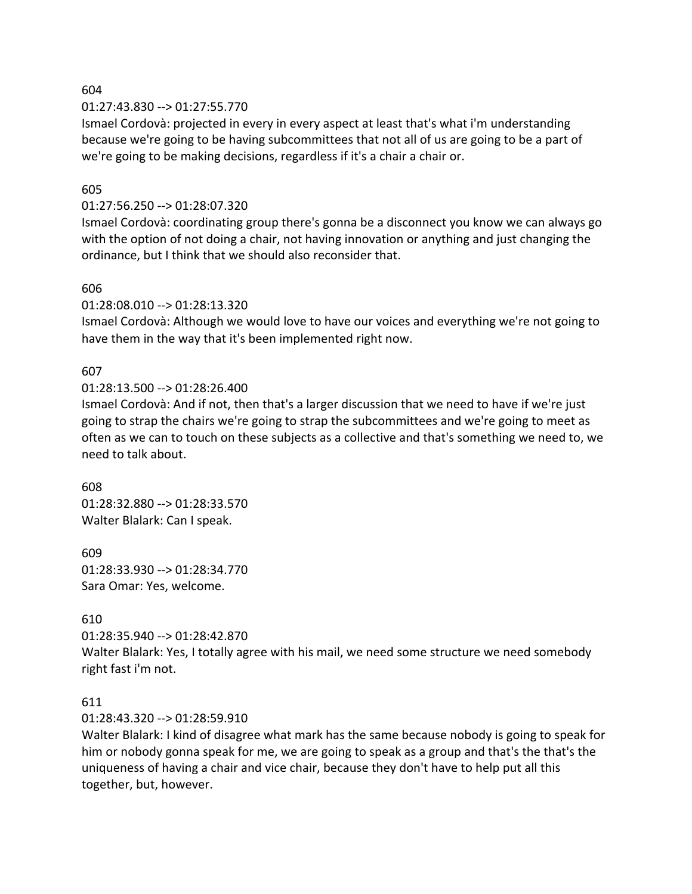01:27:43.830 --> 01:27:55.770

Ismael Cordovà: projected in every in every aspect at least that's what i'm understanding because we're going to be having subcommittees that not all of us are going to be a part of we're going to be making decisions, regardless if it's a chair a chair or.

#### 605

#### 01:27:56.250 --> 01:28:07.320

Ismael Cordovà: coordinating group there's gonna be a disconnect you know we can always go with the option of not doing a chair, not having innovation or anything and just changing the ordinance, but I think that we should also reconsider that.

#### 606

01:28:08.010 --> 01:28:13.320

Ismael Cordovà: Although we would love to have our voices and everything we're not going to have them in the way that it's been implemented right now.

#### 607

01:28:13.500 --> 01:28:26.400

Ismael Cordovà: And if not, then that's a larger discussion that we need to have if we're just going to strap the chairs we're going to strap the subcommittees and we're going to meet as often as we can to touch on these subjects as a collective and that's something we need to, we need to talk about.

608 01:28:32.880 --> 01:28:33.570 Walter Blalark: Can I speak.

609 01:28:33.930 --> 01:28:34.770 Sara Omar: Yes, welcome.

#### 610

01:28:35.940 --> 01:28:42.870

Walter Blalark: Yes, I totally agree with his mail, we need some structure we need somebody right fast i'm not.

#### 611

01:28:43.320 --> 01:28:59.910

Walter Blalark: I kind of disagree what mark has the same because nobody is going to speak for him or nobody gonna speak for me, we are going to speak as a group and that's the that's the uniqueness of having a chair and vice chair, because they don't have to help put all this together, but, however.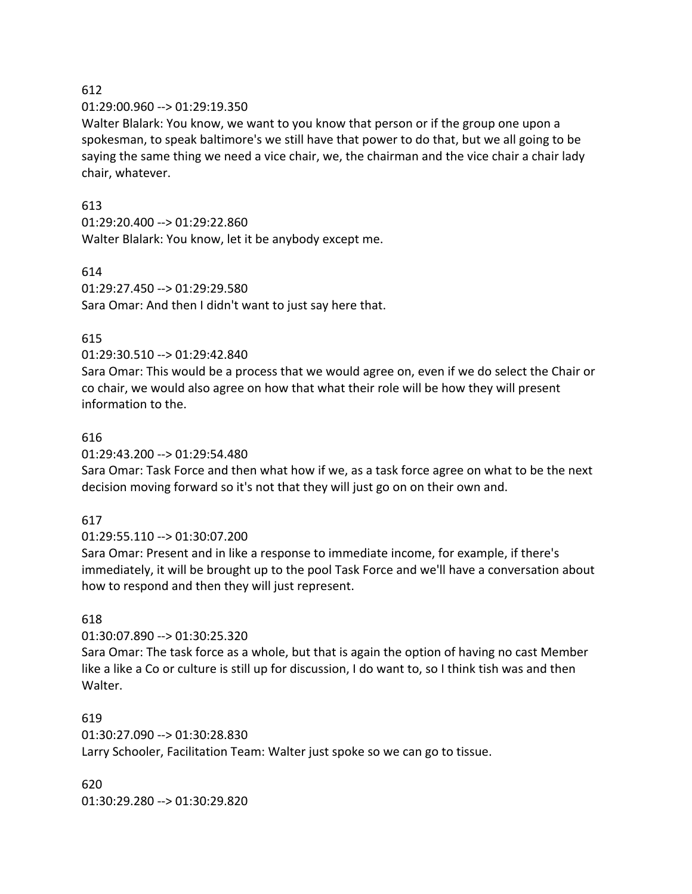#### 01:29:00.960 --> 01:29:19.350

Walter Blalark: You know, we want to you know that person or if the group one upon a spokesman, to speak baltimore's we still have that power to do that, but we all going to be saying the same thing we need a vice chair, we, the chairman and the vice chair a chair lady chair, whatever.

## 613

01:29:20.400 --> 01:29:22.860 Walter Blalark: You know, let it be anybody except me.

### 614

01:29:27.450 --> 01:29:29.580 Sara Omar: And then I didn't want to just say here that.

### 615

01:29:30.510 --> 01:29:42.840

Sara Omar: This would be a process that we would agree on, even if we do select the Chair or co chair, we would also agree on how that what their role will be how they will present information to the.

### 616

01:29:43.200 --> 01:29:54.480

Sara Omar: Task Force and then what how if we, as a task force agree on what to be the next decision moving forward so it's not that they will just go on on their own and.

## 617

01:29:55.110 --> 01:30:07.200

Sara Omar: Present and in like a response to immediate income, for example, if there's immediately, it will be brought up to the pool Task Force and we'll have a conversation about how to respond and then they will just represent.

## 618

01:30:07.890 --> 01:30:25.320

Sara Omar: The task force as a whole, but that is again the option of having no cast Member like a like a Co or culture is still up for discussion, I do want to, so I think tish was and then Walter.

#### 619

01:30:27.090 --> 01:30:28.830 Larry Schooler, Facilitation Team: Walter just spoke so we can go to tissue.

620 01:30:29.280 --> 01:30:29.820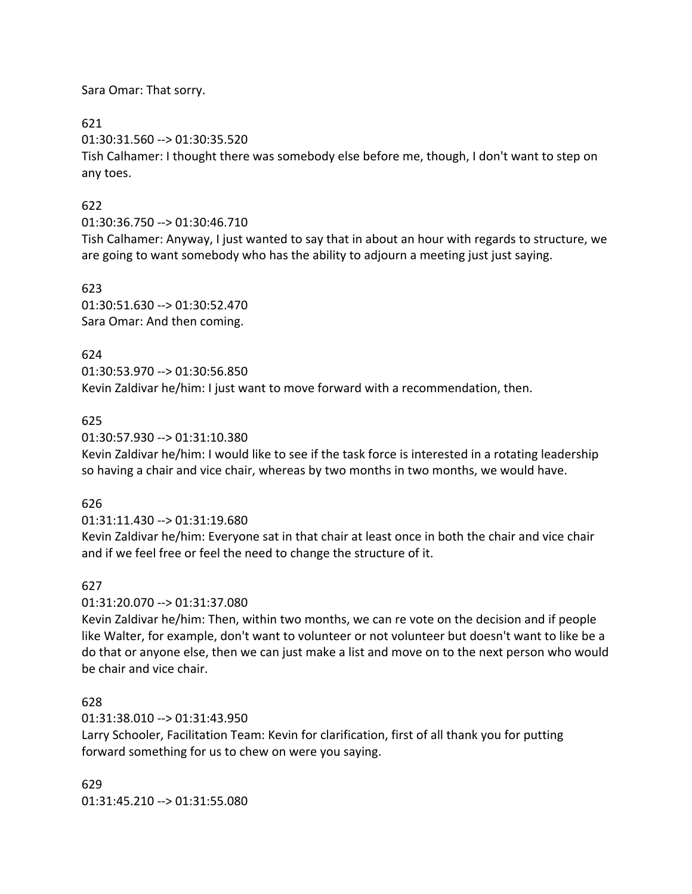Sara Omar: That sorry.

621

01:30:31.560 --> 01:30:35.520

Tish Calhamer: I thought there was somebody else before me, though, I don't want to step on any toes.

## 622

01:30:36.750 --> 01:30:46.710

Tish Calhamer: Anyway, I just wanted to say that in about an hour with regards to structure, we are going to want somebody who has the ability to adjourn a meeting just just saying.

623

01:30:51.630 --> 01:30:52.470 Sara Omar: And then coming.

## 624

01:30:53.970 --> 01:30:56.850

Kevin Zaldivar he/him: I just want to move forward with a recommendation, then.

# 625

01:30:57.930 --> 01:31:10.380

Kevin Zaldivar he/him: I would like to see if the task force is interested in a rotating leadership so having a chair and vice chair, whereas by two months in two months, we would have.

# 626

01:31:11.430 --> 01:31:19.680

Kevin Zaldivar he/him: Everyone sat in that chair at least once in both the chair and vice chair and if we feel free or feel the need to change the structure of it.

# 627

01:31:20.070 --> 01:31:37.080

Kevin Zaldivar he/him: Then, within two months, we can re vote on the decision and if people like Walter, for example, don't want to volunteer or not volunteer but doesn't want to like be a do that or anyone else, then we can just make a list and move on to the next person who would be chair and vice chair.

# 628

01:31:38.010 --> 01:31:43.950

Larry Schooler, Facilitation Team: Kevin for clarification, first of all thank you for putting forward something for us to chew on were you saying.

629 01:31:45.210 --> 01:31:55.080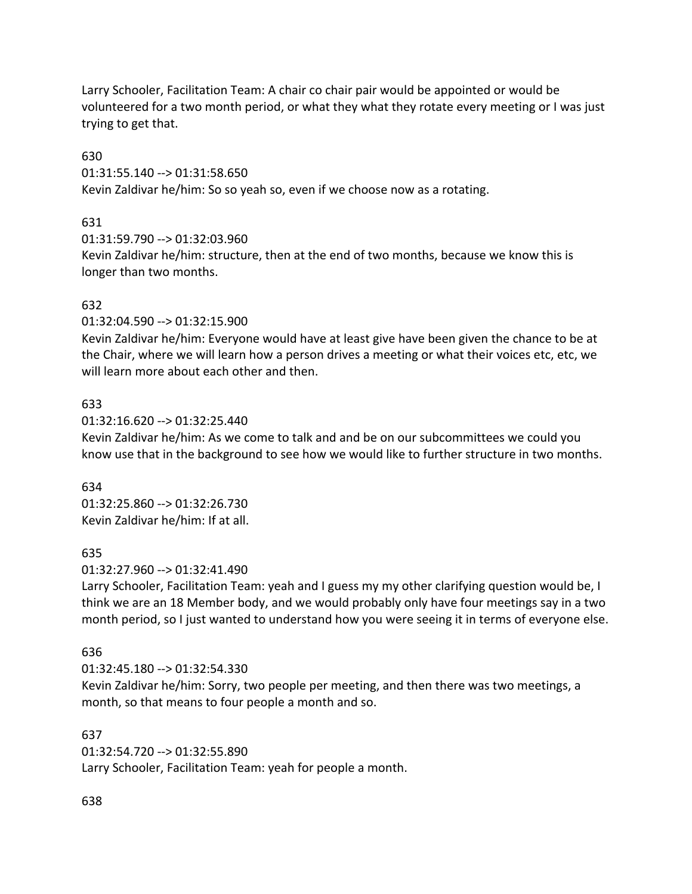Larry Schooler, Facilitation Team: A chair co chair pair would be appointed or would be volunteered for a two month period, or what they what they rotate every meeting or I was just trying to get that.

630

01:31:55.140 --> 01:31:58.650

Kevin Zaldivar he/him: So so yeah so, even if we choose now as a rotating.

631

01:31:59.790 --> 01:32:03.960

Kevin Zaldivar he/him: structure, then at the end of two months, because we know this is longer than two months.

## 632

01:32:04.590 --> 01:32:15.900

Kevin Zaldivar he/him: Everyone would have at least give have been given the chance to be at the Chair, where we will learn how a person drives a meeting or what their voices etc, etc, we will learn more about each other and then.

## 633

01:32:16.620 --> 01:32:25.440

Kevin Zaldivar he/him: As we come to talk and and be on our subcommittees we could you know use that in the background to see how we would like to further structure in two months.

634 01:32:25.860 --> 01:32:26.730 Kevin Zaldivar he/him: If at all.

## 635

01:32:27.960 --> 01:32:41.490

Larry Schooler, Facilitation Team: yeah and I guess my my other clarifying question would be, I think we are an 18 Member body, and we would probably only have four meetings say in a two month period, so I just wanted to understand how you were seeing it in terms of everyone else.

## 636

01:32:45.180 --> 01:32:54.330 Kevin Zaldivar he/him: Sorry, two people per meeting, and then there was two meetings, a month, so that means to four people a month and so.

## 637

01:32:54.720 --> 01:32:55.890 Larry Schooler, Facilitation Team: yeah for people a month.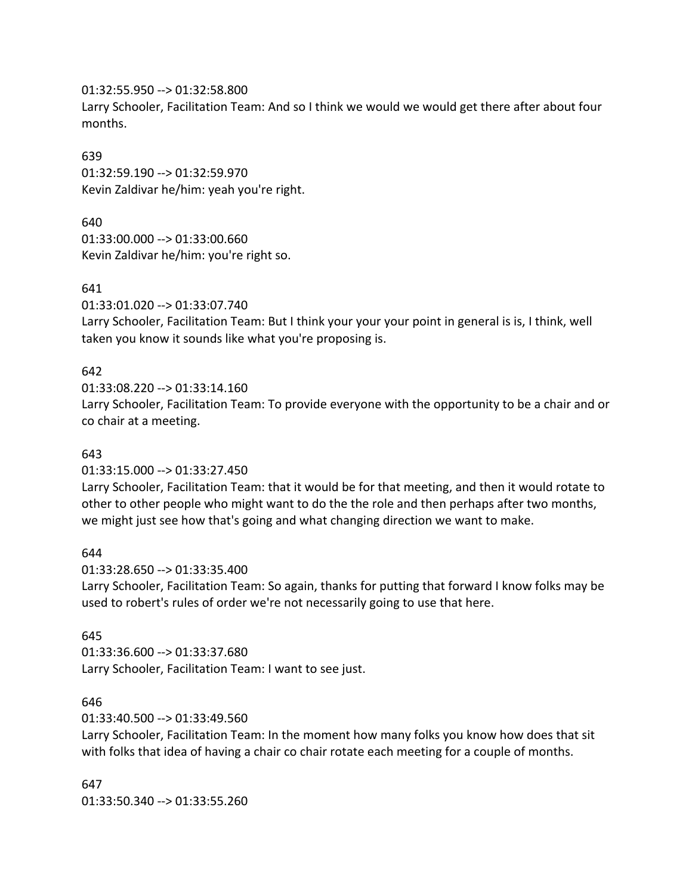01:32:55.950 --> 01:32:58.800

Larry Schooler, Facilitation Team: And so I think we would we would get there after about four months.

### 639

01:32:59.190 --> 01:32:59.970 Kevin Zaldivar he/him: yeah you're right.

# 640

01:33:00.000 --> 01:33:00.660 Kevin Zaldivar he/him: you're right so.

# 641

01:33:01.020 --> 01:33:07.740

Larry Schooler, Facilitation Team: But I think your your your point in general is is, I think, well taken you know it sounds like what you're proposing is.

# 642

01:33:08.220 --> 01:33:14.160

Larry Schooler, Facilitation Team: To provide everyone with the opportunity to be a chair and or co chair at a meeting.

# 643

01:33:15.000 --> 01:33:27.450

Larry Schooler, Facilitation Team: that it would be for that meeting, and then it would rotate to other to other people who might want to do the the role and then perhaps after two months, we might just see how that's going and what changing direction we want to make.

### 644

01:33:28.650 --> 01:33:35.400

Larry Schooler, Facilitation Team: So again, thanks for putting that forward I know folks may be used to robert's rules of order we're not necessarily going to use that here.

# 645

01:33:36.600 --> 01:33:37.680 Larry Schooler, Facilitation Team: I want to see just.

### 646

01:33:40.500 --> 01:33:49.560

Larry Schooler, Facilitation Team: In the moment how many folks you know how does that sit with folks that idea of having a chair co chair rotate each meeting for a couple of months.

### 647

01:33:50.340 --> 01:33:55.260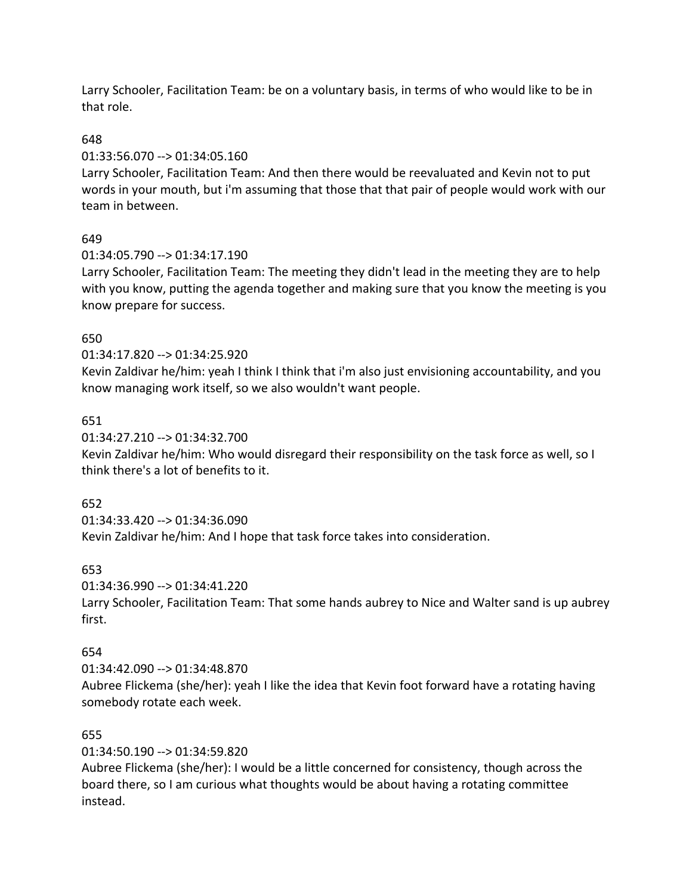Larry Schooler, Facilitation Team: be on a voluntary basis, in terms of who would like to be in that role.

#### 648

#### 01:33:56.070 --> 01:34:05.160

Larry Schooler, Facilitation Team: And then there would be reevaluated and Kevin not to put words in your mouth, but i'm assuming that those that that pair of people would work with our team in between.

# 649

### 01:34:05.790 --> 01:34:17.190

Larry Schooler, Facilitation Team: The meeting they didn't lead in the meeting they are to help with you know, putting the agenda together and making sure that you know the meeting is you know prepare for success.

### 650

#### 01:34:17.820 --> 01:34:25.920

Kevin Zaldivar he/him: yeah I think I think that i'm also just envisioning accountability, and you know managing work itself, so we also wouldn't want people.

### 651

# 01:34:27.210 --> 01:34:32.700

Kevin Zaldivar he/him: Who would disregard their responsibility on the task force as well, so I think there's a lot of benefits to it.

### 652

01:34:33.420 --> 01:34:36.090

Kevin Zaldivar he/him: And I hope that task force takes into consideration.

### 653

# 01:34:36.990 --> 01:34:41.220 Larry Schooler, Facilitation Team: That some hands aubrey to Nice and Walter sand is up aubrey first.

### 654

# 01:34:42.090 --> 01:34:48.870

Aubree Flickema (she/her): yeah I like the idea that Kevin foot forward have a rotating having somebody rotate each week.

### 655

### 01:34:50.190 --> 01:34:59.820

Aubree Flickema (she/her): I would be a little concerned for consistency, though across the board there, so I am curious what thoughts would be about having a rotating committee instead.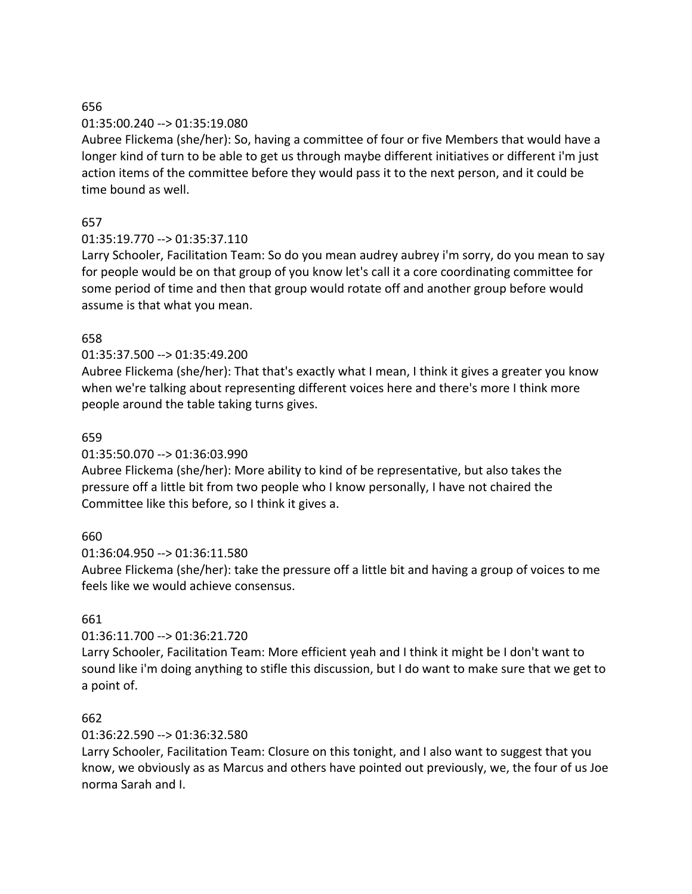### 01:35:00.240 --> 01:35:19.080

Aubree Flickema (she/her): So, having a committee of four or five Members that would have a longer kind of turn to be able to get us through maybe different initiatives or different i'm just action items of the committee before they would pass it to the next person, and it could be time bound as well.

# 657

# 01:35:19.770 --> 01:35:37.110

Larry Schooler, Facilitation Team: So do you mean audrey aubrey i'm sorry, do you mean to say for people would be on that group of you know let's call it a core coordinating committee for some period of time and then that group would rotate off and another group before would assume is that what you mean.

# 658

# 01:35:37.500 --> 01:35:49.200

Aubree Flickema (she/her): That that's exactly what I mean, I think it gives a greater you know when we're talking about representing different voices here and there's more I think more people around the table taking turns gives.

# 659

### 01:35:50.070 --> 01:36:03.990

Aubree Flickema (she/her): More ability to kind of be representative, but also takes the pressure off a little bit from two people who I know personally, I have not chaired the Committee like this before, so I think it gives a.

# 660

### 01:36:04.950 --> 01:36:11.580

Aubree Flickema (she/her): take the pressure off a little bit and having a group of voices to me feels like we would achieve consensus.

### 661

# 01:36:11.700 --> 01:36:21.720

Larry Schooler, Facilitation Team: More efficient yeah and I think it might be I don't want to sound like i'm doing anything to stifle this discussion, but I do want to make sure that we get to a point of.

### 662

### 01:36:22.590 --> 01:36:32.580

Larry Schooler, Facilitation Team: Closure on this tonight, and I also want to suggest that you know, we obviously as as Marcus and others have pointed out previously, we, the four of us Joe norma Sarah and I.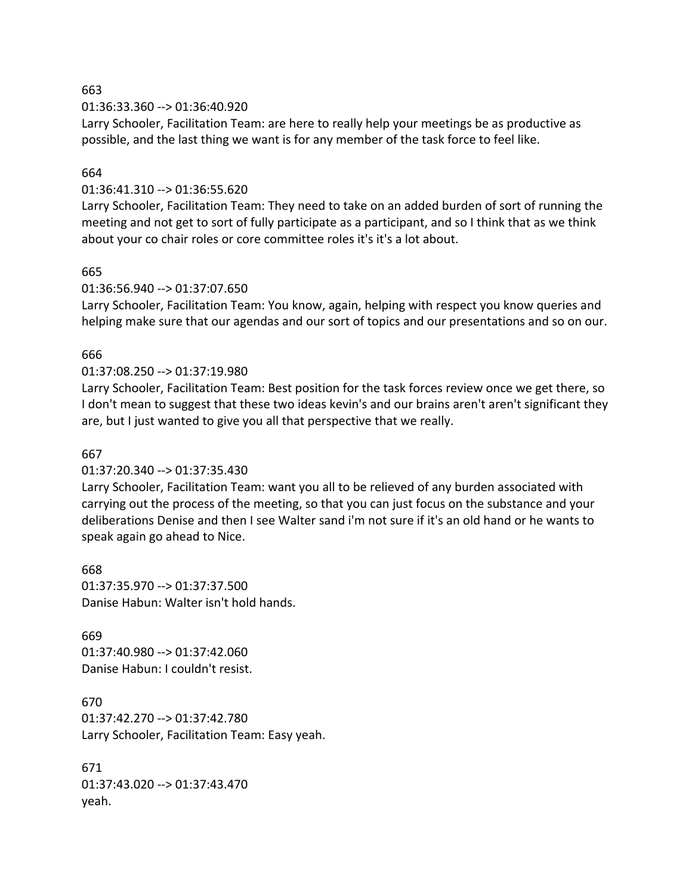#### 01:36:33.360 --> 01:36:40.920

Larry Schooler, Facilitation Team: are here to really help your meetings be as productive as possible, and the last thing we want is for any member of the task force to feel like.

#### 664

#### 01:36:41.310 --> 01:36:55.620

Larry Schooler, Facilitation Team: They need to take on an added burden of sort of running the meeting and not get to sort of fully participate as a participant, and so I think that as we think about your co chair roles or core committee roles it's it's a lot about.

#### 665

#### 01:36:56.940 --> 01:37:07.650

Larry Schooler, Facilitation Team: You know, again, helping with respect you know queries and helping make sure that our agendas and our sort of topics and our presentations and so on our.

#### 666

#### 01:37:08.250 --> 01:37:19.980

Larry Schooler, Facilitation Team: Best position for the task forces review once we get there, so I don't mean to suggest that these two ideas kevin's and our brains aren't aren't significant they are, but I just wanted to give you all that perspective that we really.

#### 667

#### 01:37:20.340 --> 01:37:35.430

Larry Schooler, Facilitation Team: want you all to be relieved of any burden associated with carrying out the process of the meeting, so that you can just focus on the substance and your deliberations Denise and then I see Walter sand i'm not sure if it's an old hand or he wants to speak again go ahead to Nice.

668 01:37:35.970 --> 01:37:37.500 Danise Habun: Walter isn't hold hands.

669 01:37:40.980 --> 01:37:42.060 Danise Habun: I couldn't resist.

670 01:37:42.270 --> 01:37:42.780 Larry Schooler, Facilitation Team: Easy yeah.

671 01:37:43.020 --> 01:37:43.470 yeah.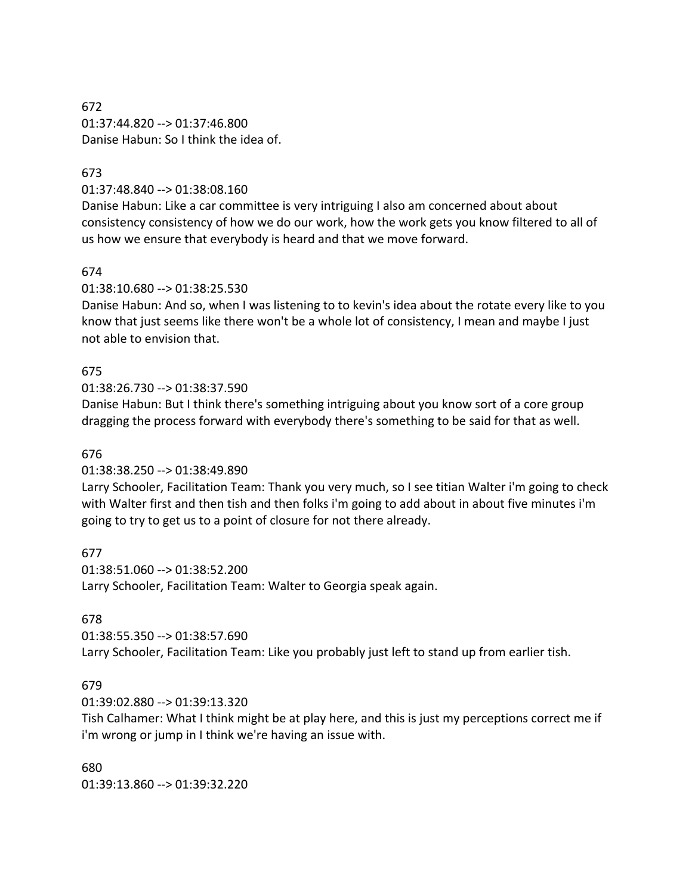672 01:37:44.820 --> 01:37:46.800 Danise Habun: So I think the idea of.

#### 673

01:37:48.840 --> 01:38:08.160

Danise Habun: Like a car committee is very intriguing I also am concerned about about consistency consistency of how we do our work, how the work gets you know filtered to all of us how we ensure that everybody is heard and that we move forward.

#### 674

01:38:10.680 --> 01:38:25.530

Danise Habun: And so, when I was listening to to kevin's idea about the rotate every like to you know that just seems like there won't be a whole lot of consistency, I mean and maybe I just not able to envision that.

#### 675

01:38:26.730 --> 01:38:37.590

Danise Habun: But I think there's something intriguing about you know sort of a core group dragging the process forward with everybody there's something to be said for that as well.

#### 676

01:38:38.250 --> 01:38:49.890

Larry Schooler, Facilitation Team: Thank you very much, so I see titian Walter i'm going to check with Walter first and then tish and then folks i'm going to add about in about five minutes i'm going to try to get us to a point of closure for not there already.

677

01:38:51.060 --> 01:38:52.200 Larry Schooler, Facilitation Team: Walter to Georgia speak again.

#### 678

01:38:55.350 --> 01:38:57.690 Larry Schooler, Facilitation Team: Like you probably just left to stand up from earlier tish.

#### 679

01:39:02.880 --> 01:39:13.320

Tish Calhamer: What I think might be at play here, and this is just my perceptions correct me if i'm wrong or jump in I think we're having an issue with.

680 01:39:13.860 --> 01:39:32.220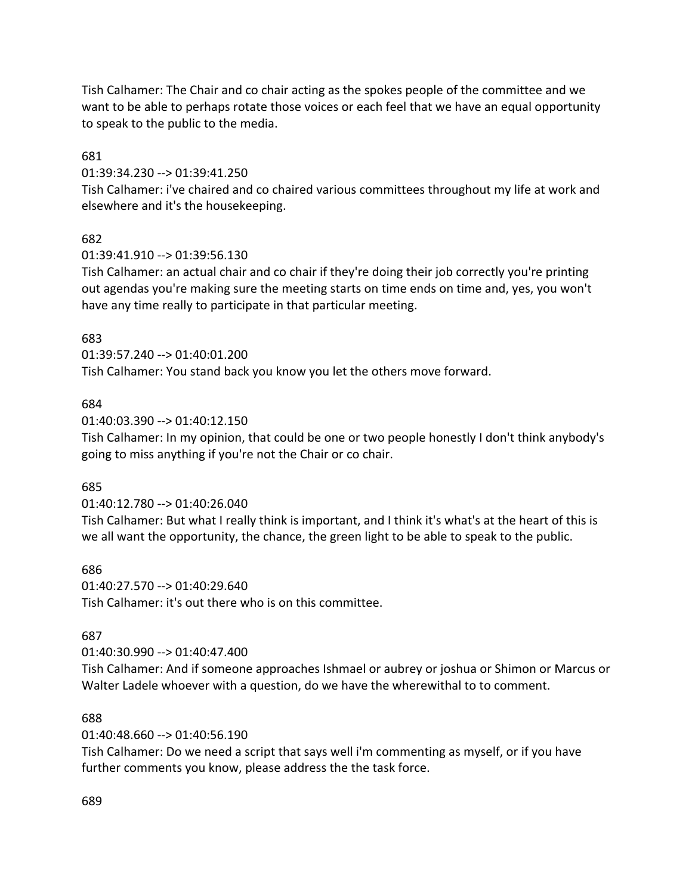Tish Calhamer: The Chair and co chair acting as the spokes people of the committee and we want to be able to perhaps rotate those voices or each feel that we have an equal opportunity to speak to the public to the media.

681

01:39:34.230 --> 01:39:41.250

Tish Calhamer: i've chaired and co chaired various committees throughout my life at work and elsewhere and it's the housekeeping.

### 682

01:39:41.910 --> 01:39:56.130

Tish Calhamer: an actual chair and co chair if they're doing their job correctly you're printing out agendas you're making sure the meeting starts on time ends on time and, yes, you won't have any time really to participate in that particular meeting.

### 683

01:39:57.240 --> 01:40:01.200

Tish Calhamer: You stand back you know you let the others move forward.

#### 684

01:40:03.390 --> 01:40:12.150

Tish Calhamer: In my opinion, that could be one or two people honestly I don't think anybody's going to miss anything if you're not the Chair or co chair.

### 685

01:40:12.780 --> 01:40:26.040

Tish Calhamer: But what I really think is important, and I think it's what's at the heart of this is we all want the opportunity, the chance, the green light to be able to speak to the public.

### 686

01:40:27.570 --> 01:40:29.640 Tish Calhamer: it's out there who is on this committee.

### 687

01:40:30.990 --> 01:40:47.400

Tish Calhamer: And if someone approaches Ishmael or aubrey or joshua or Shimon or Marcus or Walter Ladele whoever with a question, do we have the wherewithal to to comment.

### 688

01:40:48.660 --> 01:40:56.190

Tish Calhamer: Do we need a script that says well i'm commenting as myself, or if you have further comments you know, please address the the task force.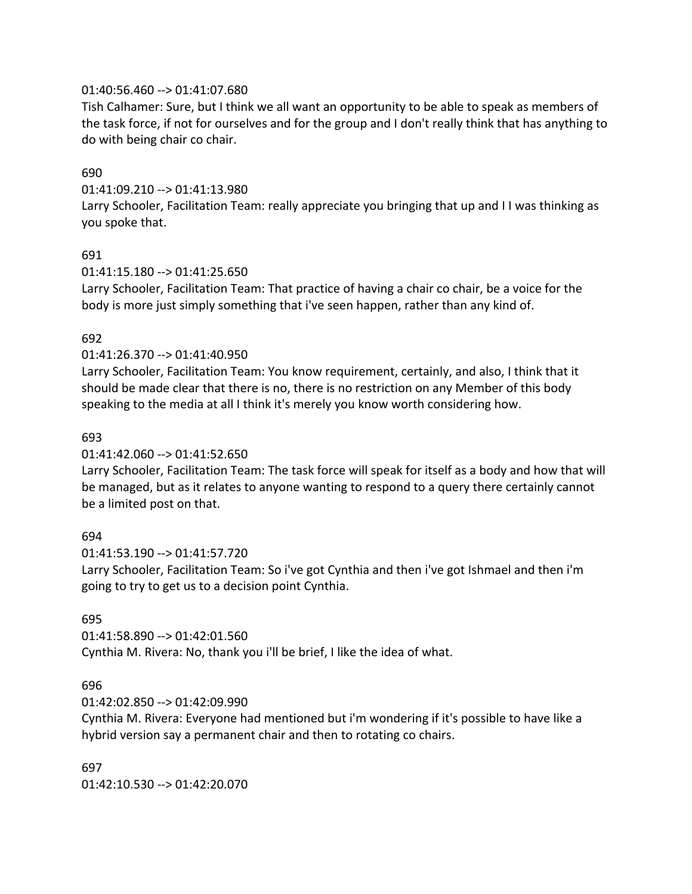#### 01:40:56.460 --> 01:41:07.680

Tish Calhamer: Sure, but I think we all want an opportunity to be able to speak as members of the task force, if not for ourselves and for the group and I don't really think that has anything to do with being chair co chair.

#### 690

01:41:09.210 --> 01:41:13.980

Larry Schooler, Facilitation Team: really appreciate you bringing that up and I I was thinking as you spoke that.

#### 691

#### 01:41:15.180 --> 01:41:25.650

Larry Schooler, Facilitation Team: That practice of having a chair co chair, be a voice for the body is more just simply something that i've seen happen, rather than any kind of.

#### 692

#### 01:41:26.370 --> 01:41:40.950

Larry Schooler, Facilitation Team: You know requirement, certainly, and also, I think that it should be made clear that there is no, there is no restriction on any Member of this body speaking to the media at all I think it's merely you know worth considering how.

#### 693

#### 01:41:42.060 --> 01:41:52.650

Larry Schooler, Facilitation Team: The task force will speak for itself as a body and how that will be managed, but as it relates to anyone wanting to respond to a query there certainly cannot be a limited post on that.

#### 694

01:41:53.190 --> 01:41:57.720

Larry Schooler, Facilitation Team: So i've got Cynthia and then i've got Ishmael and then i'm going to try to get us to a decision point Cynthia.

#### 695

01:41:58.890 --> 01:42:01.560 Cynthia M. Rivera: No, thank you i'll be brief, I like the idea of what.

#### 696

01:42:02.850 --> 01:42:09.990

Cynthia M. Rivera: Everyone had mentioned but i'm wondering if it's possible to have like a hybrid version say a permanent chair and then to rotating co chairs.

697 01:42:10.530 --> 01:42:20.070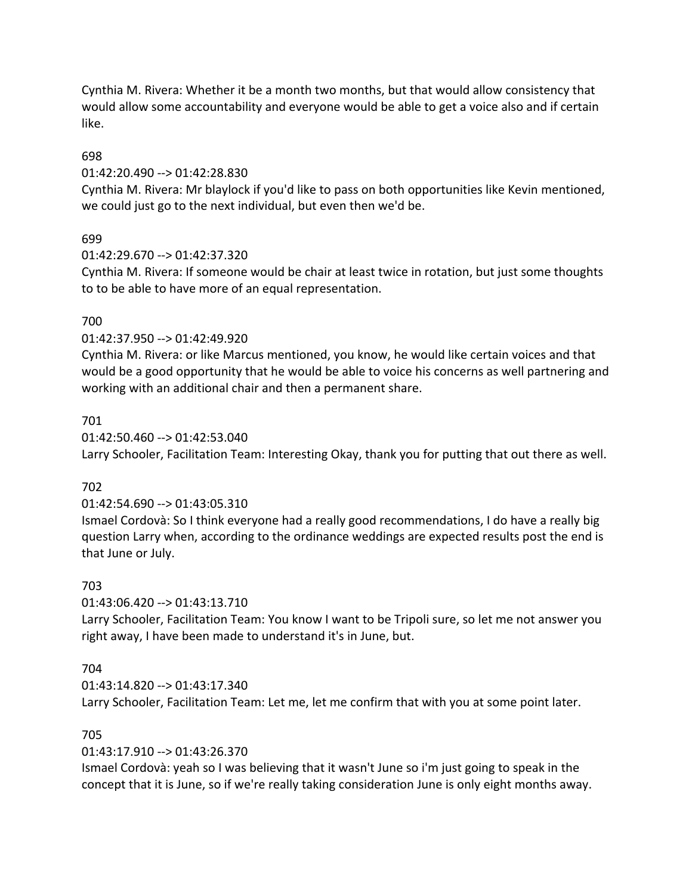Cynthia M. Rivera: Whether it be a month two months, but that would allow consistency that would allow some accountability and everyone would be able to get a voice also and if certain like.

#### 698

#### 01:42:20.490 --> 01:42:28.830

Cynthia M. Rivera: Mr blaylock if you'd like to pass on both opportunities like Kevin mentioned, we could just go to the next individual, but even then we'd be.

### 699

#### 01:42:29.670 --> 01:42:37.320

Cynthia M. Rivera: If someone would be chair at least twice in rotation, but just some thoughts to to be able to have more of an equal representation.

#### 700

#### 01:42:37.950 --> 01:42:49.920

Cynthia M. Rivera: or like Marcus mentioned, you know, he would like certain voices and that would be a good opportunity that he would be able to voice his concerns as well partnering and working with an additional chair and then a permanent share.

#### 701

01:42:50.460 --> 01:42:53.040 Larry Schooler, Facilitation Team: Interesting Okay, thank you for putting that out there as well.

### 702

#### 01:42:54.690 --> 01:43:05.310

Ismael Cordovà: So I think everyone had a really good recommendations, I do have a really big question Larry when, according to the ordinance weddings are expected results post the end is that June or July.

#### 703

### 01:43:06.420 --> 01:43:13.710

Larry Schooler, Facilitation Team: You know I want to be Tripoli sure, so let me not answer you right away, I have been made to understand it's in June, but.

### 704

#### 01:43:14.820 --> 01:43:17.340 Larry Schooler, Facilitation Team: Let me, let me confirm that with you at some point later.

### 705

### 01:43:17.910 --> 01:43:26.370

Ismael Cordovà: yeah so I was believing that it wasn't June so i'm just going to speak in the concept that it is June, so if we're really taking consideration June is only eight months away.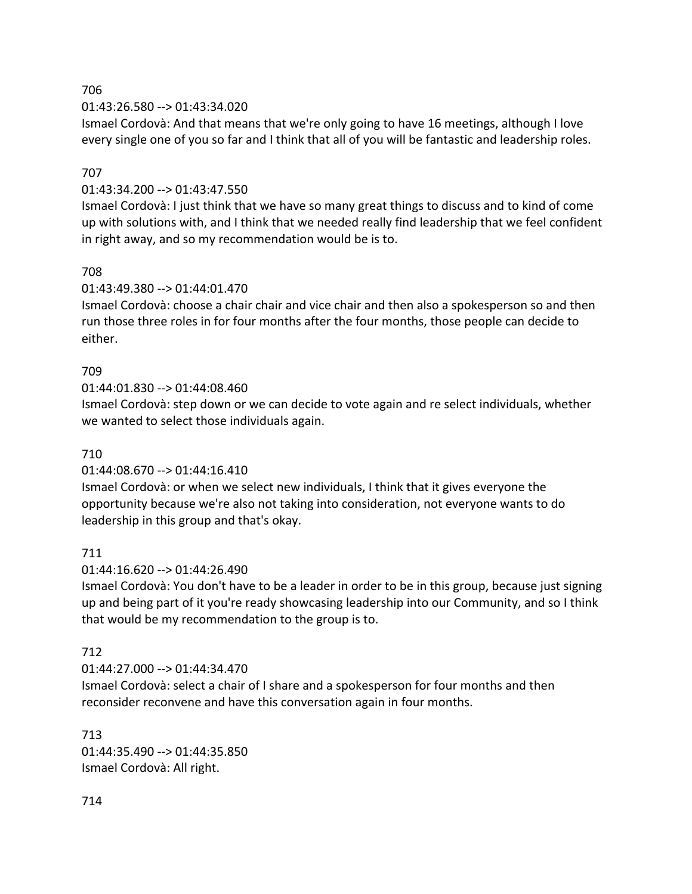#### 01:43:26.580 --> 01:43:34.020

Ismael Cordovà: And that means that we're only going to have 16 meetings, although I love every single one of you so far and I think that all of you will be fantastic and leadership roles.

# 707

### 01:43:34.200 --> 01:43:47.550

Ismael Cordovà: I just think that we have so many great things to discuss and to kind of come up with solutions with, and I think that we needed really find leadership that we feel confident in right away, and so my recommendation would be is to.

### 708

### 01:43:49.380 --> 01:44:01.470

Ismael Cordovà: choose a chair chair and vice chair and then also a spokesperson so and then run those three roles in for four months after the four months, those people can decide to either.

### 709

#### 01:44:01.830 --> 01:44:08.460

Ismael Cordovà: step down or we can decide to vote again and re select individuals, whether we wanted to select those individuals again.

### 710

### 01:44:08.670 --> 01:44:16.410

Ismael Cordovà: or when we select new individuals, I think that it gives everyone the opportunity because we're also not taking into consideration, not everyone wants to do leadership in this group and that's okay.

### 711

#### 01:44:16.620 --> 01:44:26.490

Ismael Cordovà: You don't have to be a leader in order to be in this group, because just signing up and being part of it you're ready showcasing leadership into our Community, and so I think that would be my recommendation to the group is to.

### 712

### 01:44:27.000 --> 01:44:34.470

Ismael Cordovà: select a chair of I share and a spokesperson for four months and then reconsider reconvene and have this conversation again in four months.

### 713

01:44:35.490 --> 01:44:35.850 Ismael Cordovà: All right.

714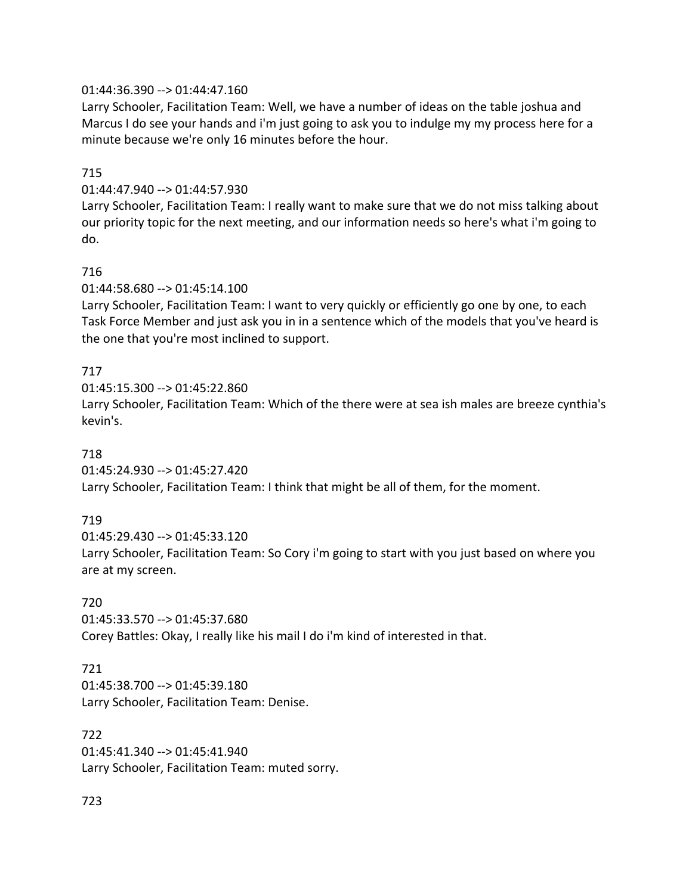### 01:44:36.390 --> 01:44:47.160

Larry Schooler, Facilitation Team: Well, we have a number of ideas on the table joshua and Marcus I do see your hands and i'm just going to ask you to indulge my my process here for a minute because we're only 16 minutes before the hour.

#### 715

#### 01:44:47.940 --> 01:44:57.930

Larry Schooler, Facilitation Team: I really want to make sure that we do not miss talking about our priority topic for the next meeting, and our information needs so here's what i'm going to do.

#### 716

#### 01:44:58.680 --> 01:45:14.100

Larry Schooler, Facilitation Team: I want to very quickly or efficiently go one by one, to each Task Force Member and just ask you in in a sentence which of the models that you've heard is the one that you're most inclined to support.

### 717

01:45:15.300 --> 01:45:22.860

Larry Schooler, Facilitation Team: Which of the there were at sea ish males are breeze cynthia's kevin's.

#### 718

01:45:24.930 --> 01:45:27.420

### Larry Schooler, Facilitation Team: I think that might be all of them, for the moment.

### 719

01:45:29.430 --> 01:45:33.120 Larry Schooler, Facilitation Team: So Cory i'm going to start with you just based on where you are at my screen.

#### 720

01:45:33.570 --> 01:45:37.680 Corey Battles: Okay, I really like his mail I do i'm kind of interested in that.

### 721

01:45:38.700 --> 01:45:39.180 Larry Schooler, Facilitation Team: Denise.

#### 722

01:45:41.340 --> 01:45:41.940 Larry Schooler, Facilitation Team: muted sorry.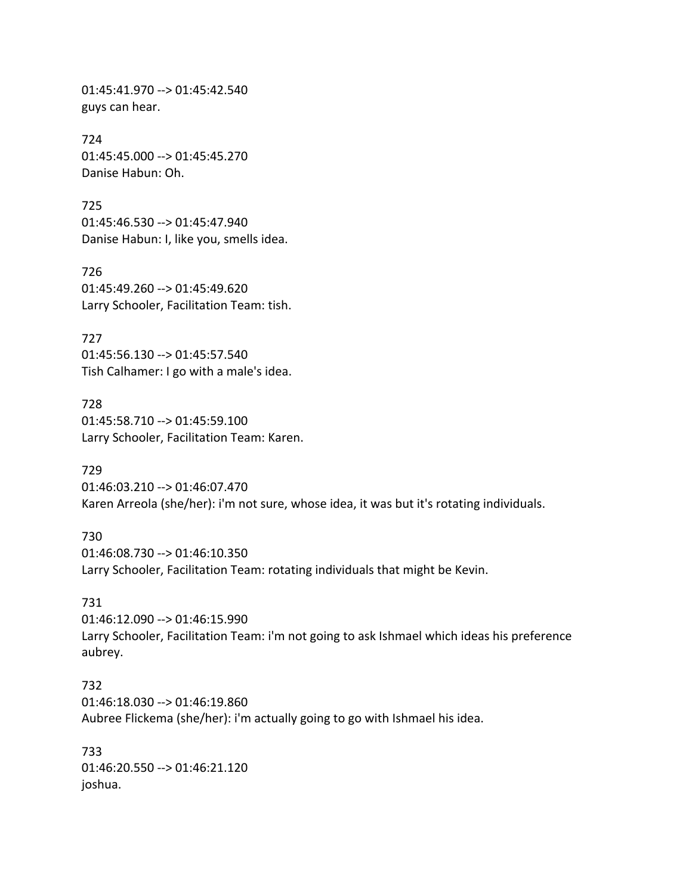01:45:41.970 --> 01:45:42.540 guys can hear.

724 01:45:45.000 --> 01:45:45.270 Danise Habun: Oh.

725 01:45:46.530 --> 01:45:47.940 Danise Habun: I, like you, smells idea.

726 01:45:49.260 --> 01:45:49.620 Larry Schooler, Facilitation Team: tish.

727 01:45:56.130 --> 01:45:57.540 Tish Calhamer: I go with a male's idea.

728 01:45:58.710 --> 01:45:59.100 Larry Schooler, Facilitation Team: Karen.

729 01:46:03.210 --> 01:46:07.470 Karen Arreola (she/her): i'm not sure, whose idea, it was but it's rotating individuals.

730 01:46:08.730 --> 01:46:10.350 Larry Schooler, Facilitation Team: rotating individuals that might be Kevin.

731

01:46:12.090 --> 01:46:15.990 Larry Schooler, Facilitation Team: i'm not going to ask Ishmael which ideas his preference aubrey.

732 01:46:18.030 --> 01:46:19.860 Aubree Flickema (she/her): i'm actually going to go with Ishmael his idea.

733 01:46:20.550 --> 01:46:21.120 joshua.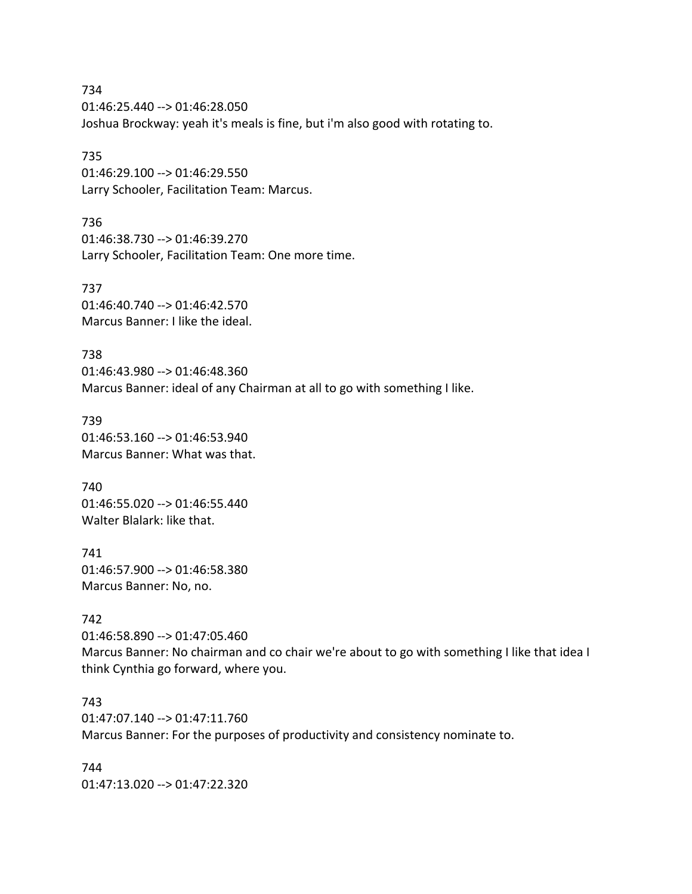734 01:46:25.440 --> 01:46:28.050 Joshua Brockway: yeah it's meals is fine, but i'm also good with rotating to.

735 01:46:29.100 --> 01:46:29.550 Larry Schooler, Facilitation Team: Marcus.

736 01:46:38.730 --> 01:46:39.270 Larry Schooler, Facilitation Team: One more time.

737 01:46:40.740 --> 01:46:42.570 Marcus Banner: I like the ideal.

738 01:46:43.980 --> 01:46:48.360 Marcus Banner: ideal of any Chairman at all to go with something I like.

739 01:46:53.160 --> 01:46:53.940 Marcus Banner: What was that.

740 01:46:55.020 --> 01:46:55.440 Walter Blalark: like that.

741 01:46:57.900 --> 01:46:58.380 Marcus Banner: No, no.

### 742

01:46:58.890 --> 01:47:05.460 Marcus Banner: No chairman and co chair we're about to go with something I like that idea I think Cynthia go forward, where you.

743 01:47:07.140 --> 01:47:11.760 Marcus Banner: For the purposes of productivity and consistency nominate to.

744 01:47:13.020 --> 01:47:22.320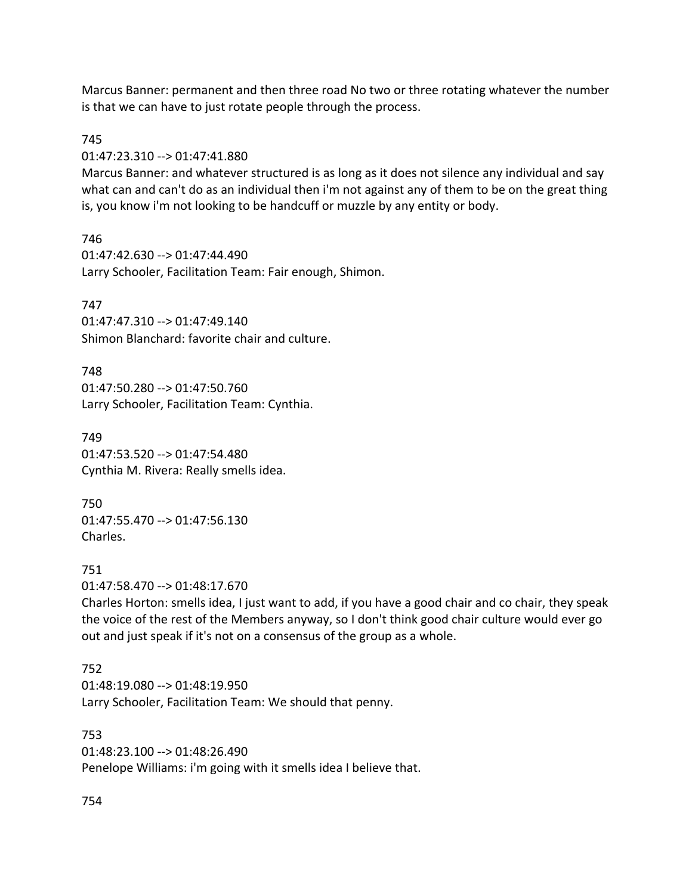Marcus Banner: permanent and then three road No two or three rotating whatever the number is that we can have to just rotate people through the process.

#### 745

01:47:23.310 --> 01:47:41.880

Marcus Banner: and whatever structured is as long as it does not silence any individual and say what can and can't do as an individual then i'm not against any of them to be on the great thing is, you know i'm not looking to be handcuff or muzzle by any entity or body.

746 01:47:42.630 --> 01:47:44.490 Larry Schooler, Facilitation Team: Fair enough, Shimon.

### 747

01:47:47.310 --> 01:47:49.140 Shimon Blanchard: favorite chair and culture.

#### 748

01:47:50.280 --> 01:47:50.760 Larry Schooler, Facilitation Team: Cynthia.

749 01:47:53.520 --> 01:47:54.480 Cynthia M. Rivera: Really smells idea.

750 01:47:55.470 --> 01:47:56.130 Charles.

#### 751

01:47:58.470 --> 01:48:17.670

Charles Horton: smells idea, I just want to add, if you have a good chair and co chair, they speak the voice of the rest of the Members anyway, so I don't think good chair culture would ever go out and just speak if it's not on a consensus of the group as a whole.

### 752

01:48:19.080 --> 01:48:19.950 Larry Schooler, Facilitation Team: We should that penny.

753 01:48:23.100 --> 01:48:26.490 Penelope Williams: i'm going with it smells idea I believe that.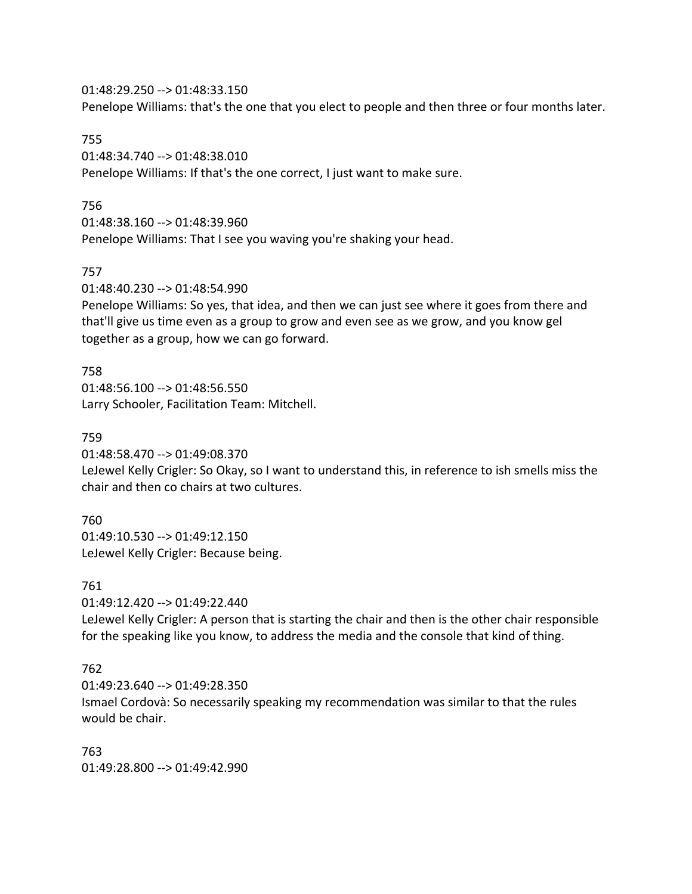01:48:29.250 --> 01:48:33.150 Penelope Williams: that's the one that you elect to people and then three or four months later.

#### 755

01:48:34.740 --> 01:48:38.010 Penelope Williams: If that's the one correct, I just want to make sure.

#### 756

01:48:38.160 --> 01:48:39.960

Penelope Williams: That I see you waving you're shaking your head.

#### 757

01:48:40.230 --> 01:48:54.990

Penelope Williams: So yes, that idea, and then we can just see where it goes from there and that'll give us time even as a group to grow and even see as we grow, and you know gel together as a group, how we can go forward.

#### 758

01:48:56.100 --> 01:48:56.550 Larry Schooler, Facilitation Team: Mitchell.

#### 759

01:48:58.470 --> 01:49:08.370

LeJewel Kelly Crigler: So Okay, so I want to understand this, in reference to ish smells miss the chair and then co chairs at two cultures.

### 760

01:49:10.530 --> 01:49:12.150 LeJewel Kelly Crigler: Because being.

#### 761

01:49:12.420 --> 01:49:22.440

LeJewel Kelly Crigler: A person that is starting the chair and then is the other chair responsible for the speaking like you know, to address the media and the console that kind of thing.

### 762

01:49:23.640 --> 01:49:28.350 Ismael Cordovà: So necessarily speaking my recommendation was similar to that the rules would be chair.

### 763

01:49:28.800 --> 01:49:42.990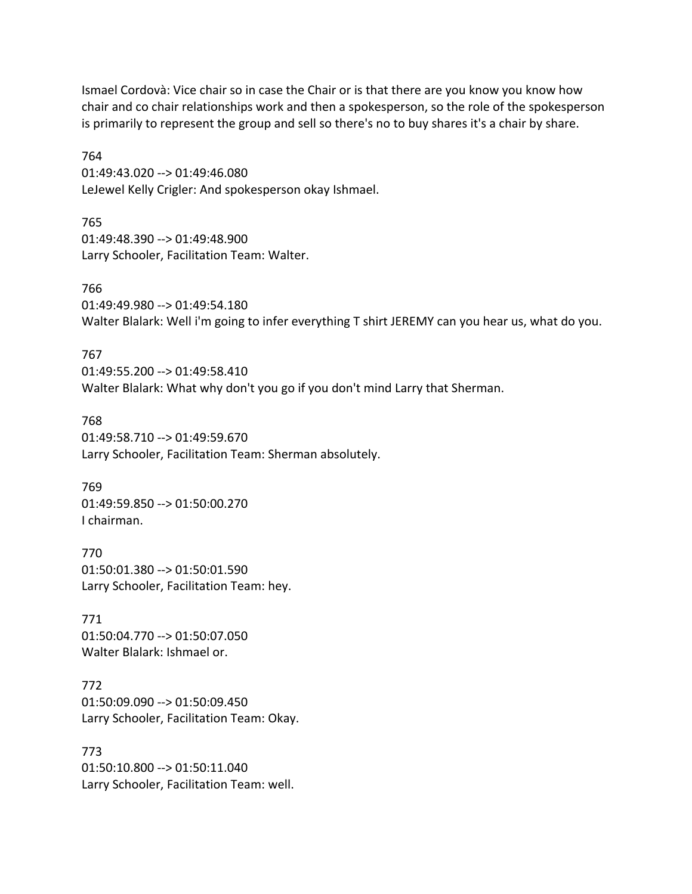Ismael Cordovà: Vice chair so in case the Chair or is that there are you know you know how chair and co chair relationships work and then a spokesperson, so the role of the spokesperson is primarily to represent the group and sell so there's no to buy shares it's a chair by share.

764 01:49:43.020 --> 01:49:46.080 LeJewel Kelly Crigler: And spokesperson okay Ishmael.

765 01:49:48.390 --> 01:49:48.900 Larry Schooler, Facilitation Team: Walter.

766 01:49:49.980 --> 01:49:54.180 Walter Blalark: Well i'm going to infer everything T shirt JEREMY can you hear us, what do you.

767 01:49:55.200 --> 01:49:58.410 Walter Blalark: What why don't you go if you don't mind Larry that Sherman.

768 01:49:58.710 --> 01:49:59.670 Larry Schooler, Facilitation Team: Sherman absolutely.

769 01:49:59.850 --> 01:50:00.270 I chairman.

770 01:50:01.380 --> 01:50:01.590 Larry Schooler, Facilitation Team: hey.

771 01:50:04.770 --> 01:50:07.050 Walter Blalark: Ishmael or.

772 01:50:09.090 --> 01:50:09.450 Larry Schooler, Facilitation Team: Okay.

773 01:50:10.800 --> 01:50:11.040 Larry Schooler, Facilitation Team: well.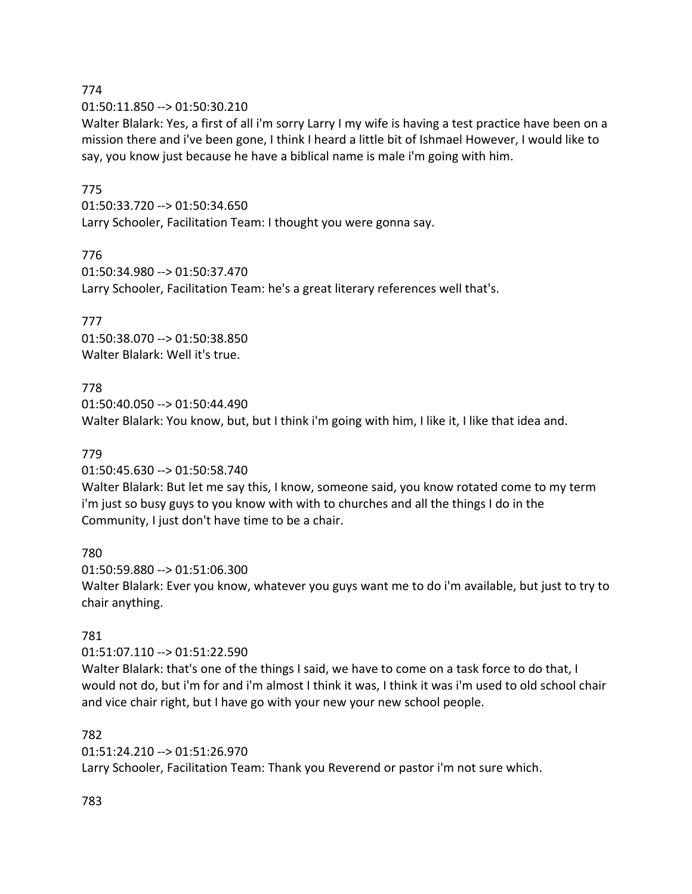01:50:11.850 --> 01:50:30.210

Walter Blalark: Yes, a first of all i'm sorry Larry I my wife is having a test practice have been on a mission there and i've been gone, I think I heard a little bit of Ishmael However, I would like to say, you know just because he have a biblical name is male i'm going with him.

#### 775

01:50:33.720 --> 01:50:34.650 Larry Schooler, Facilitation Team: I thought you were gonna say.

#### 776

01:50:34.980 --> 01:50:37.470 Larry Schooler, Facilitation Team: he's a great literary references well that's.

#### 777

01:50:38.070 --> 01:50:38.850 Walter Blalark: Well it's true.

#### 778

01:50:40.050 --> 01:50:44.490 Walter Blalark: You know, but, but I think i'm going with him, I like it, I like that idea and.

#### 779

01:50:45.630 --> 01:50:58.740

Walter Blalark: But let me say this, I know, someone said, you know rotated come to my term i'm just so busy guys to you know with with to churches and all the things I do in the Community, I just don't have time to be a chair.

# 780

01:50:59.880 --> 01:51:06.300 Walter Blalark: Ever you know, whatever you guys want me to do i'm available, but just to try to chair anything.

### 781

01:51:07.110 --> 01:51:22.590

Walter Blalark: that's one of the things I said, we have to come on a task force to do that, I would not do, but i'm for and i'm almost I think it was, I think it was i'm used to old school chair and vice chair right, but I have go with your new your new school people.

#### 782

01:51:24.210 --> 01:51:26.970

Larry Schooler, Facilitation Team: Thank you Reverend or pastor i'm not sure which.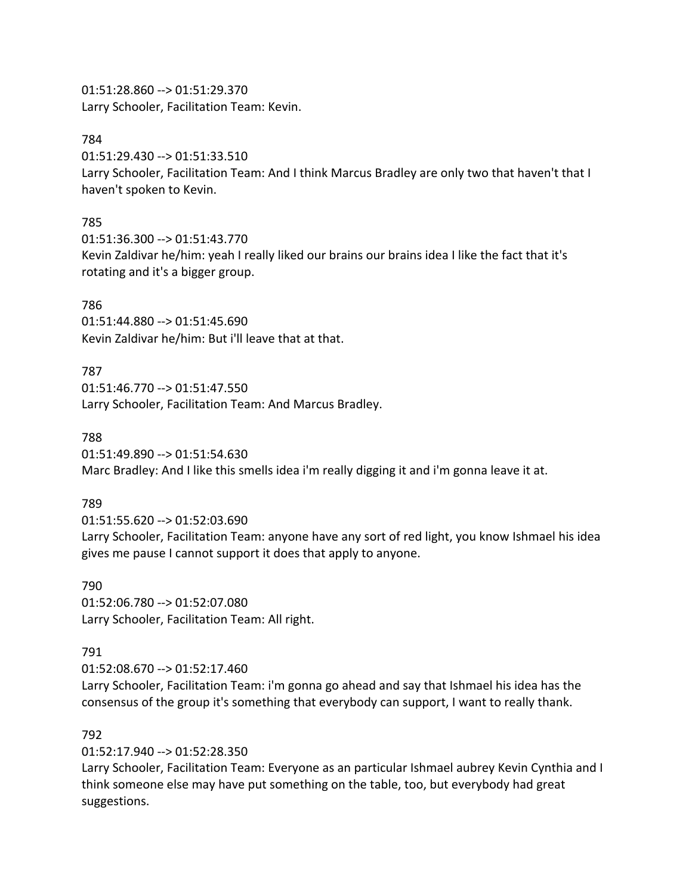01:51:28.860 --> 01:51:29.370 Larry Schooler, Facilitation Team: Kevin.

#### 784

01:51:29.430 --> 01:51:33.510 Larry Schooler, Facilitation Team: And I think Marcus Bradley are only two that haven't that I haven't spoken to Kevin.

#### 785

01:51:36.300 --> 01:51:43.770 Kevin Zaldivar he/him: yeah I really liked our brains our brains idea I like the fact that it's rotating and it's a bigger group.

#### 786

01:51:44.880 --> 01:51:45.690 Kevin Zaldivar he/him: But i'll leave that at that.

#### 787

01:51:46.770 --> 01:51:47.550 Larry Schooler, Facilitation Team: And Marcus Bradley.

#### 788

01:51:49.890 --> 01:51:54.630

Marc Bradley: And I like this smells idea i'm really digging it and i'm gonna leave it at.

#### 789

01:51:55.620 --> 01:52:03.690

Larry Schooler, Facilitation Team: anyone have any sort of red light, you know Ishmael his idea gives me pause I cannot support it does that apply to anyone.

#### 790

01:52:06.780 --> 01:52:07.080 Larry Schooler, Facilitation Team: All right.

#### 791

01:52:08.670 --> 01:52:17.460

Larry Schooler, Facilitation Team: i'm gonna go ahead and say that Ishmael his idea has the consensus of the group it's something that everybody can support, I want to really thank.

### 792

01:52:17.940 --> 01:52:28.350

Larry Schooler, Facilitation Team: Everyone as an particular Ishmael aubrey Kevin Cynthia and I think someone else may have put something on the table, too, but everybody had great suggestions.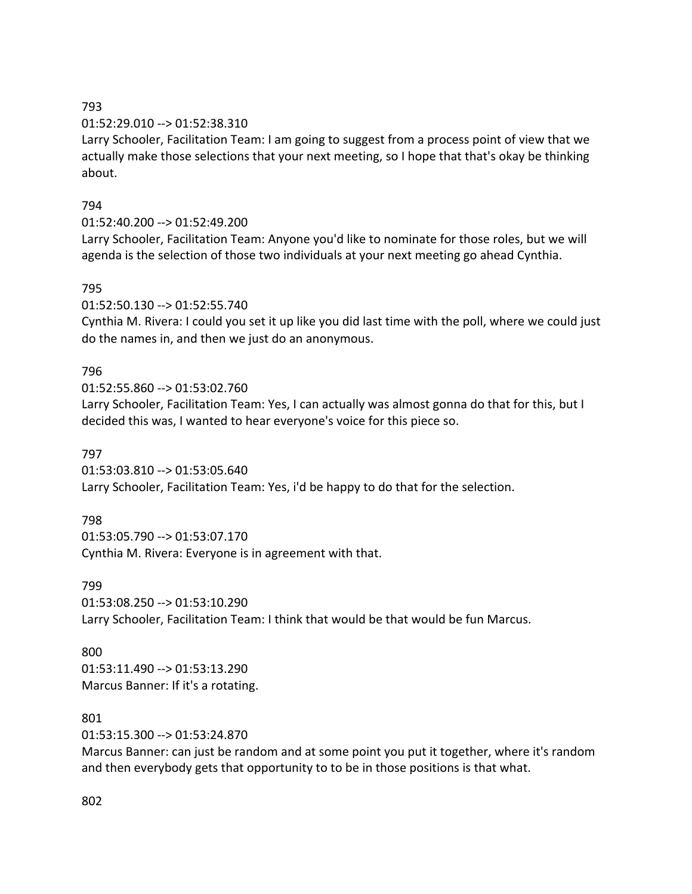### 01:52:29.010 --> 01:52:38.310

Larry Schooler, Facilitation Team: I am going to suggest from a process point of view that we actually make those selections that your next meeting, so I hope that that's okay be thinking about.

# 794

# 01:52:40.200 --> 01:52:49.200

Larry Schooler, Facilitation Team: Anyone you'd like to nominate for those roles, but we will agenda is the selection of those two individuals at your next meeting go ahead Cynthia.

# 795

01:52:50.130 --> 01:52:55.740

Cynthia M. Rivera: I could you set it up like you did last time with the poll, where we could just do the names in, and then we just do an anonymous.

# 796

01:52:55.860 --> 01:53:02.760

Larry Schooler, Facilitation Team: Yes, I can actually was almost gonna do that for this, but I decided this was, I wanted to hear everyone's voice for this piece so.

# 797

01:53:03.810 --> 01:53:05.640 Larry Schooler, Facilitation Team: Yes, i'd be happy to do that for the selection.

# 798

01:53:05.790 --> 01:53:07.170 Cynthia M. Rivera: Everyone is in agreement with that.

### 799

01:53:08.250 --> 01:53:10.290 Larry Schooler, Facilitation Team: I think that would be that would be fun Marcus.

### 800

01:53:11.490 --> 01:53:13.290 Marcus Banner: If it's a rotating.

### 801

01:53:15.300 --> 01:53:24.870

Marcus Banner: can just be random and at some point you put it together, where it's random and then everybody gets that opportunity to to be in those positions is that what.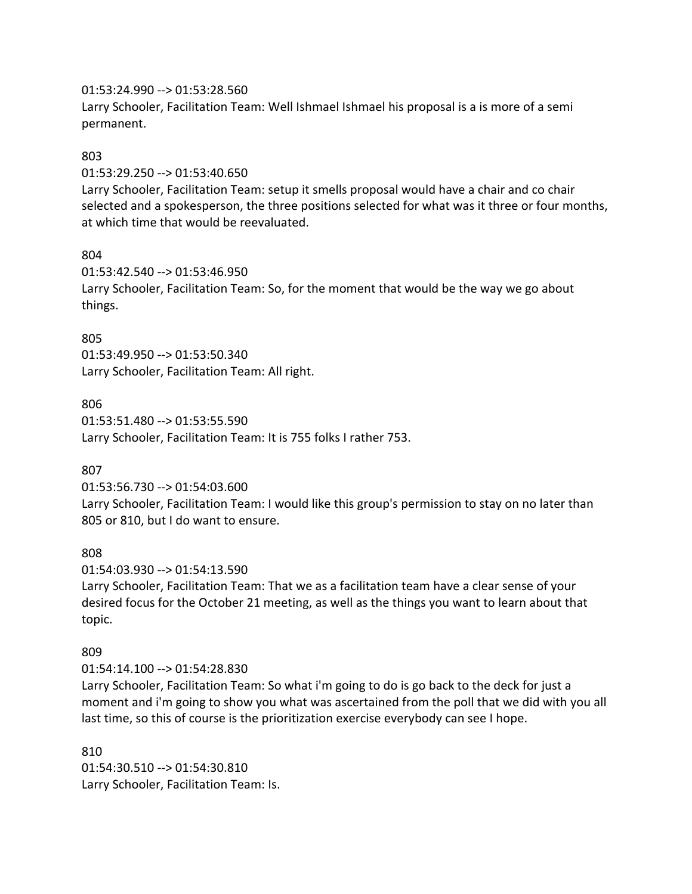#### 01:53:24.990 --> 01:53:28.560

Larry Schooler, Facilitation Team: Well Ishmael Ishmael his proposal is a is more of a semi permanent.

#### 803

01:53:29.250 --> 01:53:40.650

Larry Schooler, Facilitation Team: setup it smells proposal would have a chair and co chair selected and a spokesperson, the three positions selected for what was it three or four months, at which time that would be reevaluated.

### 804

01:53:42.540 --> 01:53:46.950 Larry Schooler, Facilitation Team: So, for the moment that would be the way we go about things.

### 805

01:53:49.950 --> 01:53:50.340 Larry Schooler, Facilitation Team: All right.

#### 806

01:53:51.480 --> 01:53:55.590 Larry Schooler, Facilitation Team: It is 755 folks I rather 753.

### 807

01:53:56.730 --> 01:54:03.600

Larry Schooler, Facilitation Team: I would like this group's permission to stay on no later than 805 or 810, but I do want to ensure.

#### 808

01:54:03.930 --> 01:54:13.590

Larry Schooler, Facilitation Team: That we as a facilitation team have a clear sense of your desired focus for the October 21 meeting, as well as the things you want to learn about that topic.

### 809

#### 01:54:14.100 --> 01:54:28.830

Larry Schooler, Facilitation Team: So what i'm going to do is go back to the deck for just a moment and i'm going to show you what was ascertained from the poll that we did with you all last time, so this of course is the prioritization exercise everybody can see I hope.

810 01:54:30.510 --> 01:54:30.810 Larry Schooler, Facilitation Team: Is.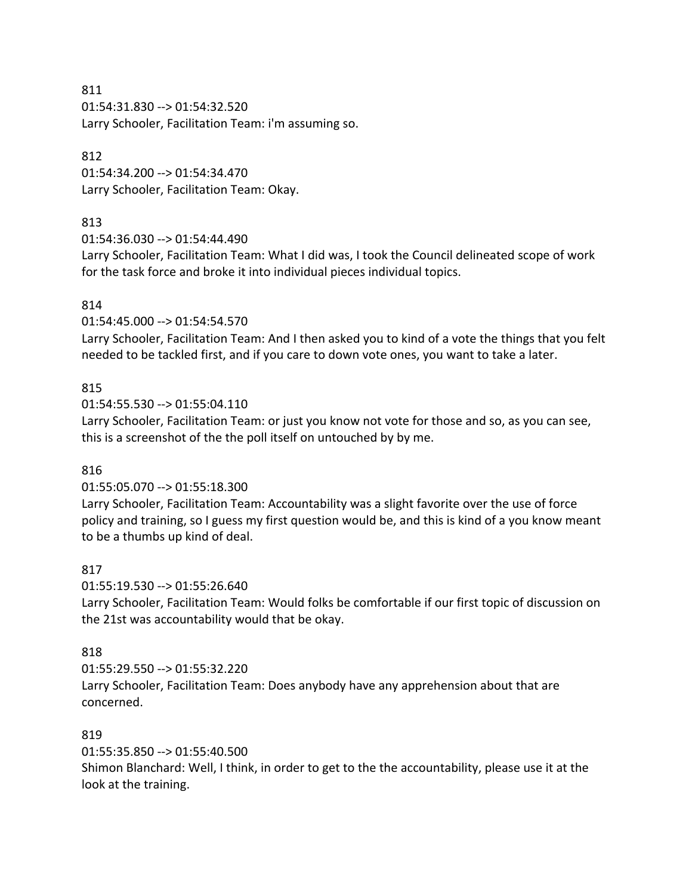811 01:54:31.830 --> 01:54:32.520 Larry Schooler, Facilitation Team: i'm assuming so.

#### 812

01:54:34.200 --> 01:54:34.470 Larry Schooler, Facilitation Team: Okay.

# 813

01:54:36.030 --> 01:54:44.490

Larry Schooler, Facilitation Team: What I did was, I took the Council delineated scope of work for the task force and broke it into individual pieces individual topics.

# 814

01:54:45.000 --> 01:54:54.570

Larry Schooler, Facilitation Team: And I then asked you to kind of a vote the things that you felt needed to be tackled first, and if you care to down vote ones, you want to take a later.

# 815

01:54:55.530 --> 01:55:04.110

Larry Schooler, Facilitation Team: or just you know not vote for those and so, as you can see, this is a screenshot of the the poll itself on untouched by by me.

### 816

01:55:05.070 --> 01:55:18.300

Larry Schooler, Facilitation Team: Accountability was a slight favorite over the use of force policy and training, so I guess my first question would be, and this is kind of a you know meant to be a thumbs up kind of deal.

# 817

01:55:19.530 --> 01:55:26.640

Larry Schooler, Facilitation Team: Would folks be comfortable if our first topic of discussion on the 21st was accountability would that be okay.

### 818

01:55:29.550 --> 01:55:32.220

Larry Schooler, Facilitation Team: Does anybody have any apprehension about that are concerned.

### 819

01:55:35.850 --> 01:55:40.500

Shimon Blanchard: Well, I think, in order to get to the the accountability, please use it at the look at the training.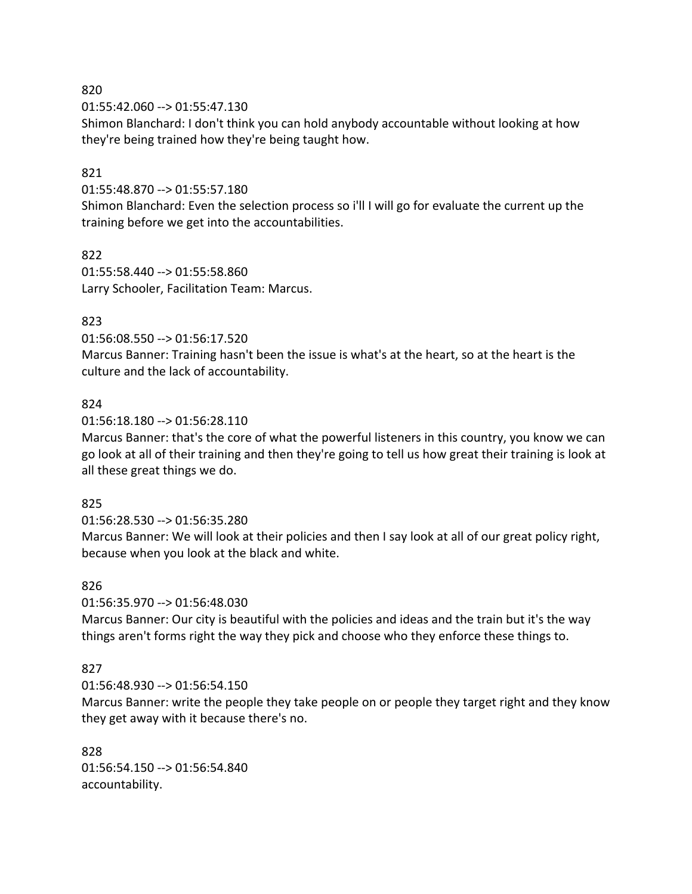01:55:42.060 --> 01:55:47.130

Shimon Blanchard: I don't think you can hold anybody accountable without looking at how they're being trained how they're being taught how.

#### 821

01:55:48.870 --> 01:55:57.180

Shimon Blanchard: Even the selection process so i'll I will go for evaluate the current up the training before we get into the accountabilities.

822 01:55:58.440 --> 01:55:58.860 Larry Schooler, Facilitation Team: Marcus.

### 823

01:56:08.550 --> 01:56:17.520 Marcus Banner: Training hasn't been the issue is what's at the heart, so at the heart is the culture and the lack of accountability.

#### 824

01:56:18.180 --> 01:56:28.110

Marcus Banner: that's the core of what the powerful listeners in this country, you know we can go look at all of their training and then they're going to tell us how great their training is look at all these great things we do.

#### 825

01:56:28.530 --> 01:56:35.280

Marcus Banner: We will look at their policies and then I say look at all of our great policy right, because when you look at the black and white.

#### 826

01:56:35.970 --> 01:56:48.030

Marcus Banner: Our city is beautiful with the policies and ideas and the train but it's the way things aren't forms right the way they pick and choose who they enforce these things to.

#### 827

01:56:48.930 --> 01:56:54.150

Marcus Banner: write the people they take people on or people they target right and they know they get away with it because there's no.

828 01:56:54.150 --> 01:56:54.840 accountability.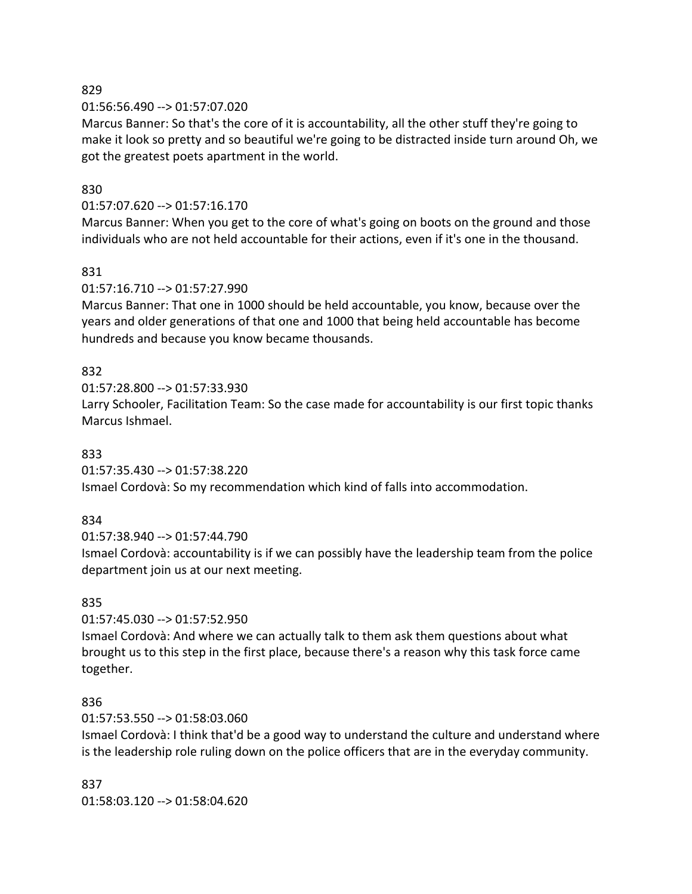01:56:56.490 --> 01:57:07.020

Marcus Banner: So that's the core of it is accountability, all the other stuff they're going to make it look so pretty and so beautiful we're going to be distracted inside turn around Oh, we got the greatest poets apartment in the world.

### 830

### 01:57:07.620 --> 01:57:16.170

Marcus Banner: When you get to the core of what's going on boots on the ground and those individuals who are not held accountable for their actions, even if it's one in the thousand.

### 831

### 01:57:16.710 --> 01:57:27.990

Marcus Banner: That one in 1000 should be held accountable, you know, because over the years and older generations of that one and 1000 that being held accountable has become hundreds and because you know became thousands.

### 832

01:57:28.800 --> 01:57:33.930

Larry Schooler, Facilitation Team: So the case made for accountability is our first topic thanks Marcus Ishmael.

### 833

01:57:35.430 --> 01:57:38.220 Ismael Cordovà: So my recommendation which kind of falls into accommodation.

# 834

01:57:38.940 --> 01:57:44.790

Ismael Cordovà: accountability is if we can possibly have the leadership team from the police department join us at our next meeting.

### 835

01:57:45.030 --> 01:57:52.950

Ismael Cordovà: And where we can actually talk to them ask them questions about what brought us to this step in the first place, because there's a reason why this task force came together.

### 836

### 01:57:53.550 --> 01:58:03.060

Ismael Cordovà: I think that'd be a good way to understand the culture and understand where is the leadership role ruling down on the police officers that are in the everyday community.

### 837

01:58:03.120 --> 01:58:04.620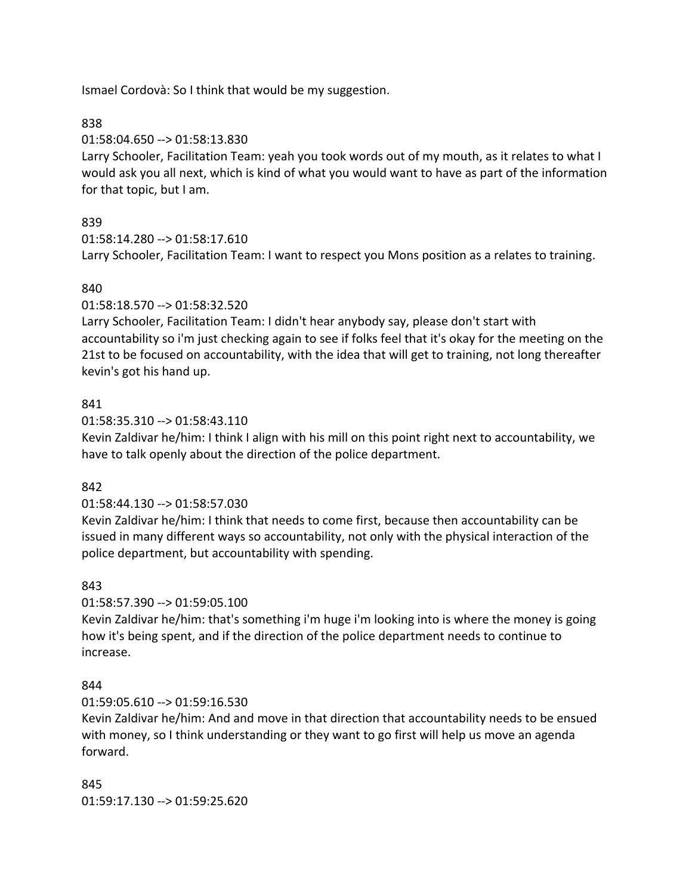Ismael Cordovà: So I think that would be my suggestion.

# 838

01:58:04.650 --> 01:58:13.830

Larry Schooler, Facilitation Team: yeah you took words out of my mouth, as it relates to what I would ask you all next, which is kind of what you would want to have as part of the information for that topic, but I am.

# 839

01:58:14.280 --> 01:58:17.610

Larry Schooler, Facilitation Team: I want to respect you Mons position as a relates to training.

# 840

01:58:18.570 --> 01:58:32.520

Larry Schooler, Facilitation Team: I didn't hear anybody say, please don't start with accountability so i'm just checking again to see if folks feel that it's okay for the meeting on the 21st to be focused on accountability, with the idea that will get to training, not long thereafter kevin's got his hand up.

# 841

01:58:35.310 --> 01:58:43.110

Kevin Zaldivar he/him: I think I align with his mill on this point right next to accountability, we have to talk openly about the direction of the police department.

### 842

01:58:44.130 --> 01:58:57.030

Kevin Zaldivar he/him: I think that needs to come first, because then accountability can be issued in many different ways so accountability, not only with the physical interaction of the police department, but accountability with spending.

### 843

01:58:57.390 --> 01:59:05.100

Kevin Zaldivar he/him: that's something i'm huge i'm looking into is where the money is going how it's being spent, and if the direction of the police department needs to continue to increase.

### 844

01:59:05.610 --> 01:59:16.530

Kevin Zaldivar he/him: And and move in that direction that accountability needs to be ensued with money, so I think understanding or they want to go first will help us move an agenda forward.

845 01:59:17.130 --> 01:59:25.620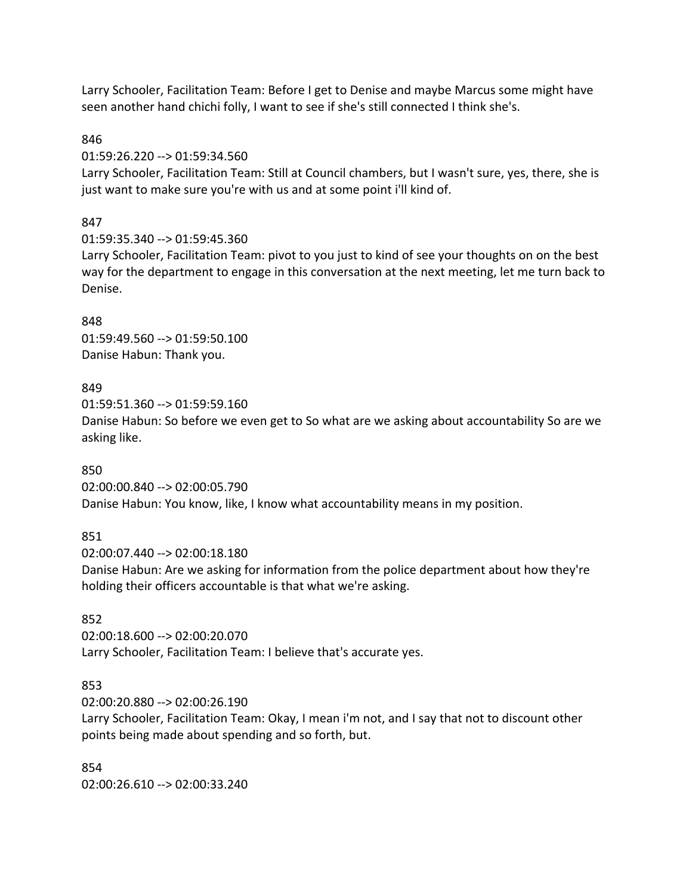Larry Schooler, Facilitation Team: Before I get to Denise and maybe Marcus some might have seen another hand chichi folly, I want to see if she's still connected I think she's.

#### 846

#### 01:59:26.220 --> 01:59:34.560

Larry Schooler, Facilitation Team: Still at Council chambers, but I wasn't sure, yes, there, she is just want to make sure you're with us and at some point i'll kind of.

### 847

01:59:35.340 --> 01:59:45.360

Larry Schooler, Facilitation Team: pivot to you just to kind of see your thoughts on on the best way for the department to engage in this conversation at the next meeting, let me turn back to Denise.

### 848

01:59:49.560 --> 01:59:50.100 Danise Habun: Thank you.

#### 849

01:59:51.360 --> 01:59:59.160 Danise Habun: So before we even get to So what are we asking about accountability So are we asking like.

### 850

02:00:00.840 --> 02:00:05.790 Danise Habun: You know, like, I know what accountability means in my position.

### 851

02:00:07.440 --> 02:00:18.180 Danise Habun: Are we asking for information from the police department about how they're holding their officers accountable is that what we're asking.

### 852

02:00:18.600 --> 02:00:20.070 Larry Schooler, Facilitation Team: I believe that's accurate yes.

### 853

02:00:20.880 --> 02:00:26.190

Larry Schooler, Facilitation Team: Okay, I mean i'm not, and I say that not to discount other points being made about spending and so forth, but.

854 02:00:26.610 --> 02:00:33.240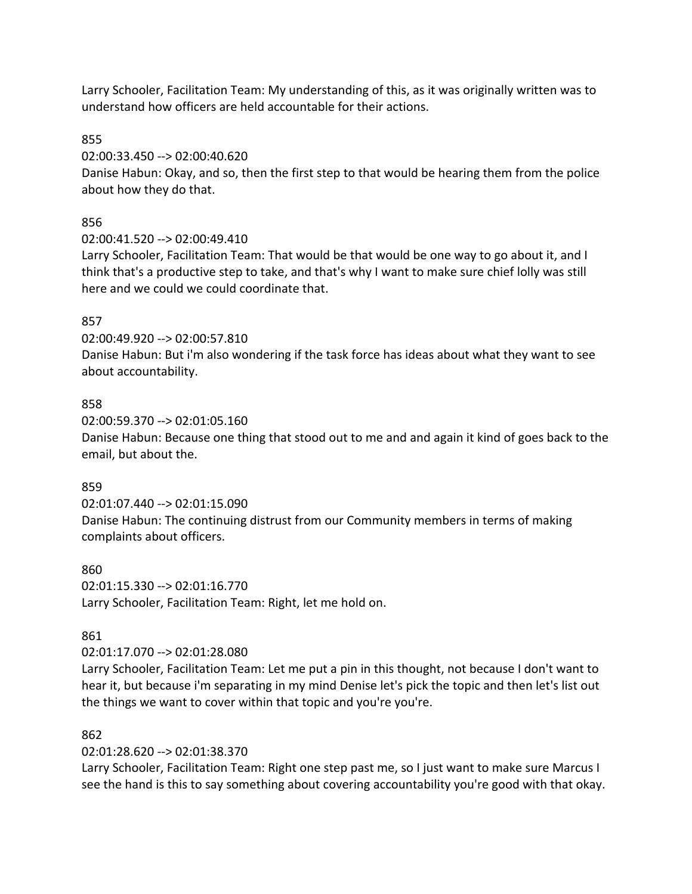Larry Schooler, Facilitation Team: My understanding of this, as it was originally written was to understand how officers are held accountable for their actions.

855

02:00:33.450 --> 02:00:40.620

Danise Habun: Okay, and so, then the first step to that would be hearing them from the police about how they do that.

856

02:00:41.520 --> 02:00:49.410

Larry Schooler, Facilitation Team: That would be that would be one way to go about it, and I think that's a productive step to take, and that's why I want to make sure chief lolly was still here and we could we could coordinate that.

### 857

02:00:49.920 --> 02:00:57.810

Danise Habun: But i'm also wondering if the task force has ideas about what they want to see about accountability.

### 858

02:00:59.370 --> 02:01:05.160

Danise Habun: Because one thing that stood out to me and and again it kind of goes back to the email, but about the.

### 859

02:01:07.440 --> 02:01:15.090

Danise Habun: The continuing distrust from our Community members in terms of making complaints about officers.

860 02:01:15.330 --> 02:01:16.770 Larry Schooler, Facilitation Team: Right, let me hold on.

### 861

02:01:17.070 --> 02:01:28.080

Larry Schooler, Facilitation Team: Let me put a pin in this thought, not because I don't want to hear it, but because i'm separating in my mind Denise let's pick the topic and then let's list out the things we want to cover within that topic and you're you're.

### 862

02:01:28.620 --> 02:01:38.370

Larry Schooler, Facilitation Team: Right one step past me, so I just want to make sure Marcus I see the hand is this to say something about covering accountability you're good with that okay.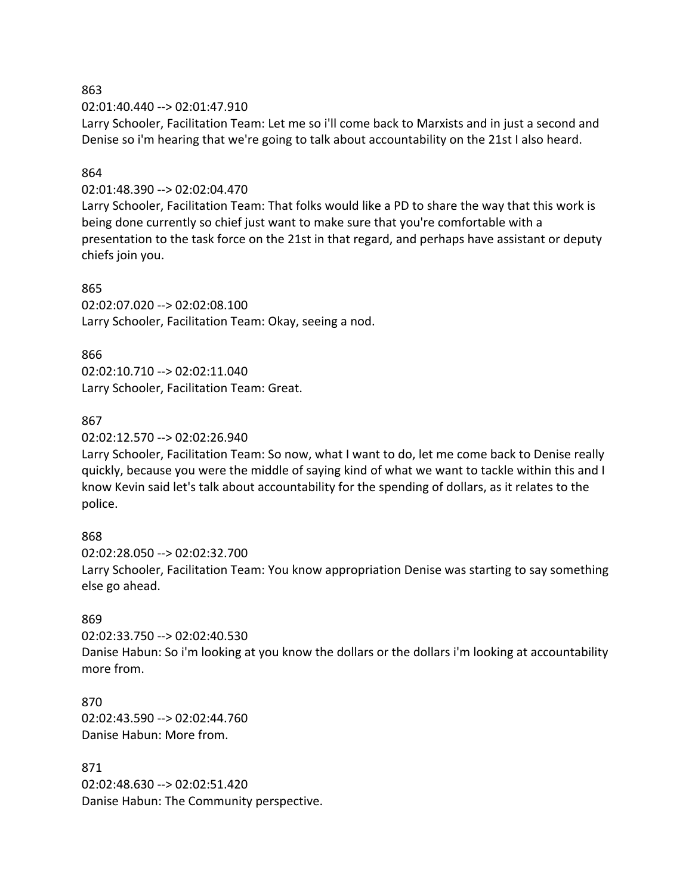02:01:40.440 --> 02:01:47.910

Larry Schooler, Facilitation Team: Let me so i'll come back to Marxists and in just a second and Denise so i'm hearing that we're going to talk about accountability on the 21st I also heard.

### 864

### 02:01:48.390 --> 02:02:04.470

Larry Schooler, Facilitation Team: That folks would like a PD to share the way that this work is being done currently so chief just want to make sure that you're comfortable with a presentation to the task force on the 21st in that regard, and perhaps have assistant or deputy chiefs join you.

#### 865

02:02:07.020 --> 02:02:08.100 Larry Schooler, Facilitation Team: Okay, seeing a nod.

#### 866

02:02:10.710 --> 02:02:11.040 Larry Schooler, Facilitation Team: Great.

### 867

02:02:12.570 --> 02:02:26.940

Larry Schooler, Facilitation Team: So now, what I want to do, let me come back to Denise really quickly, because you were the middle of saying kind of what we want to tackle within this and I know Kevin said let's talk about accountability for the spending of dollars, as it relates to the police.

### 868

02:02:28.050 --> 02:02:32.700 Larry Schooler, Facilitation Team: You know appropriation Denise was starting to say something else go ahead.

### 869

02:02:33.750 --> 02:02:40.530

Danise Habun: So i'm looking at you know the dollars or the dollars i'm looking at accountability more from.

870 02:02:43.590 --> 02:02:44.760 Danise Habun: More from.

871 02:02:48.630 --> 02:02:51.420 Danise Habun: The Community perspective.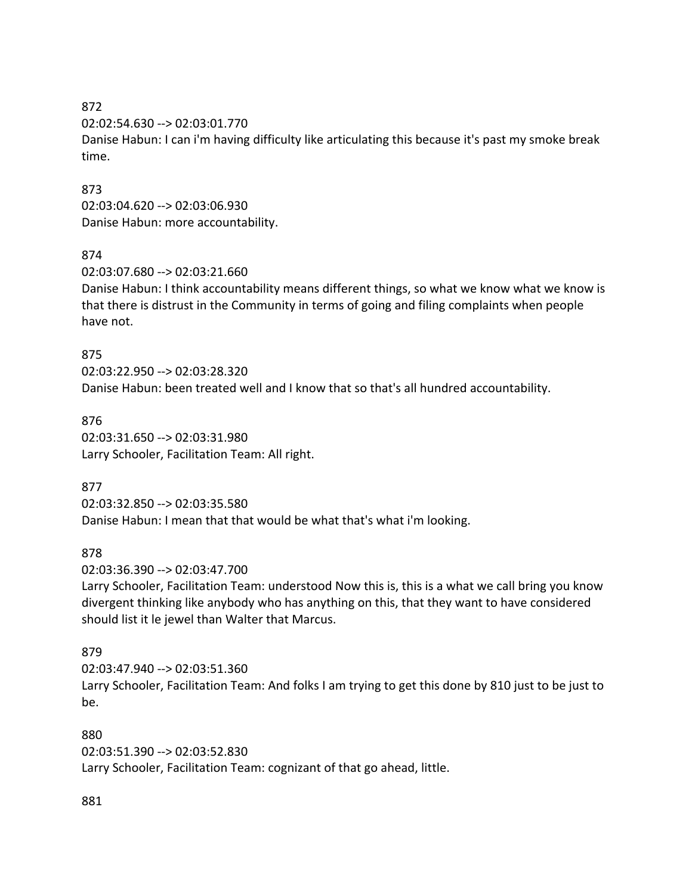02:02:54.630 --> 02:03:01.770

Danise Habun: I can i'm having difficulty like articulating this because it's past my smoke break time.

#### 873

02:03:04.620 --> 02:03:06.930 Danise Habun: more accountability.

#### 874

02:03:07.680 --> 02:03:21.660

Danise Habun: I think accountability means different things, so what we know what we know is that there is distrust in the Community in terms of going and filing complaints when people have not.

#### 875

02:03:22.950 --> 02:03:28.320 Danise Habun: been treated well and I know that so that's all hundred accountability.

876 02:03:31.650 --> 02:03:31.980 Larry Schooler, Facilitation Team: All right.

### 877

02:03:32.850 --> 02:03:35.580 Danise Habun: I mean that that would be what that's what i'm looking.

### 878

02:03:36.390 --> 02:03:47.700

Larry Schooler, Facilitation Team: understood Now this is, this is a what we call bring you know divergent thinking like anybody who has anything on this, that they want to have considered should list it le jewel than Walter that Marcus.

#### 879

02:03:47.940 --> 02:03:51.360 Larry Schooler, Facilitation Team: And folks I am trying to get this done by 810 just to be just to be.

#### 880

02:03:51.390 --> 02:03:52.830 Larry Schooler, Facilitation Team: cognizant of that go ahead, little.

### 881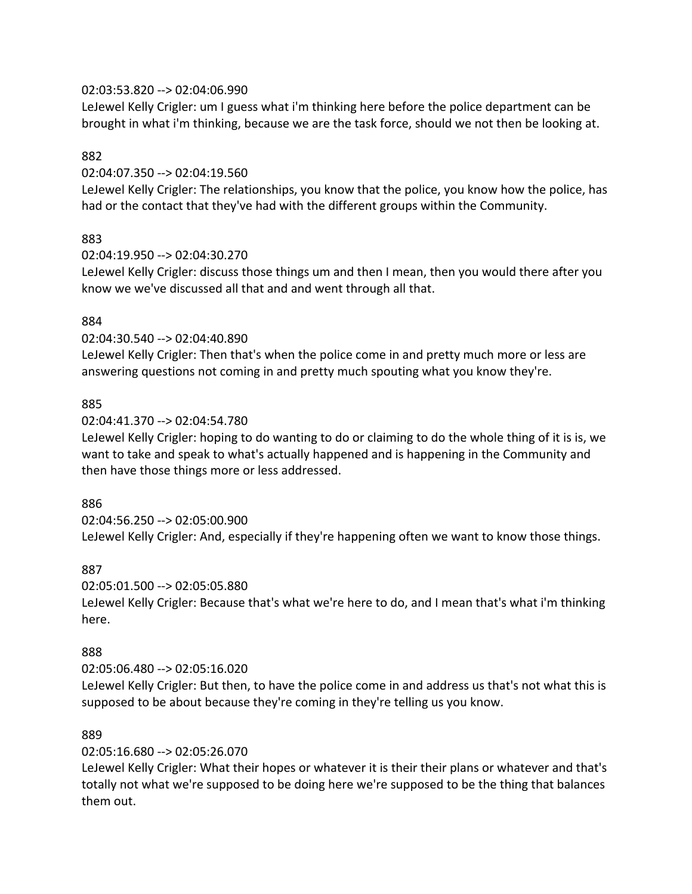#### 02:03:53.820 --> 02:04:06.990

LeJewel Kelly Crigler: um I guess what i'm thinking here before the police department can be brought in what i'm thinking, because we are the task force, should we not then be looking at.

#### 882

#### 02:04:07.350 --> 02:04:19.560

LeJewel Kelly Crigler: The relationships, you know that the police, you know how the police, has had or the contact that they've had with the different groups within the Community.

#### 883

#### 02:04:19.950 --> 02:04:30.270

LeJewel Kelly Crigler: discuss those things um and then I mean, then you would there after you know we we've discussed all that and and went through all that.

#### 884

#### 02:04:30.540 --> 02:04:40.890

LeJewel Kelly Crigler: Then that's when the police come in and pretty much more or less are answering questions not coming in and pretty much spouting what you know they're.

#### 885

#### 02:04:41.370 --> 02:04:54.780

LeJewel Kelly Crigler: hoping to do wanting to do or claiming to do the whole thing of it is is, we want to take and speak to what's actually happened and is happening in the Community and then have those things more or less addressed.

#### 886

### 02:04:56.250 --> 02:05:00.900

LeJewel Kelly Crigler: And, especially if they're happening often we want to know those things.

#### 887

#### 02:05:01.500 --> 02:05:05.880

LeJewel Kelly Crigler: Because that's what we're here to do, and I mean that's what i'm thinking here.

#### 888

### 02:05:06.480 --> 02:05:16.020

LeJewel Kelly Crigler: But then, to have the police come in and address us that's not what this is supposed to be about because they're coming in they're telling us you know.

### 889

### 02:05:16.680 --> 02:05:26.070

LeJewel Kelly Crigler: What their hopes or whatever it is their their plans or whatever and that's totally not what we're supposed to be doing here we're supposed to be the thing that balances them out.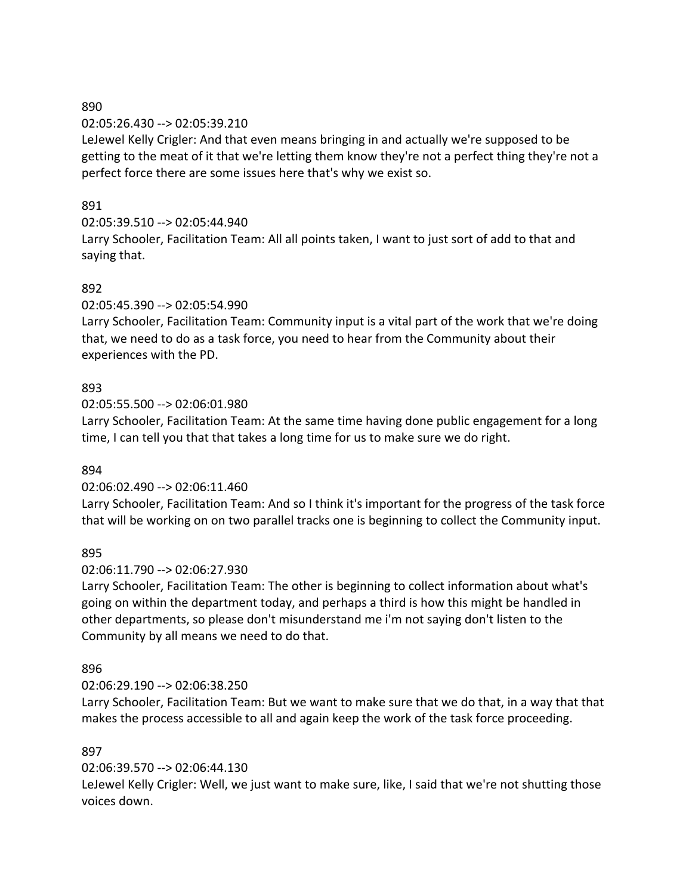#### 02:05:26.430 --> 02:05:39.210

LeJewel Kelly Crigler: And that even means bringing in and actually we're supposed to be getting to the meat of it that we're letting them know they're not a perfect thing they're not a perfect force there are some issues here that's why we exist so.

# 891

# 02:05:39.510 --> 02:05:44.940

Larry Schooler, Facilitation Team: All all points taken, I want to just sort of add to that and saying that.

# 892

02:05:45.390 --> 02:05:54.990

Larry Schooler, Facilitation Team: Community input is a vital part of the work that we're doing that, we need to do as a task force, you need to hear from the Community about their experiences with the PD.

# 893

02:05:55.500 --> 02:06:01.980

Larry Schooler, Facilitation Team: At the same time having done public engagement for a long time, I can tell you that that takes a long time for us to make sure we do right.

### 894

### 02:06:02.490 --> 02:06:11.460

Larry Schooler, Facilitation Team: And so I think it's important for the progress of the task force that will be working on on two parallel tracks one is beginning to collect the Community input.

### 895

### 02:06:11.790 --> 02:06:27.930

Larry Schooler, Facilitation Team: The other is beginning to collect information about what's going on within the department today, and perhaps a third is how this might be handled in other departments, so please don't misunderstand me i'm not saying don't listen to the Community by all means we need to do that.

### 896

### 02:06:29.190 --> 02:06:38.250

Larry Schooler, Facilitation Team: But we want to make sure that we do that, in a way that that makes the process accessible to all and again keep the work of the task force proceeding.

### 897

# 02:06:39.570 --> 02:06:44.130

LeJewel Kelly Crigler: Well, we just want to make sure, like, I said that we're not shutting those voices down.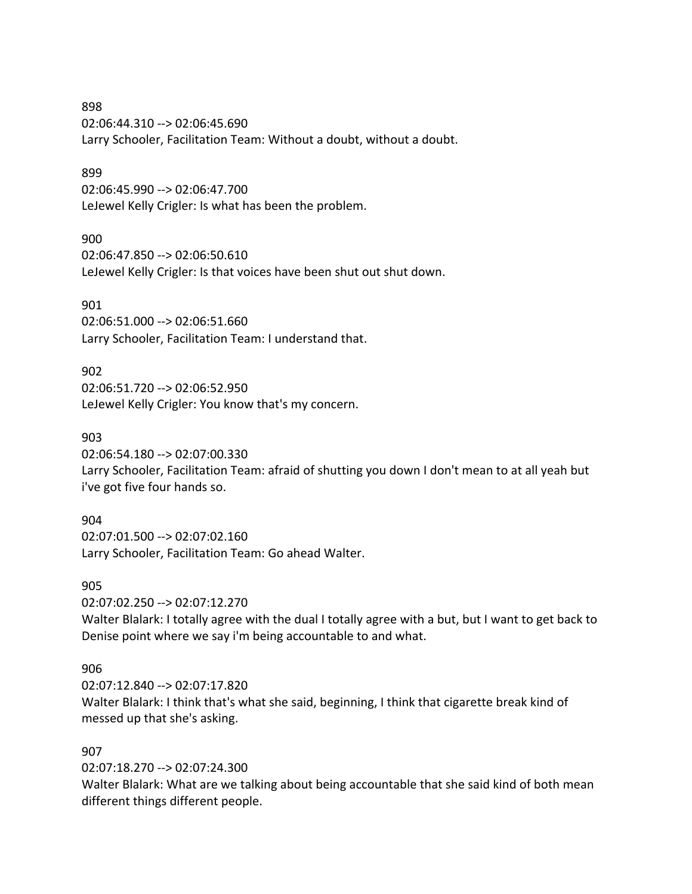898 02:06:44.310 --> 02:06:45.690 Larry Schooler, Facilitation Team: Without a doubt, without a doubt.

#### 899

02:06:45.990 --> 02:06:47.700 LeJewel Kelly Crigler: Is what has been the problem.

#### 900

02:06:47.850 --> 02:06:50.610 LeJewel Kelly Crigler: Is that voices have been shut out shut down.

#### 901

02:06:51.000 --> 02:06:51.660 Larry Schooler, Facilitation Team: I understand that.

#### 902

02:06:51.720 --> 02:06:52.950 LeJewel Kelly Crigler: You know that's my concern.

#### 903

02:06:54.180 --> 02:07:00.330

Larry Schooler, Facilitation Team: afraid of shutting you down I don't mean to at all yeah but i've got five four hands so.

#### 904

02:07:01.500 --> 02:07:02.160 Larry Schooler, Facilitation Team: Go ahead Walter.

#### 905

02:07:02.250 --> 02:07:12.270

Walter Blalark: I totally agree with the dual I totally agree with a but, but I want to get back to Denise point where we say i'm being accountable to and what.

#### 906

02:07:12.840 --> 02:07:17.820 Walter Blalark: I think that's what she said, beginning, I think that cigarette break kind of messed up that she's asking.

#### 907

02:07:18.270 --> 02:07:24.300

Walter Blalark: What are we talking about being accountable that she said kind of both mean different things different people.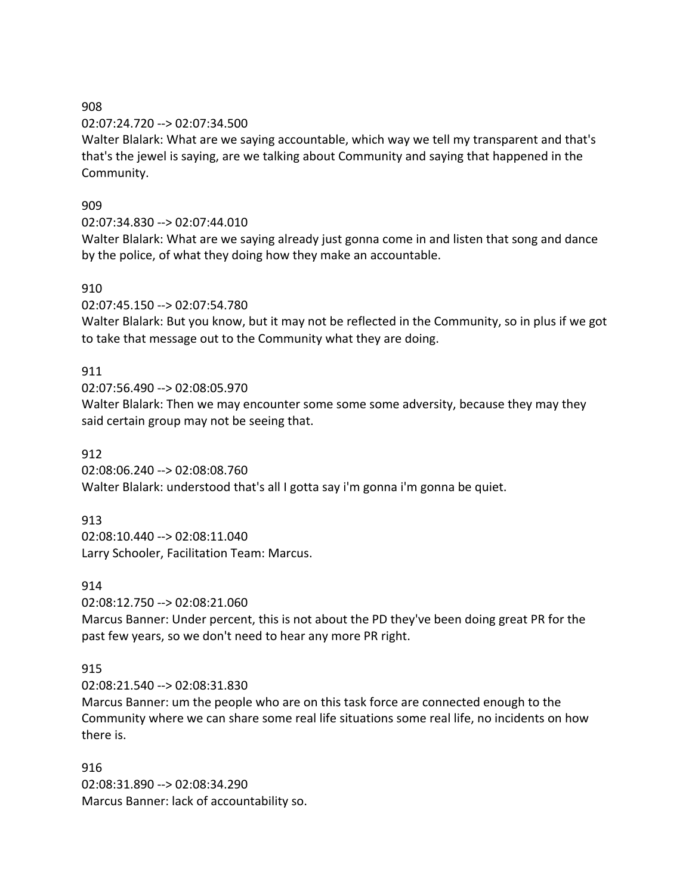### 02:07:24.720 --> 02:07:34.500

Walter Blalark: What are we saying accountable, which way we tell my transparent and that's that's the jewel is saying, are we talking about Community and saying that happened in the Community.

# 909

# 02:07:34.830 --> 02:07:44.010

Walter Blalark: What are we saying already just gonna come in and listen that song and dance by the police, of what they doing how they make an accountable.

# 910

02:07:45.150 --> 02:07:54.780

Walter Blalark: But you know, but it may not be reflected in the Community, so in plus if we got to take that message out to the Community what they are doing.

# 911

02:07:56.490 --> 02:08:05.970

Walter Blalark: Then we may encounter some some some adversity, because they may they said certain group may not be seeing that.

# 912

02:08:06.240 --> 02:08:08.760 Walter Blalark: understood that's all I gotta say i'm gonna i'm gonna be quiet.

# 913

02:08:10.440 --> 02:08:11.040 Larry Schooler, Facilitation Team: Marcus.

### 914

02:08:12.750 --> 02:08:21.060

Marcus Banner: Under percent, this is not about the PD they've been doing great PR for the past few years, so we don't need to hear any more PR right.

# 915

02:08:21.540 --> 02:08:31.830

Marcus Banner: um the people who are on this task force are connected enough to the Community where we can share some real life situations some real life, no incidents on how there is.

### 916

02:08:31.890 --> 02:08:34.290 Marcus Banner: lack of accountability so.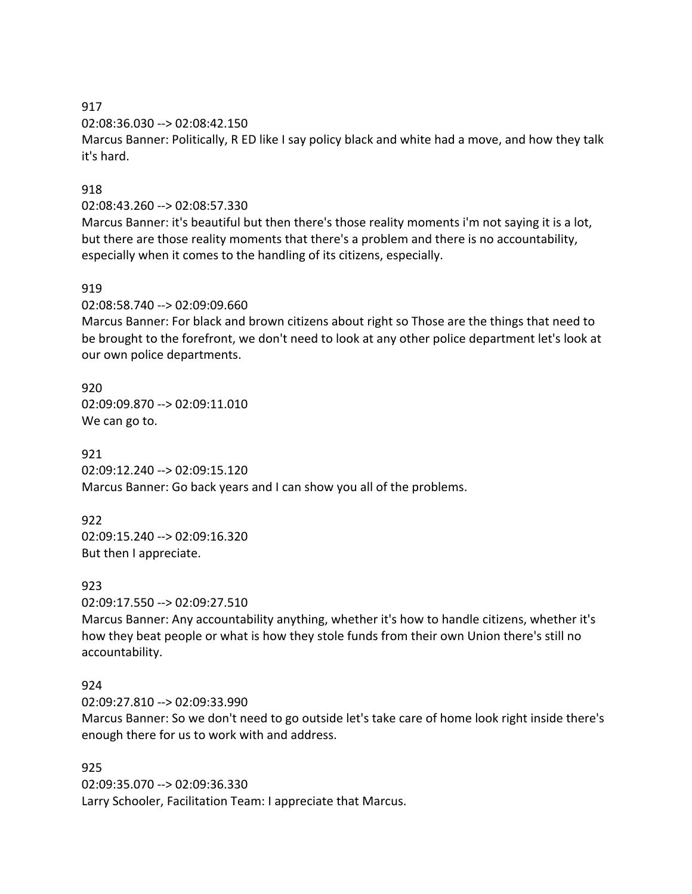02:08:36.030 --> 02:08:42.150

Marcus Banner: Politically, R ED like I say policy black and white had a move, and how they talk it's hard.

# 918

#### 02:08:43.260 --> 02:08:57.330

Marcus Banner: it's beautiful but then there's those reality moments i'm not saying it is a lot, but there are those reality moments that there's a problem and there is no accountability, especially when it comes to the handling of its citizens, especially.

### 919

02:08:58.740 --> 02:09:09.660

Marcus Banner: For black and brown citizens about right so Those are the things that need to be brought to the forefront, we don't need to look at any other police department let's look at our own police departments.

920 02:09:09.870 --> 02:09:11.010 We can go to.

921 02:09:12.240 --> 02:09:15.120 Marcus Banner: Go back years and I can show you all of the problems.

922 02:09:15.240 --> 02:09:16.320 But then I appreciate.

923

02:09:17.550 --> 02:09:27.510

Marcus Banner: Any accountability anything, whether it's how to handle citizens, whether it's how they beat people or what is how they stole funds from their own Union there's still no accountability.

### 924

02:09:27.810 --> 02:09:33.990

Marcus Banner: So we don't need to go outside let's take care of home look right inside there's enough there for us to work with and address.

### 925

02:09:35.070 --> 02:09:36.330 Larry Schooler, Facilitation Team: I appreciate that Marcus.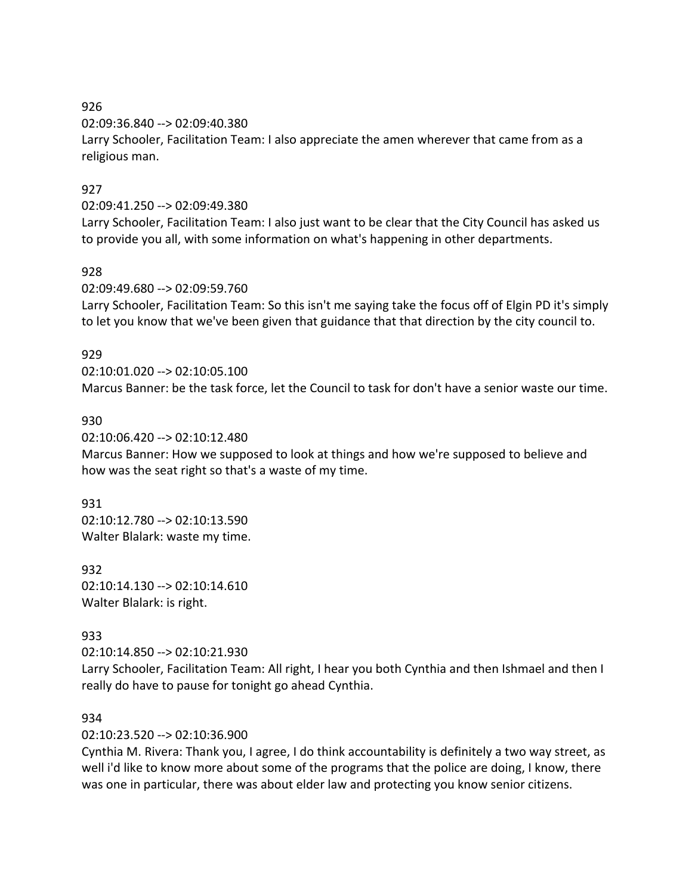02:09:36.840 --> 02:09:40.380

Larry Schooler, Facilitation Team: I also appreciate the amen wherever that came from as a religious man.

# 927

#### 02:09:41.250 --> 02:09:49.380

Larry Schooler, Facilitation Team: I also just want to be clear that the City Council has asked us to provide you all, with some information on what's happening in other departments.

### 928

02:09:49.680 --> 02:09:59.760

Larry Schooler, Facilitation Team: So this isn't me saying take the focus off of Elgin PD it's simply to let you know that we've been given that guidance that that direction by the city council to.

### 929

02:10:01.020 --> 02:10:05.100 Marcus Banner: be the task force, let the Council to task for don't have a senior waste our time.

### 930

02:10:06.420 --> 02:10:12.480

Marcus Banner: How we supposed to look at things and how we're supposed to believe and how was the seat right so that's a waste of my time.

#### 931

02:10:12.780 --> 02:10:13.590 Walter Blalark: waste my time.

932 02:10:14.130 --> 02:10:14.610 Walter Blalark: is right.

# 933

02:10:14.850 --> 02:10:21.930

Larry Schooler, Facilitation Team: All right, I hear you both Cynthia and then Ishmael and then I really do have to pause for tonight go ahead Cynthia.

### 934

02:10:23.520 --> 02:10:36.900

Cynthia M. Rivera: Thank you, I agree, I do think accountability is definitely a two way street, as well i'd like to know more about some of the programs that the police are doing, I know, there was one in particular, there was about elder law and protecting you know senior citizens.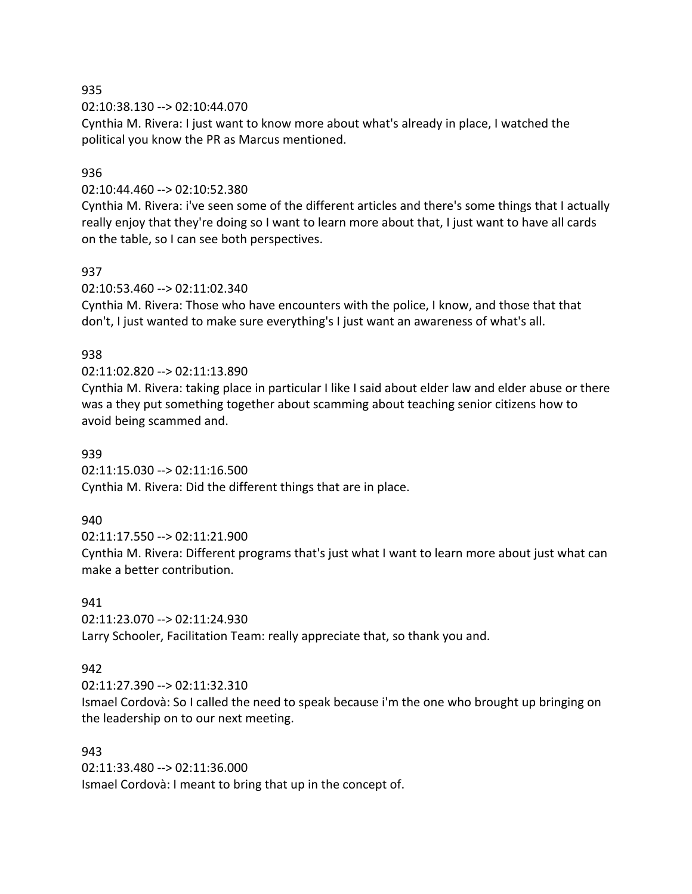02:10:38.130 --> 02:10:44.070

Cynthia M. Rivera: I just want to know more about what's already in place, I watched the political you know the PR as Marcus mentioned.

#### 936

#### 02:10:44.460 --> 02:10:52.380

Cynthia M. Rivera: i've seen some of the different articles and there's some things that I actually really enjoy that they're doing so I want to learn more about that, I just want to have all cards on the table, so I can see both perspectives.

#### 937

#### 02:10:53.460 --> 02:11:02.340

Cynthia M. Rivera: Those who have encounters with the police, I know, and those that that don't, I just wanted to make sure everything's I just want an awareness of what's all.

#### 938

#### 02:11:02.820 --> 02:11:13.890

Cynthia M. Rivera: taking place in particular I like I said about elder law and elder abuse or there was a they put something together about scamming about teaching senior citizens how to avoid being scammed and.

#### 939

02:11:15.030 --> 02:11:16.500 Cynthia M. Rivera: Did the different things that are in place.

### 940

02:11:17.550 --> 02:11:21.900

Cynthia M. Rivera: Different programs that's just what I want to learn more about just what can make a better contribution.

### 941

02:11:23.070 --> 02:11:24.930 Larry Schooler, Facilitation Team: really appreciate that, so thank you and.

### 942

02:11:27.390 --> 02:11:32.310

Ismael Cordovà: So I called the need to speak because i'm the one who brought up bringing on the leadership on to our next meeting.

#### 943

02:11:33.480 --> 02:11:36.000 Ismael Cordovà: I meant to bring that up in the concept of.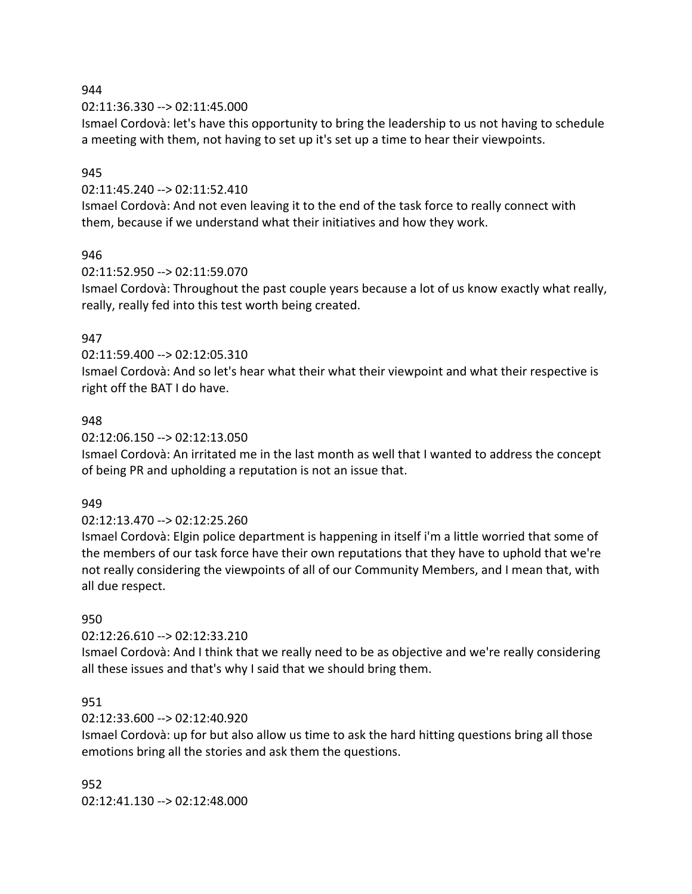02:11:36.330 --> 02:11:45.000

Ismael Cordovà: let's have this opportunity to bring the leadership to us not having to schedule a meeting with them, not having to set up it's set up a time to hear their viewpoints.

#### 945

02:11:45.240 --> 02:11:52.410

Ismael Cordovà: And not even leaving it to the end of the task force to really connect with them, because if we understand what their initiatives and how they work.

#### 946

02:11:52.950 --> 02:11:59.070

Ismael Cordovà: Throughout the past couple years because a lot of us know exactly what really, really, really fed into this test worth being created.

#### 947

02:11:59.400 --> 02:12:05.310

Ismael Cordovà: And so let's hear what their what their viewpoint and what their respective is right off the BAT I do have.

#### 948

02:12:06.150 --> 02:12:13.050

Ismael Cordovà: An irritated me in the last month as well that I wanted to address the concept of being PR and upholding a reputation is not an issue that.

#### 949

#### 02:12:13.470 --> 02:12:25.260

Ismael Cordovà: Elgin police department is happening in itself i'm a little worried that some of the members of our task force have their own reputations that they have to uphold that we're not really considering the viewpoints of all of our Community Members, and I mean that, with all due respect.

#### 950

#### 02:12:26.610 --> 02:12:33.210

Ismael Cordovà: And I think that we really need to be as objective and we're really considering all these issues and that's why I said that we should bring them.

#### 951

#### 02:12:33.600 --> 02:12:40.920

Ismael Cordovà: up for but also allow us time to ask the hard hitting questions bring all those emotions bring all the stories and ask them the questions.

#### 952

02:12:41.130 --> 02:12:48.000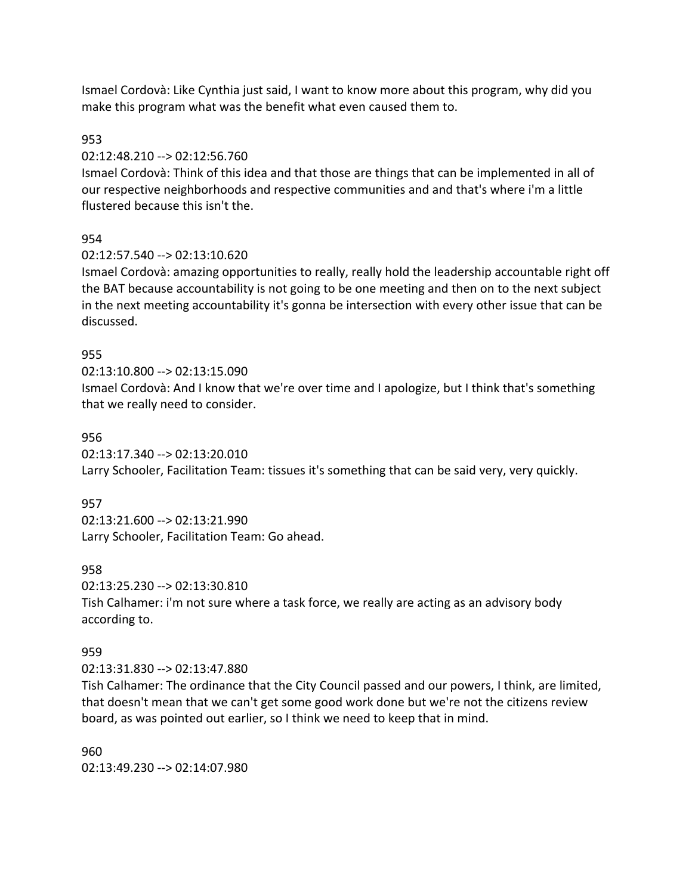Ismael Cordovà: Like Cynthia just said, I want to know more about this program, why did you make this program what was the benefit what even caused them to.

#### 953

#### 02:12:48.210 --> 02:12:56.760

Ismael Cordovà: Think of this idea and that those are things that can be implemented in all of our respective neighborhoods and respective communities and and that's where i'm a little flustered because this isn't the.

### 954

### 02:12:57.540 --> 02:13:10.620

Ismael Cordovà: amazing opportunities to really, really hold the leadership accountable right off the BAT because accountability is not going to be one meeting and then on to the next subject in the next meeting accountability it's gonna be intersection with every other issue that can be discussed.

#### 955

### 02:13:10.800 --> 02:13:15.090

Ismael Cordovà: And I know that we're over time and I apologize, but I think that's something that we really need to consider.

#### 956

02:13:17.340 --> 02:13:20.010

Larry Schooler, Facilitation Team: tissues it's something that can be said very, very quickly.

#### 957

02:13:21.600 --> 02:13:21.990 Larry Schooler, Facilitation Team: Go ahead.

### 958

02:13:25.230 --> 02:13:30.810 Tish Calhamer: i'm not sure where a task force, we really are acting as an advisory body according to.

#### 959

#### 02:13:31.830 --> 02:13:47.880

Tish Calhamer: The ordinance that the City Council passed and our powers, I think, are limited, that doesn't mean that we can't get some good work done but we're not the citizens review board, as was pointed out earlier, so I think we need to keep that in mind.

960 02:13:49.230 --> 02:14:07.980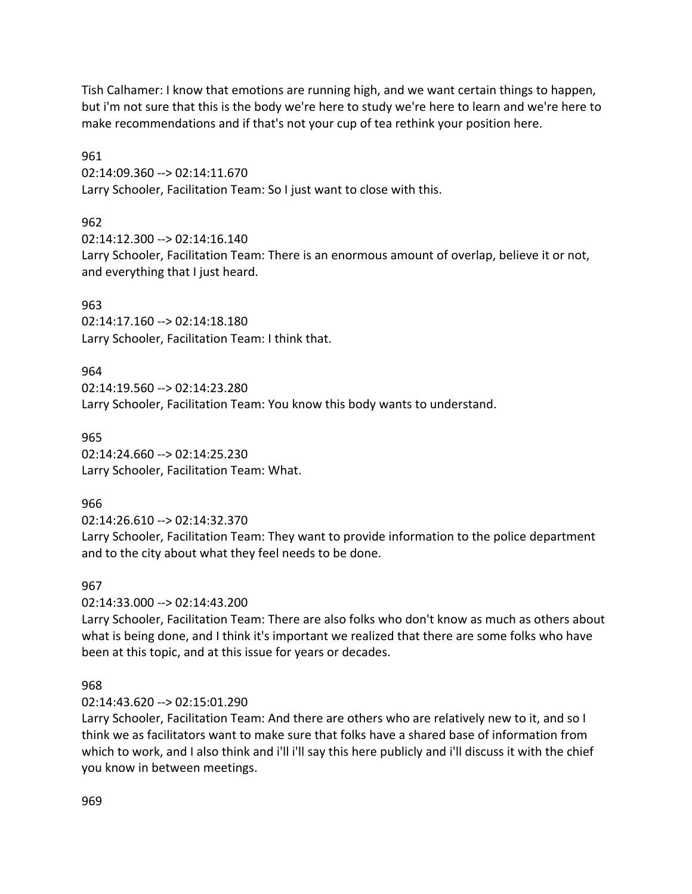Tish Calhamer: I know that emotions are running high, and we want certain things to happen, but i'm not sure that this is the body we're here to study we're here to learn and we're here to make recommendations and if that's not your cup of tea rethink your position here.

961

02:14:09.360 --> 02:14:11.670

Larry Schooler, Facilitation Team: So I just want to close with this.

# 962

02:14:12.300 --> 02:14:16.140 Larry Schooler, Facilitation Team: There is an enormous amount of overlap, believe it or not, and everything that I just heard.

# 963

02:14:17.160 --> 02:14:18.180 Larry Schooler, Facilitation Team: I think that.

### 964

02:14:19.560 --> 02:14:23.280 Larry Schooler, Facilitation Team: You know this body wants to understand.

965 02:14:24.660 --> 02:14:25.230 Larry Schooler, Facilitation Team: What.

# 966

02:14:26.610 --> 02:14:32.370

Larry Schooler, Facilitation Team: They want to provide information to the police department and to the city about what they feel needs to be done.

# 967

02:14:33.000 --> 02:14:43.200

Larry Schooler, Facilitation Team: There are also folks who don't know as much as others about what is being done, and I think it's important we realized that there are some folks who have been at this topic, and at this issue for years or decades.

# 968

### 02:14:43.620 --> 02:15:01.290

Larry Schooler, Facilitation Team: And there are others who are relatively new to it, and so I think we as facilitators want to make sure that folks have a shared base of information from which to work, and I also think and i'll i'll say this here publicly and i'll discuss it with the chief you know in between meetings.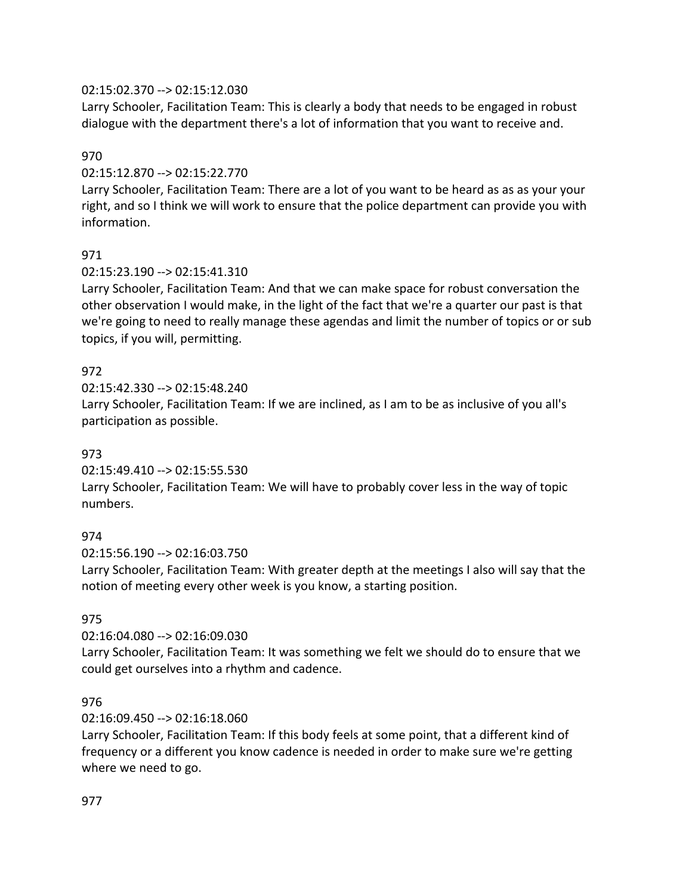### 02:15:02.370 --> 02:15:12.030

Larry Schooler, Facilitation Team: This is clearly a body that needs to be engaged in robust dialogue with the department there's a lot of information that you want to receive and.

### 970

### 02:15:12.870 --> 02:15:22.770

Larry Schooler, Facilitation Team: There are a lot of you want to be heard as as as your your right, and so I think we will work to ensure that the police department can provide you with information.

# 971

### 02:15:23.190 --> 02:15:41.310

Larry Schooler, Facilitation Team: And that we can make space for robust conversation the other observation I would make, in the light of the fact that we're a quarter our past is that we're going to need to really manage these agendas and limit the number of topics or or sub topics, if you will, permitting.

# 972

02:15:42.330 --> 02:15:48.240

Larry Schooler, Facilitation Team: If we are inclined, as I am to be as inclusive of you all's participation as possible.

### 973

02:15:49.410 --> 02:15:55.530

Larry Schooler, Facilitation Team: We will have to probably cover less in the way of topic numbers.

### 974

02:15:56.190 --> 02:16:03.750

Larry Schooler, Facilitation Team: With greater depth at the meetings I also will say that the notion of meeting every other week is you know, a starting position.

### 975

02:16:04.080 --> 02:16:09.030

Larry Schooler, Facilitation Team: It was something we felt we should do to ensure that we could get ourselves into a rhythm and cadence.

### 976

### 02:16:09.450 --> 02:16:18.060

Larry Schooler, Facilitation Team: If this body feels at some point, that a different kind of frequency or a different you know cadence is needed in order to make sure we're getting where we need to go.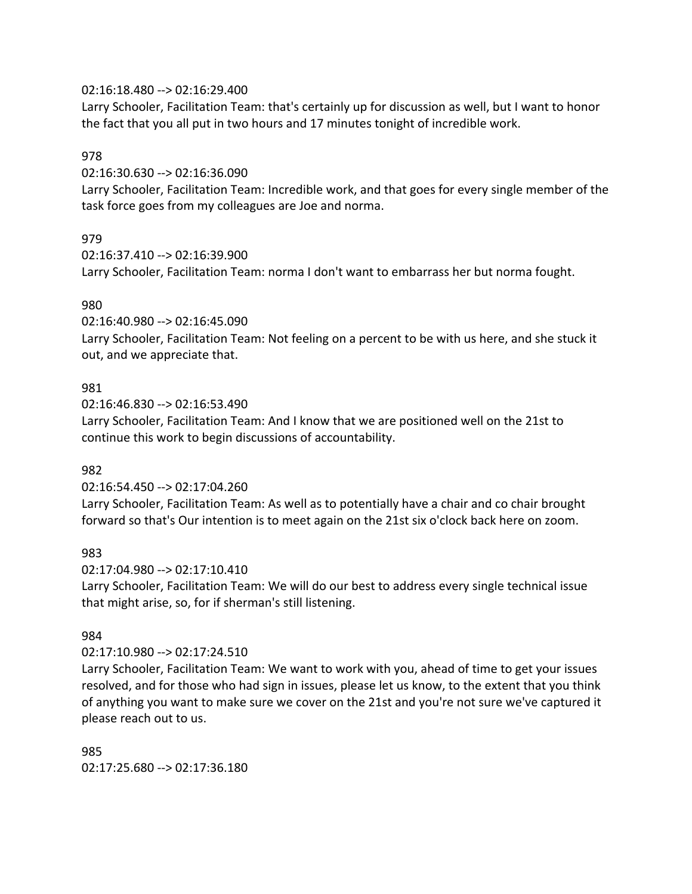#### 02:16:18.480 --> 02:16:29.400

Larry Schooler, Facilitation Team: that's certainly up for discussion as well, but I want to honor the fact that you all put in two hours and 17 minutes tonight of incredible work.

#### 978

02:16:30.630 --> 02:16:36.090

Larry Schooler, Facilitation Team: Incredible work, and that goes for every single member of the task force goes from my colleagues are Joe and norma.

### 979

02:16:37.410 --> 02:16:39.900

Larry Schooler, Facilitation Team: norma I don't want to embarrass her but norma fought.

#### 980

02:16:40.980 --> 02:16:45.090

Larry Schooler, Facilitation Team: Not feeling on a percent to be with us here, and she stuck it out, and we appreciate that.

#### 981

02:16:46.830 --> 02:16:53.490

Larry Schooler, Facilitation Team: And I know that we are positioned well on the 21st to continue this work to begin discussions of accountability.

### 982

02:16:54.450 --> 02:17:04.260

Larry Schooler, Facilitation Team: As well as to potentially have a chair and co chair brought forward so that's Our intention is to meet again on the 21st six o'clock back here on zoom.

### 983

02:17:04.980 --> 02:17:10.410

Larry Schooler, Facilitation Team: We will do our best to address every single technical issue that might arise, so, for if sherman's still listening.

### 984

02:17:10.980 --> 02:17:24.510

Larry Schooler, Facilitation Team: We want to work with you, ahead of time to get your issues resolved, and for those who had sign in issues, please let us know, to the extent that you think of anything you want to make sure we cover on the 21st and you're not sure we've captured it please reach out to us.

985 02:17:25.680 --> 02:17:36.180